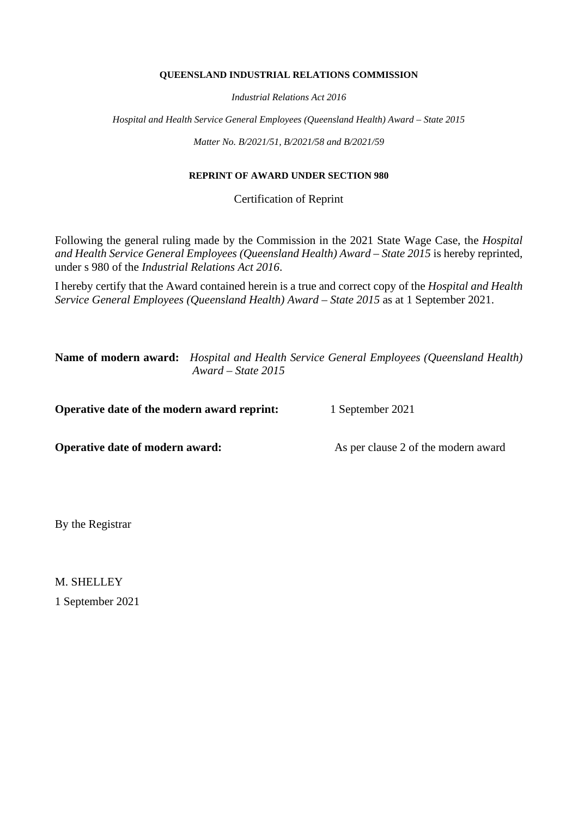#### **QUEENSLAND INDUSTRIAL RELATIONS COMMISSION**

*Industrial Relations Act 2016*

*Hospital and Health Service General Employees (Queensland Health) Award – State 2015*

*Matter No. B/2021/51, B/2021/58 and B/2021/59*

# **REPRINT OF AWARD UNDER SECTION 980**

Certification of Reprint

Following the general ruling made by the Commission in the 2021 State Wage Case, the *Hospital and Health Service General Employees (Queensland Health) Award – State 2015* is hereby reprinted, under s 980 of the *Industrial Relations Act 2016*.

I hereby certify that the Award contained herein is a true and correct copy of the *Hospital and Health Service General Employees (Queensland Health) Award – State 2015* as at 1 September 2021.

**Name of modern award:** *Hospital and Health Service General Employees (Queensland Health) Award – State 2015*

**Operative date of the modern award reprint:** 1 September 2021

**Operative date of modern award:** As per clause 2 of the modern award

By the Registrar

M. SHELLEY 1 September 2021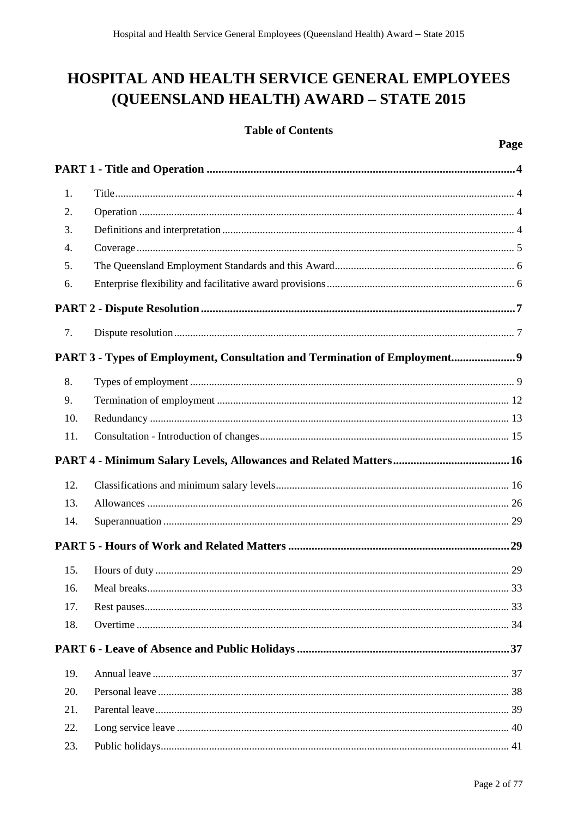# HOSPITAL AND HEALTH SERVICE GENERAL EMPLOYEES (QUEENSLAND HEALTH) AWARD - STATE 2015

# **Table of Contents**

| 1.  |                                                                            |
|-----|----------------------------------------------------------------------------|
| 2.  |                                                                            |
| 3.  |                                                                            |
| 4.  |                                                                            |
| 5.  |                                                                            |
| 6.  |                                                                            |
|     |                                                                            |
| 7.  |                                                                            |
|     | PART 3 - Types of Employment, Consultation and Termination of Employment 9 |
| 8.  |                                                                            |
| 9.  |                                                                            |
| 10. |                                                                            |
| 11. |                                                                            |
|     |                                                                            |
|     |                                                                            |
| 12. |                                                                            |
| 13. |                                                                            |
| 14. |                                                                            |
|     |                                                                            |
| 15. |                                                                            |
| 16. | 33                                                                         |
| 17. |                                                                            |
| 18. |                                                                            |
|     |                                                                            |
| 19. |                                                                            |
| 20. |                                                                            |
| 21. |                                                                            |
| 22. |                                                                            |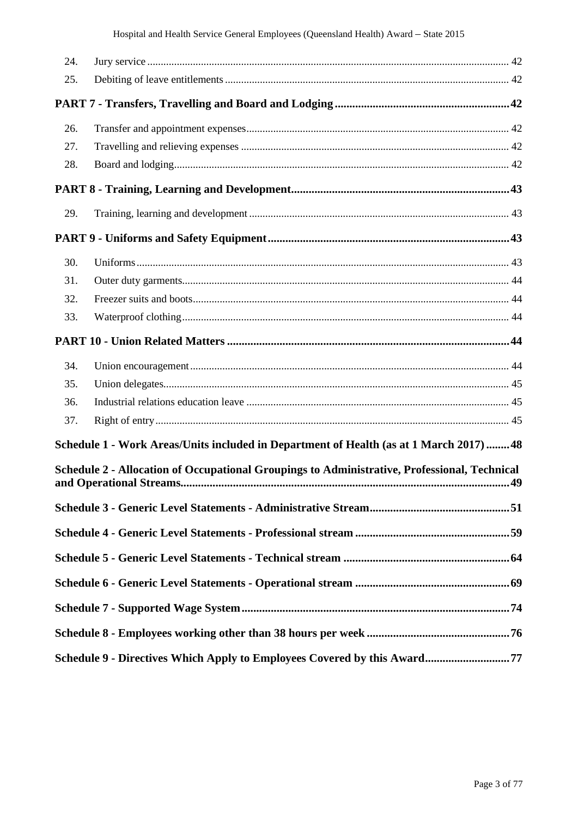| 24. |                                                                                              |  |
|-----|----------------------------------------------------------------------------------------------|--|
| 25. |                                                                                              |  |
|     |                                                                                              |  |
| 26. |                                                                                              |  |
| 27. |                                                                                              |  |
| 28. |                                                                                              |  |
|     |                                                                                              |  |
| 29. |                                                                                              |  |
|     |                                                                                              |  |
| 30. |                                                                                              |  |
| 31. |                                                                                              |  |
| 32. |                                                                                              |  |
| 33. |                                                                                              |  |
|     |                                                                                              |  |
| 34. |                                                                                              |  |
| 35. |                                                                                              |  |
| 36. |                                                                                              |  |
| 37. |                                                                                              |  |
|     | Schedule 1 - Work Areas/Units included in Department of Health (as at 1 March 2017)  48      |  |
|     | Schedule 2 - Allocation of Occupational Groupings to Administrative, Professional, Technical |  |
|     |                                                                                              |  |
|     |                                                                                              |  |
|     |                                                                                              |  |
|     |                                                                                              |  |
|     |                                                                                              |  |
|     |                                                                                              |  |
|     | Schedule 9 - Directives Which Apply to Employees Covered by this Award77                     |  |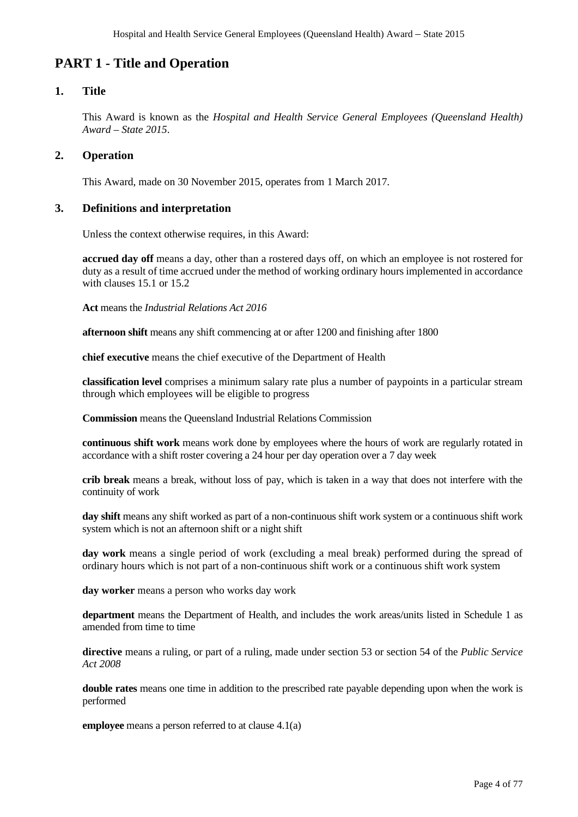# <span id="page-3-0"></span>**PART 1 - Title and Operation**

# <span id="page-3-1"></span>**1. Title**

This Award is known as the *Hospital and Health Service General Employees (Queensland Health) Award – State 2015*.

# <span id="page-3-2"></span>**2. Operation**

This Award, made on 30 November 2015, operates from 1 March 2017.

# <span id="page-3-3"></span>**3. Definitions and interpretation**

Unless the context otherwise requires, in this Award:

**accrued day off** means a day, other than a rostered days off, on which an employee is not rostered for duty as a result of time accrued under the method of working ordinary hours implemented in accordance with clauses 15.1 or 15.2

**Act** means the *Industrial Relations Act 2016*

**afternoon shift** means any shift commencing at or after 1200 and finishing after 1800

**chief executive** means the chief executive of the Department of Health

**classification level** comprises a minimum salary rate plus a number of paypoints in a particular stream through which employees will be eligible to progress

**Commission** means the Queensland Industrial Relations Commission

**continuous shift work** means work done by employees where the hours of work are regularly rotated in accordance with a shift roster covering a 24 hour per day operation over a 7 day week

**crib break** means a break, without loss of pay, which is taken in a way that does not interfere with the continuity of work

**day shift** means any shift worked as part of a non-continuous shift work system or a continuous shift work system which is not an afternoon shift or a night shift

**day work** means a single period of work (excluding a meal break) performed during the spread of ordinary hours which is not part of a non-continuous shift work or a continuous shift work system

**day worker** means a person who works day work

**department** means the Department of Health, and includes the work areas/units listed in Schedule 1 as amended from time to time

**directive** means a ruling, or part of a ruling, made under section 53 or section 54 of the *Public Service Act 2008*

**double rates** means one time in addition to the prescribed rate payable depending upon when the work is performed

**employee** means a person referred to at clause 4.1(a)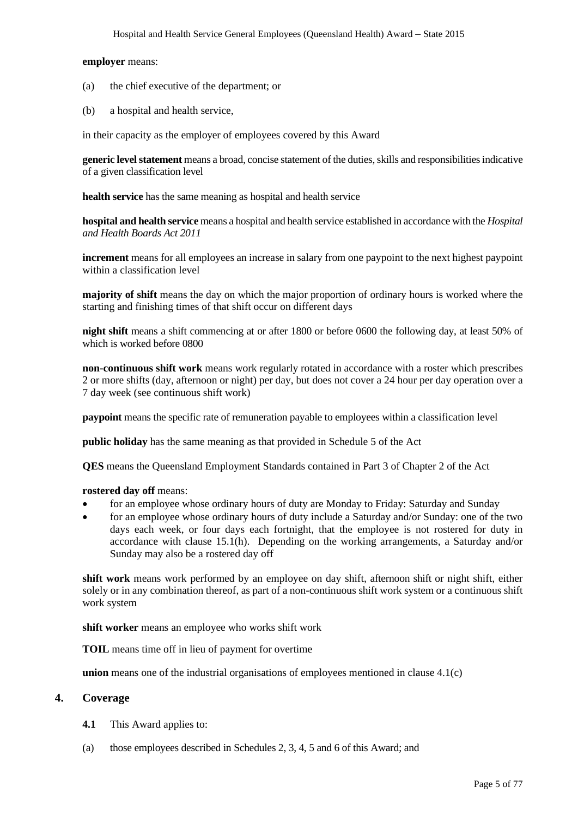# **employer** means:

- (a) the chief executive of the department; or
- (b) a hospital and health service,

in their capacity as the employer of employees covered by this Award

**generic level statement** means a broad, concise statement of the duties, skills and responsibilities indicative of a given classification level

**health service** has the same meaning as hospital and health service

**hospital and health service** means a hospital and health service established in accordance with the *Hospital and Health Boards Act 2011*

**increment** means for all employees an increase in salary from one paypoint to the next highest paypoint within a classification level

**majority of shift** means the day on which the major proportion of ordinary hours is worked where the starting and finishing times of that shift occur on different days

**night shift** means a shift commencing at or after 1800 or before 0600 the following day, at least 50% of which is worked before 0800

**non-continuous shift work** means work regularly rotated in accordance with a roster which prescribes 2 or more shifts (day, afternoon or night) per day, but does not cover a 24 hour per day operation over a 7 day week (see continuous shift work)

**paypoint** means the specific rate of remuneration payable to employees within a classification level

**public holiday** has the same meaning as that provided in Schedule 5 of the Act

**QES** means the Queensland Employment Standards contained in Part 3 of Chapter 2 of the Act

### **rostered day off** means:

- for an employee whose ordinary hours of duty are Monday to Friday: Saturday and Sunday
- for an employee whose ordinary hours of duty include a Saturday and/or Sunday: one of the two days each week, or four days each fortnight, that the employee is not rostered for duty in accordance with clause 15.1(h). Depending on the working arrangements, a Saturday and/or Sunday may also be a rostered day off

**shift work** means work performed by an employee on day shift, afternoon shift or night shift, either solely or in any combination thereof, as part of a non-continuous shift work system or a continuous shift work system

**shift worker** means an employee who works shift work

**TOIL** means time off in lieu of payment for overtime

**union** means one of the industrial organisations of employees mentioned in clause 4.1(c)

### <span id="page-4-0"></span>**4. Coverage**

- **4.1** This Award applies to:
- (a) those employees described in Schedules 2, 3, 4, 5 and 6 of this Award; and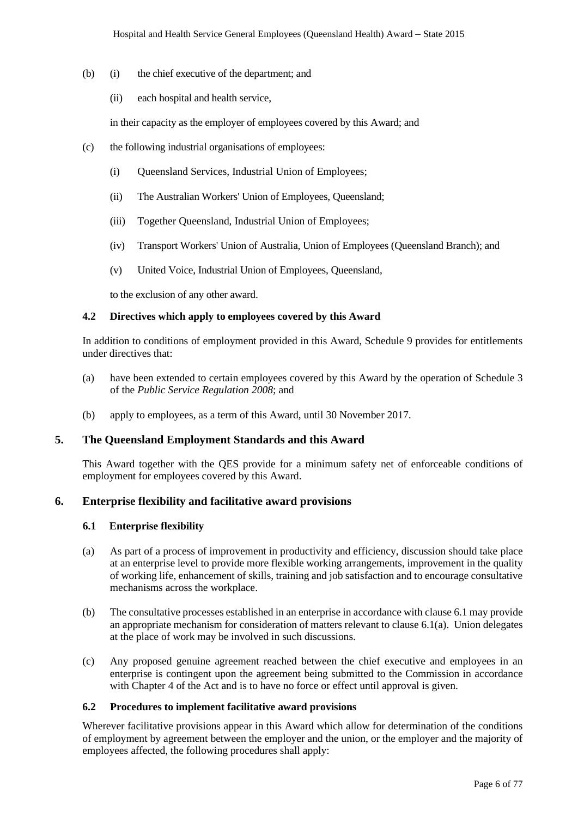- (b) (i) the chief executive of the department; and
	- (ii) each hospital and health service,

in their capacity as the employer of employees covered by this Award; and

- (c) the following industrial organisations of employees:
	- (i) Queensland Services, Industrial Union of Employees;
	- (ii) The Australian Workers' Union of Employees, Queensland;
	- (iii) Together Queensland, Industrial Union of Employees;
	- (iv) Transport Workers' Union of Australia, Union of Employees (Queensland Branch); and
	- (v) United Voice, Industrial Union of Employees, Queensland,

to the exclusion of any other award.

# **4.2 Directives which apply to employees covered by this Award**

In addition to conditions of employment provided in this Award, Schedule 9 provides for entitlements under directives that:

- (a) have been extended to certain employees covered by this Award by the operation of Schedule 3 of the *Public Service Regulation 2008*; and
- (b) apply to employees, as a term of this Award, until 30 November 2017.

# <span id="page-5-0"></span>**5. The Queensland Employment Standards and this Award**

This Award together with the QES provide for a minimum safety net of enforceable conditions of employment for employees covered by this Award.

# <span id="page-5-1"></span>**6. Enterprise flexibility and facilitative award provisions**

#### **6.1 Enterprise flexibility**

- (a) As part of a process of improvement in productivity and efficiency, discussion should take place at an enterprise level to provide more flexible working arrangements, improvement in the quality of working life, enhancement of skills, training and job satisfaction and to encourage consultative mechanisms across the workplace.
- (b) The consultative processes established in an enterprise in accordance with clause 6.1 may provide an appropriate mechanism for consideration of matters relevant to clause 6.1(a). Union delegates at the place of work may be involved in such discussions.
- (c) Any proposed genuine agreement reached between the chief executive and employees in an enterprise is contingent upon the agreement being submitted to the Commission in accordance with Chapter 4 of the Act and is to have no force or effect until approval is given.

### **6.2 Procedures to implement facilitative award provisions**

Wherever facilitative provisions appear in this Award which allow for determination of the conditions of employment by agreement between the employer and the union, or the employer and the majority of employees affected, the following procedures shall apply: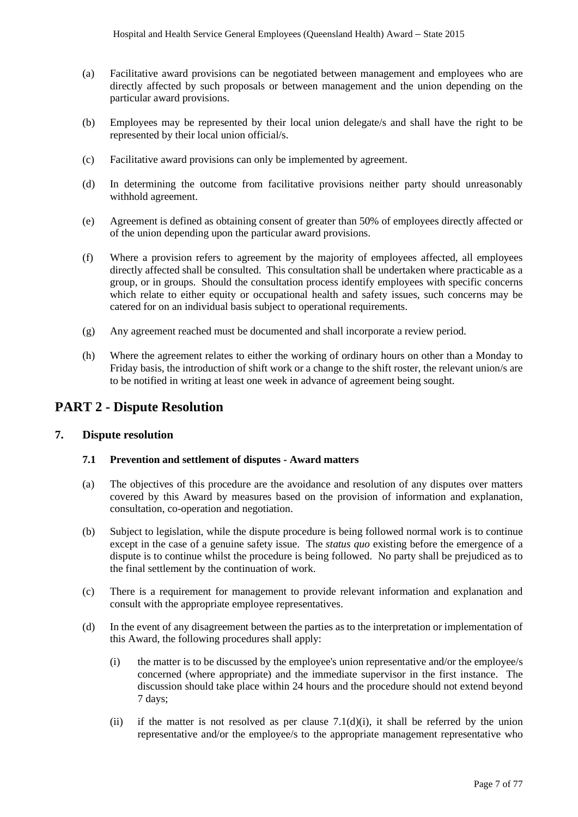- (a) Facilitative award provisions can be negotiated between management and employees who are directly affected by such proposals or between management and the union depending on the particular award provisions.
- (b) Employees may be represented by their local union delegate/s and shall have the right to be represented by their local union official/s.
- (c) Facilitative award provisions can only be implemented by agreement.
- (d) In determining the outcome from facilitative provisions neither party should unreasonably withhold agreement.
- (e) Agreement is defined as obtaining consent of greater than 50% of employees directly affected or of the union depending upon the particular award provisions.
- (f) Where a provision refers to agreement by the majority of employees affected, all employees directly affected shall be consulted. This consultation shall be undertaken where practicable as a group, or in groups. Should the consultation process identify employees with specific concerns which relate to either equity or occupational health and safety issues, such concerns may be catered for on an individual basis subject to operational requirements.
- (g) Any agreement reached must be documented and shall incorporate a review period.
- (h) Where the agreement relates to either the working of ordinary hours on other than a Monday to Friday basis, the introduction of shift work or a change to the shift roster, the relevant union/s are to be notified in writing at least one week in advance of agreement being sought.

# <span id="page-6-0"></span>**PART 2 - Dispute Resolution**

# <span id="page-6-1"></span>**7. Dispute resolution**

### **7.1 Prevention and settlement of disputes - Award matters**

- (a) The objectives of this procedure are the avoidance and resolution of any disputes over matters covered by this Award by measures based on the provision of information and explanation, consultation, co-operation and negotiation.
- (b) Subject to legislation, while the dispute procedure is being followed normal work is to continue except in the case of a genuine safety issue. The *status quo* existing before the emergence of a dispute is to continue whilst the procedure is being followed. No party shall be prejudiced as to the final settlement by the continuation of work.
- (c) There is a requirement for management to provide relevant information and explanation and consult with the appropriate employee representatives.
- (d) In the event of any disagreement between the parties as to the interpretation or implementation of this Award, the following procedures shall apply:
	- (i) the matter is to be discussed by the employee's union representative and/or the employee/s concerned (where appropriate) and the immediate supervisor in the first instance. The discussion should take place within 24 hours and the procedure should not extend beyond 7 days;
	- (ii) if the matter is not resolved as per clause  $7.1(d)(i)$ , it shall be referred by the union representative and/or the employee/s to the appropriate management representative who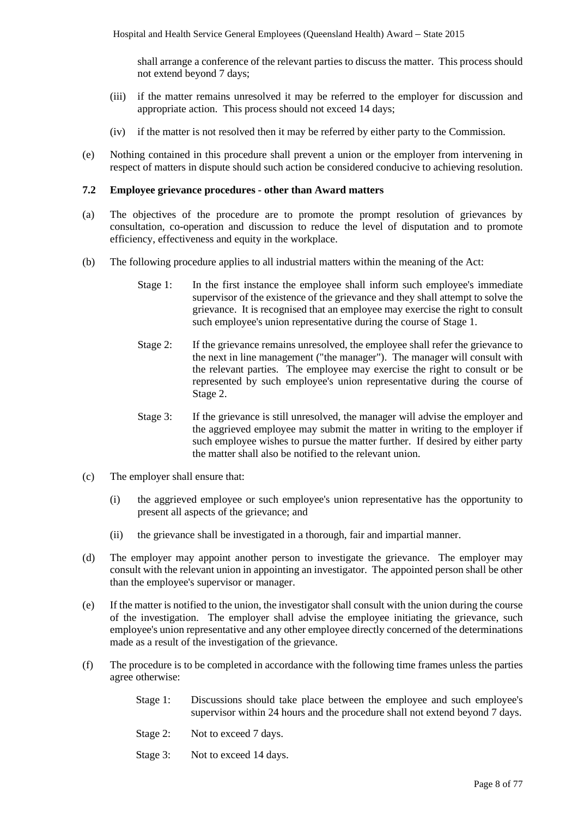shall arrange a conference of the relevant parties to discuss the matter. This process should not extend beyond 7 days;

- (iii) if the matter remains unresolved it may be referred to the employer for discussion and appropriate action. This process should not exceed 14 days;
- (iv) if the matter is not resolved then it may be referred by either party to the Commission.
- (e) Nothing contained in this procedure shall prevent a union or the employer from intervening in respect of matters in dispute should such action be considered conducive to achieving resolution.

#### **7.2 Employee grievance procedures - other than Award matters**

- (a) The objectives of the procedure are to promote the prompt resolution of grievances by consultation, co-operation and discussion to reduce the level of disputation and to promote efficiency, effectiveness and equity in the workplace.
- (b) The following procedure applies to all industrial matters within the meaning of the Act:
	- Stage 1: In the first instance the employee shall inform such employee's immediate supervisor of the existence of the grievance and they shall attempt to solve the grievance. It is recognised that an employee may exercise the right to consult such employee's union representative during the course of Stage 1.
	- Stage 2: If the grievance remains unresolved, the employee shall refer the grievance to the next in line management ("the manager"). The manager will consult with the relevant parties. The employee may exercise the right to consult or be represented by such employee's union representative during the course of Stage 2.
	- Stage 3: If the grievance is still unresolved, the manager will advise the employer and the aggrieved employee may submit the matter in writing to the employer if such employee wishes to pursue the matter further. If desired by either party the matter shall also be notified to the relevant union.
- (c) The employer shall ensure that:
	- (i) the aggrieved employee or such employee's union representative has the opportunity to present all aspects of the grievance; and
	- (ii) the grievance shall be investigated in a thorough, fair and impartial manner.
- (d) The employer may appoint another person to investigate the grievance. The employer may consult with the relevant union in appointing an investigator. The appointed person shall be other than the employee's supervisor or manager.
- (e) If the matter is notified to the union, the investigator shall consult with the union during the course of the investigation. The employer shall advise the employee initiating the grievance, such employee's union representative and any other employee directly concerned of the determinations made as a result of the investigation of the grievance.
- (f) The procedure is to be completed in accordance with the following time frames unless the parties agree otherwise:
	- Stage 1: Discussions should take place between the employee and such employee's supervisor within 24 hours and the procedure shall not extend beyond 7 days.
	- Stage 2: Not to exceed 7 days.
	- Stage 3: Not to exceed 14 days.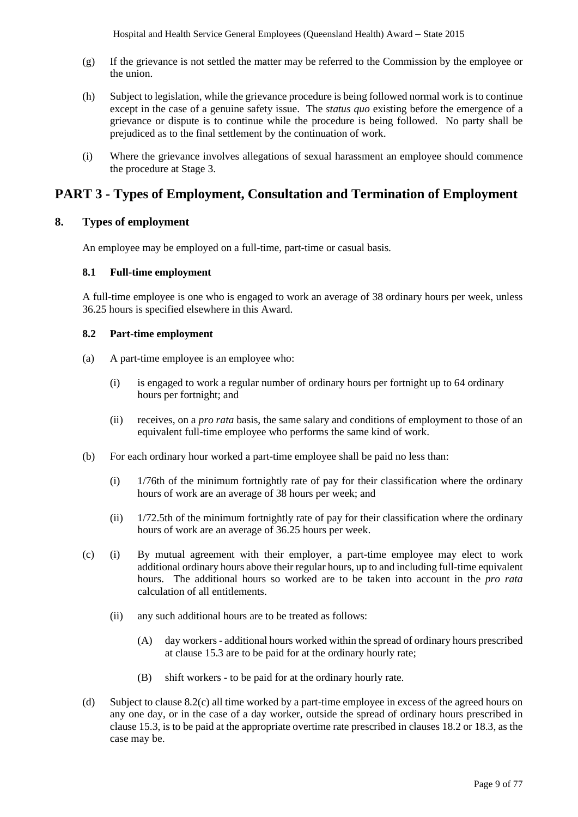- (g) If the grievance is not settled the matter may be referred to the Commission by the employee or the union.
- (h) Subject to legislation, while the grievance procedure is being followed normal work is to continue except in the case of a genuine safety issue. The *status quo* existing before the emergence of a grievance or dispute is to continue while the procedure is being followed. No party shall be prejudiced as to the final settlement by the continuation of work.
- (i) Where the grievance involves allegations of sexual harassment an employee should commence the procedure at Stage 3.

# <span id="page-8-0"></span>**PART 3 - Types of Employment, Consultation and Termination of Employment**

# <span id="page-8-1"></span>**8. Types of employment**

An employee may be employed on a full-time, part-time or casual basis.

#### **8.1 Full-time employment**

A full-time employee is one who is engaged to work an average of 38 ordinary hours per week, unless 36.25 hours is specified elsewhere in this Award.

### **8.2 Part-time employment**

- (a) A part-time employee is an employee who:
	- (i) is engaged to work a regular number of ordinary hours per fortnight up to 64 ordinary hours per fortnight; and
	- (ii) receives, on a *pro rata* basis, the same salary and conditions of employment to those of an equivalent full-time employee who performs the same kind of work.
- (b) For each ordinary hour worked a part-time employee shall be paid no less than:
	- (i) 1/76th of the minimum fortnightly rate of pay for their classification where the ordinary hours of work are an average of 38 hours per week; and
	- (ii) 1/72.5th of the minimum fortnightly rate of pay for their classification where the ordinary hours of work are an average of 36.25 hours per week.
- (c) (i) By mutual agreement with their employer, a part-time employee may elect to work additional ordinary hours above their regular hours, up to and including full-time equivalent hours. The additional hours so worked are to be taken into account in the *pro rata* calculation of all entitlements.
	- (ii) any such additional hours are to be treated as follows:
		- (A) day workers additional hours worked within the spread of ordinary hours prescribed at clause 15.3 are to be paid for at the ordinary hourly rate;
		- (B) shift workers to be paid for at the ordinary hourly rate.
- (d) Subject to clause 8.2(c) all time worked by a part-time employee in excess of the agreed hours on any one day, or in the case of a day worker, outside the spread of ordinary hours prescribed in clause 15.3, is to be paid at the appropriate overtime rate prescribed in clauses 18.2 or 18.3, as the case may be.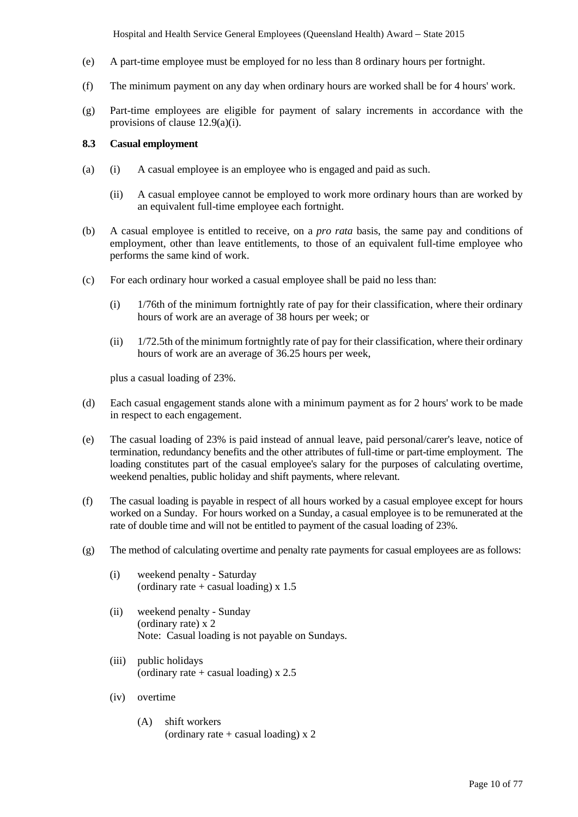Hospital and Health Service General Employees (Queensland Health) Award *–* State 2015

- (e) A part-time employee must be employed for no less than 8 ordinary hours per fortnight.
- (f) The minimum payment on any day when ordinary hours are worked shall be for 4 hours' work.
- (g) Part-time employees are eligible for payment of salary increments in accordance with the provisions of clause 12.9(a)(i).

# **8.3 Casual employment**

- (a) (i) A casual employee is an employee who is engaged and paid as such.
	- (ii) A casual employee cannot be employed to work more ordinary hours than are worked by an equivalent full-time employee each fortnight.
- (b) A casual employee is entitled to receive, on a *pro rata* basis, the same pay and conditions of employment, other than leave entitlements, to those of an equivalent full-time employee who performs the same kind of work.
- (c) For each ordinary hour worked a casual employee shall be paid no less than:
	- $(i)$  1/76th of the minimum fortnightly rate of pay for their classification, where their ordinary hours of work are an average of 38 hours per week; or
	- (ii) 1/72.5th of the minimum fortnightly rate of pay for their classification, where their ordinary hours of work are an average of 36.25 hours per week,

plus a casual loading of 23%.

- (d) Each casual engagement stands alone with a minimum payment as for 2 hours' work to be made in respect to each engagement.
- (e) The casual loading of 23% is paid instead of annual leave, paid personal/carer's leave, notice of termination, redundancy benefits and the other attributes of full-time or part-time employment. The loading constitutes part of the casual employee's salary for the purposes of calculating overtime, weekend penalties, public holiday and shift payments, where relevant.
- (f) The casual loading is payable in respect of all hours worked by a casual employee except for hours worked on a Sunday. For hours worked on a Sunday, a casual employee is to be remunerated at the rate of double time and will not be entitled to payment of the casual loading of 23%.
- (g) The method of calculating overtime and penalty rate payments for casual employees are as follows:
	- (i) weekend penalty Saturday (ordinary rate  $+$  casual loading) x 1.5
	- (ii) weekend penalty Sunday (ordinary rate) x 2 Note: Casual loading is not payable on Sundays.
	- (iii) public holidays (ordinary rate  $+$  casual loading) x 2.5
	- (iv) overtime
		- (A) shift workers (ordinary rate  $+$  casual loading) x 2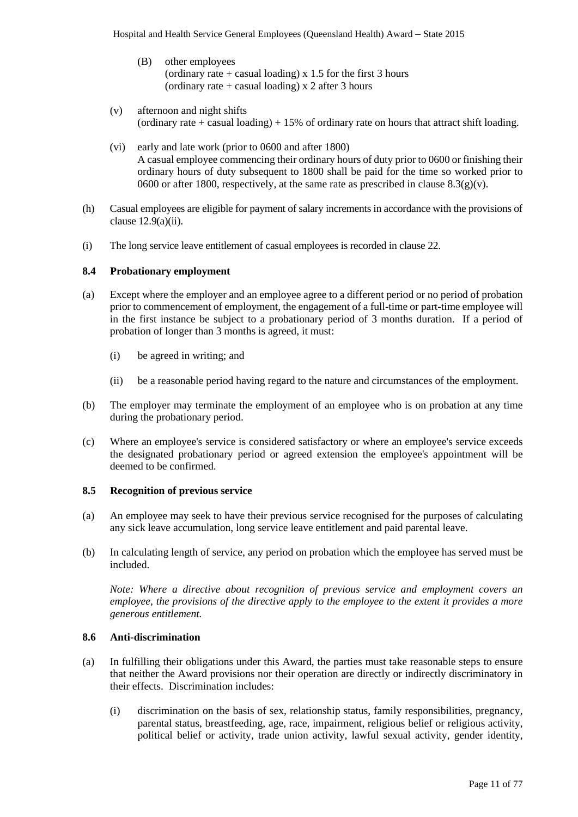- (B) other employees (ordinary rate  $+$  casual loading) x 1.5 for the first 3 hours (ordinary rate  $+$  casual loading) x 2 after 3 hours
- (v) afternoon and night shifts (ordinary rate + casual loading)  $+ 15\%$  of ordinary rate on hours that attract shift loading.
- (vi) early and late work (prior to 0600 and after 1800) A casual employee commencing their ordinary hours of duty prior to 0600 or finishing their ordinary hours of duty subsequent to 1800 shall be paid for the time so worked prior to 0600 or after 1800, respectively, at the same rate as prescribed in clause  $8.3(g)(v)$ .
- (h) Casual employees are eligible for payment of salary increments in accordance with the provisions of clause  $12.9(a)(ii)$ .
- (i) The long service leave entitlement of casual employees is recorded in clause 22.

#### **8.4 Probationary employment**

- (a) Except where the employer and an employee agree to a different period or no period of probation prior to commencement of employment, the engagement of a full-time or part-time employee will in the first instance be subject to a probationary period of 3 months duration. If a period of probation of longer than 3 months is agreed, it must:
	- (i) be agreed in writing; and
	- (ii) be a reasonable period having regard to the nature and circumstances of the employment.
- (b) The employer may terminate the employment of an employee who is on probation at any time during the probationary period.
- (c) Where an employee's service is considered satisfactory or where an employee's service exceeds the designated probationary period or agreed extension the employee's appointment will be deemed to be confirmed.

#### **8.5 Recognition of previous service**

- (a) An employee may seek to have their previous service recognised for the purposes of calculating any sick leave accumulation, long service leave entitlement and paid parental leave.
- (b) In calculating length of service, any period on probation which the employee has served must be included.

*Note: Where a directive about recognition of previous service and employment covers an employee, the provisions of the directive apply to the employee to the extent it provides a more generous entitlement.* 

#### **8.6 Anti-discrimination**

- (a) In fulfilling their obligations under this Award, the parties must take reasonable steps to ensure that neither the Award provisions nor their operation are directly or indirectly discriminatory in their effects. Discrimination includes:
	- (i) discrimination on the basis of sex, relationship status, family responsibilities, pregnancy, parental status, breastfeeding, age, race, impairment, religious belief or religious activity, political belief or activity, trade union activity, lawful sexual activity, gender identity,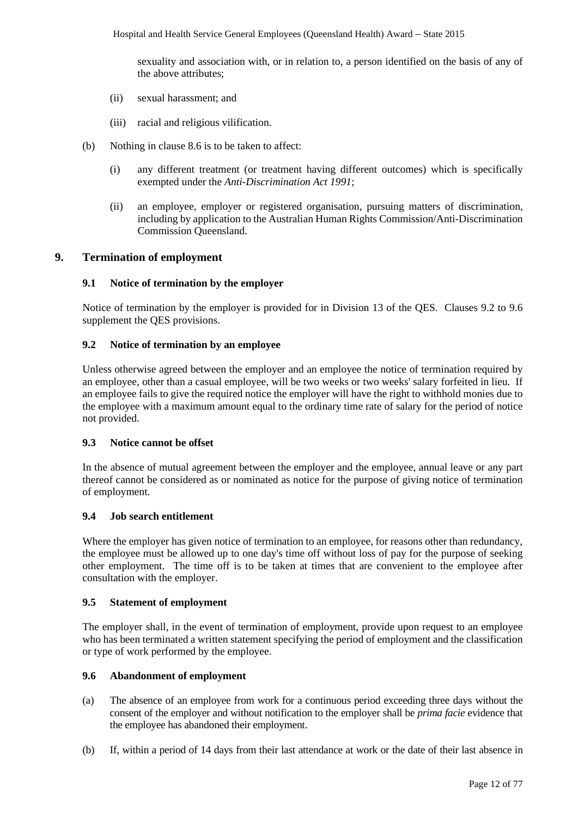sexuality and association with, or in relation to, a person identified on the basis of any of the above attributes;

- (ii) sexual harassment; and
- (iii) racial and religious vilification.
- (b) Nothing in clause 8.6 is to be taken to affect:
	- (i) any different treatment (or treatment having different outcomes) which is specifically exempted under the *Anti-Discrimination Act 1991*;
	- (ii) an employee, employer or registered organisation, pursuing matters of discrimination, including by application to the Australian Human Rights Commission/Anti-Discrimination Commission Queensland.

### <span id="page-11-0"></span>**9. Termination of employment**

#### **9.1 Notice of termination by the employer**

Notice of termination by the employer is provided for in Division 13 of the QES. Clauses 9.2 to 9.6 supplement the QES provisions.

#### **9.2 Notice of termination by an employee**

Unless otherwise agreed between the employer and an employee the notice of termination required by an employee, other than a casual employee, will be two weeks or two weeks' salary forfeited in lieu. If an employee fails to give the required notice the employer will have the right to withhold monies due to the employee with a maximum amount equal to the ordinary time rate of salary for the period of notice not provided.

#### **9.3 Notice cannot be offset**

In the absence of mutual agreement between the employer and the employee, annual leave or any part thereof cannot be considered as or nominated as notice for the purpose of giving notice of termination of employment.

### **9.4 Job search entitlement**

Where the employer has given notice of termination to an employee, for reasons other than redundancy, the employee must be allowed up to one day's time off without loss of pay for the purpose of seeking other employment. The time off is to be taken at times that are convenient to the employee after consultation with the employer.

#### **9.5 Statement of employment**

The employer shall, in the event of termination of employment, provide upon request to an employee who has been terminated a written statement specifying the period of employment and the classification or type of work performed by the employee.

# **9.6 Abandonment of employment**

- (a) The absence of an employee from work for a continuous period exceeding three days without the consent of the employer and without notification to the employer shall be *prima facie* evidence that the employee has abandoned their employment.
- (b) If, within a period of 14 days from their last attendance at work or the date of their last absence in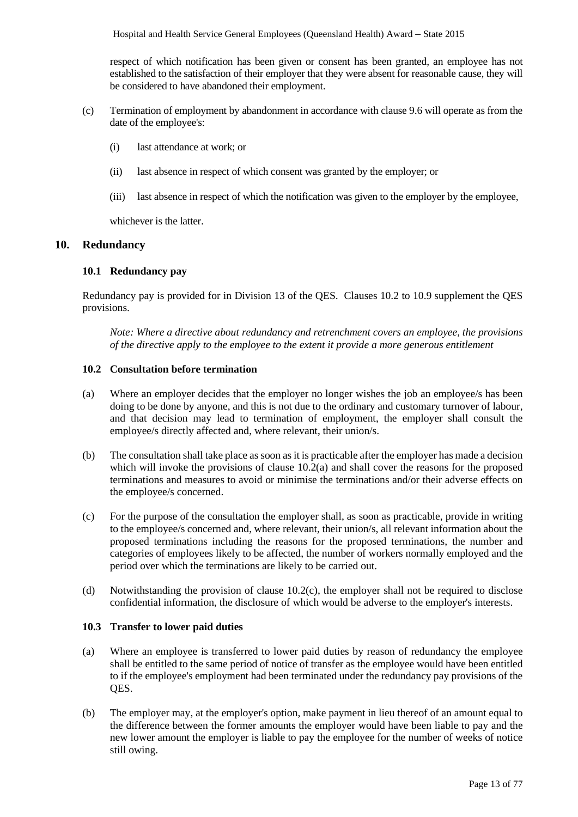respect of which notification has been given or consent has been granted, an employee has not established to the satisfaction of their employer that they were absent for reasonable cause, they will be considered to have abandoned their employment.

- (c) Termination of employment by abandonment in accordance with clause 9.6 will operate as from the date of the employee's:
	- (i) last attendance at work; or
	- (ii) last absence in respect of which consent was granted by the employer; or
	- (iii) last absence in respect of which the notification was given to the employer by the employee,

whichever is the latter.

### <span id="page-12-0"></span>**10. Redundancy**

# **10.1 Redundancy pay**

Redundancy pay is provided for in Division 13 of the QES. Clauses 10.2 to 10.9 supplement the QES provisions.

*Note: Where a directive about redundancy and retrenchment covers an employee, the provisions of the directive apply to the employee to the extent it provide a more generous entitlement*

#### **10.2 Consultation before termination**

- (a) Where an employer decides that the employer no longer wishes the job an employee/s has been doing to be done by anyone, and this is not due to the ordinary and customary turnover of labour, and that decision may lead to termination of employment, the employer shall consult the employee/s directly affected and, where relevant, their union/s.
- (b) The consultation shall take place as soon as it is practicable after the employer has made a decision which will invoke the provisions of clause 10.2(a) and shall cover the reasons for the proposed terminations and measures to avoid or minimise the terminations and/or their adverse effects on the employee/s concerned.
- (c) For the purpose of the consultation the employer shall, as soon as practicable, provide in writing to the employee/s concerned and, where relevant, their union/s, all relevant information about the proposed terminations including the reasons for the proposed terminations, the number and categories of employees likely to be affected, the number of workers normally employed and the period over which the terminations are likely to be carried out.
- (d) Notwithstanding the provision of clause 10.2(c), the employer shall not be required to disclose confidential information, the disclosure of which would be adverse to the employer's interests.

#### **10.3 Transfer to lower paid duties**

- (a) Where an employee is transferred to lower paid duties by reason of redundancy the employee shall be entitled to the same period of notice of transfer as the employee would have been entitled to if the employee's employment had been terminated under the redundancy pay provisions of the QES.
- (b) The employer may, at the employer's option, make payment in lieu thereof of an amount equal to the difference between the former amounts the employer would have been liable to pay and the new lower amount the employer is liable to pay the employee for the number of weeks of notice still owing.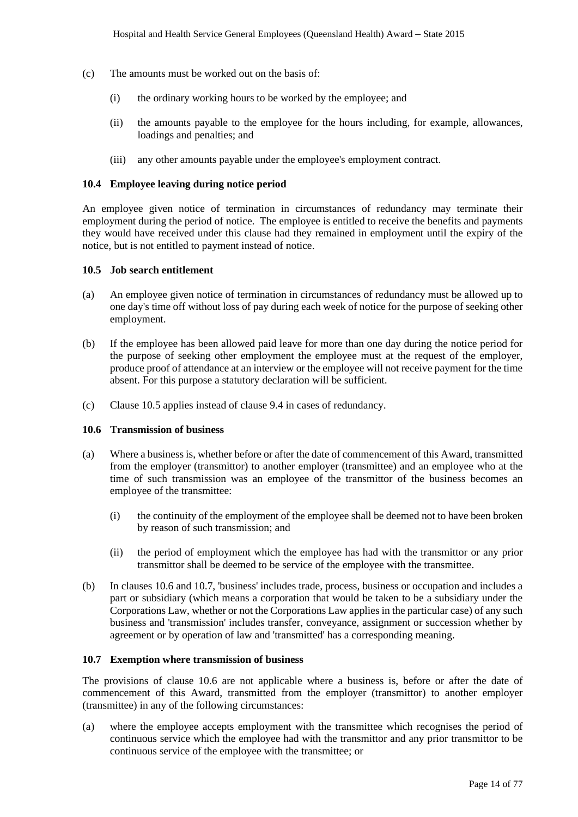- (c) The amounts must be worked out on the basis of:
	- (i) the ordinary working hours to be worked by the employee; and
	- (ii) the amounts payable to the employee for the hours including, for example, allowances, loadings and penalties; and
	- (iii) any other amounts payable under the employee's employment contract.

#### **10.4 Employee leaving during notice period**

An employee given notice of termination in circumstances of redundancy may terminate their employment during the period of notice. The employee is entitled to receive the benefits and payments they would have received under this clause had they remained in employment until the expiry of the notice, but is not entitled to payment instead of notice.

#### **10.5 Job search entitlement**

- (a) An employee given notice of termination in circumstances of redundancy must be allowed up to one day's time off without loss of pay during each week of notice for the purpose of seeking other employment.
- (b) If the employee has been allowed paid leave for more than one day during the notice period for the purpose of seeking other employment the employee must at the request of the employer, produce proof of attendance at an interview or the employee will not receive payment for the time absent. For this purpose a statutory declaration will be sufficient.
- (c) Clause 10.5 applies instead of clause 9.4 in cases of redundancy.

#### **10.6 Transmission of business**

- (a) Where a business is, whether before or after the date of commencement of this Award, transmitted from the employer (transmittor) to another employer (transmittee) and an employee who at the time of such transmission was an employee of the transmittor of the business becomes an employee of the transmittee:
	- (i) the continuity of the employment of the employee shall be deemed not to have been broken by reason of such transmission; and
	- (ii) the period of employment which the employee has had with the transmittor or any prior transmittor shall be deemed to be service of the employee with the transmittee.
- (b) In clauses 10.6 and 10.7, 'business' includes trade, process, business or occupation and includes a part or subsidiary (which means a corporation that would be taken to be a subsidiary under the Corporations Law, whether or not the Corporations Law applies in the particular case) of any such business and 'transmission' includes transfer, conveyance, assignment or succession whether by agreement or by operation of law and 'transmitted' has a corresponding meaning.

#### **10.7 Exemption where transmission of business**

The provisions of clause 10.6 are not applicable where a business is, before or after the date of commencement of this Award, transmitted from the employer (transmittor) to another employer (transmittee) in any of the following circumstances:

(a) where the employee accepts employment with the transmittee which recognises the period of continuous service which the employee had with the transmittor and any prior transmittor to be continuous service of the employee with the transmittee; or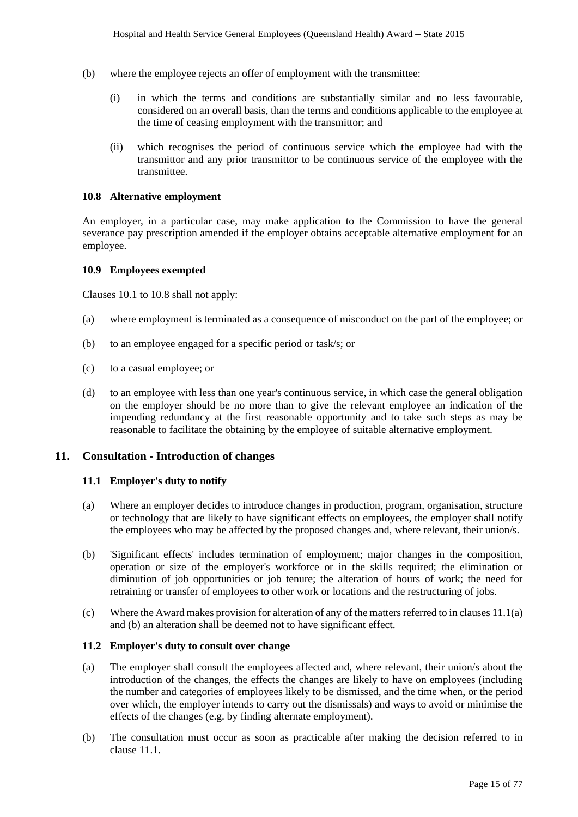- (b) where the employee rejects an offer of employment with the transmittee:
	- (i) in which the terms and conditions are substantially similar and no less favourable, considered on an overall basis, than the terms and conditions applicable to the employee at the time of ceasing employment with the transmittor; and
	- (ii) which recognises the period of continuous service which the employee had with the transmittor and any prior transmittor to be continuous service of the employee with the transmittee.

#### **10.8 Alternative employment**

An employer, in a particular case, may make application to the Commission to have the general severance pay prescription amended if the employer obtains acceptable alternative employment for an employee.

#### **10.9 Employees exempted**

Clauses 10.1 to 10.8 shall not apply:

- (a) where employment is terminated as a consequence of misconduct on the part of the employee; or
- (b) to an employee engaged for a specific period or task/s; or
- (c) to a casual employee; or
- (d) to an employee with less than one year's continuous service, in which case the general obligation on the employer should be no more than to give the relevant employee an indication of the impending redundancy at the first reasonable opportunity and to take such steps as may be reasonable to facilitate the obtaining by the employee of suitable alternative employment.

### <span id="page-14-0"></span>**11. Consultation - Introduction of changes**

### **11.1 Employer's duty to notify**

- (a) Where an employer decides to introduce changes in production, program, organisation, structure or technology that are likely to have significant effects on employees, the employer shall notify the employees who may be affected by the proposed changes and, where relevant, their union/s.
- (b) 'Significant effects' includes termination of employment; major changes in the composition, operation or size of the employer's workforce or in the skills required; the elimination or diminution of job opportunities or job tenure; the alteration of hours of work; the need for retraining or transfer of employees to other work or locations and the restructuring of jobs.
- (c) Where the Award makes provision for alteration of any of the matters referred to in clauses 11.1(a) and (b) an alteration shall be deemed not to have significant effect.

# **11.2 Employer's duty to consult over change**

- (a) The employer shall consult the employees affected and, where relevant, their union/s about the introduction of the changes, the effects the changes are likely to have on employees (including the number and categories of employees likely to be dismissed, and the time when, or the period over which, the employer intends to carry out the dismissals) and ways to avoid or minimise the effects of the changes (e.g. by finding alternate employment).
- (b) The consultation must occur as soon as practicable after making the decision referred to in clause 11.1.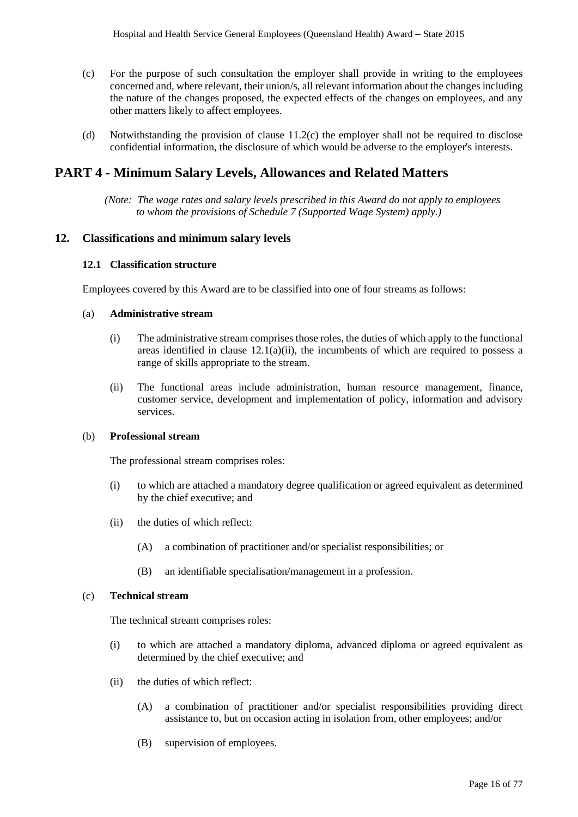- (c) For the purpose of such consultation the employer shall provide in writing to the employees concerned and, where relevant, their union/s, all relevant information about the changes including the nature of the changes proposed, the expected effects of the changes on employees, and any other matters likely to affect employees.
- (d) Notwithstanding the provision of clause 11.2(c) the employer shall not be required to disclose confidential information, the disclosure of which would be adverse to the employer's interests.

# <span id="page-15-0"></span>**PART 4 - Minimum Salary Levels, Allowances and Related Matters**

*(Note: The wage rates and salary levels prescribed in this Award do not apply to employees to whom the provisions of Schedule 7 (Supported Wage System) apply.)*

### <span id="page-15-1"></span>**12. Classifications and minimum salary levels**

#### **12.1 Classification structure**

Employees covered by this Award are to be classified into one of four streams as follows:

#### (a) **Administrative stream**

- (i) The administrative stream comprises those roles, the duties of which apply to the functional areas identified in clause  $12.1(a)(ii)$ , the incumbents of which are required to possess a range of skills appropriate to the stream.
- (ii) The functional areas include administration, human resource management, finance, customer service, development and implementation of policy, information and advisory services.

# (b) **Professional stream**

The professional stream comprises roles:

- (i) to which are attached a mandatory degree qualification or agreed equivalent as determined by the chief executive; and
- (ii) the duties of which reflect:
	- (A) a combination of practitioner and/or specialist responsibilities; or
	- (B) an identifiable specialisation/management in a profession.

#### (c) **Technical stream**

The technical stream comprises roles:

- (i) to which are attached a mandatory diploma, advanced diploma or agreed equivalent as determined by the chief executive; and
- (ii) the duties of which reflect:
	- (A) a combination of practitioner and/or specialist responsibilities providing direct assistance to, but on occasion acting in isolation from, other employees; and/or
	- (B) supervision of employees.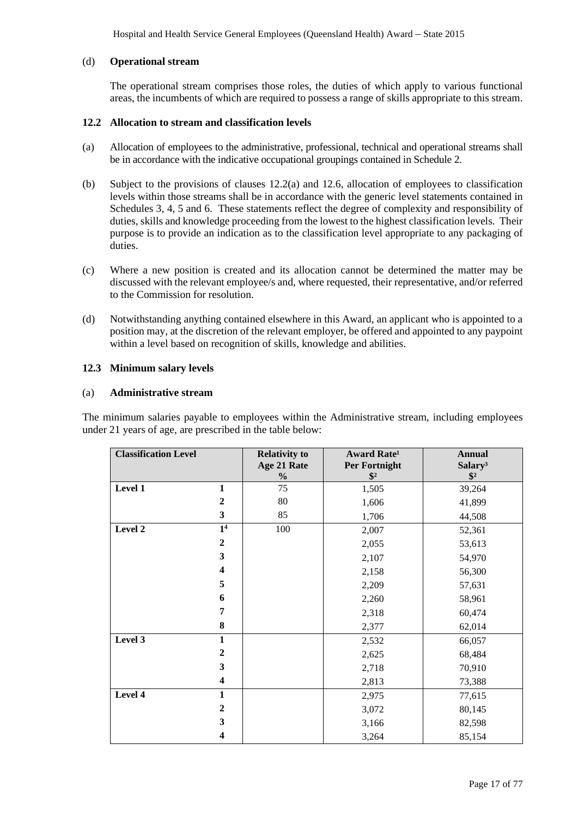Hospital and Health Service General Employees (Queensland Health) Award *–* State 2015

# (d) **Operational stream**

The operational stream comprises those roles, the duties of which apply to various functional areas, the incumbents of which are required to possess a range of skills appropriate to this stream.

#### **12.2 Allocation to stream and classification levels**

- (a) Allocation of employees to the administrative, professional, technical and operational streams shall be in accordance with the indicative occupational groupings contained in Schedule 2.
- (b) Subject to the provisions of clauses 12.2(a) and 12.6, allocation of employees to classification levels within those streams shall be in accordance with the generic level statements contained in Schedules 3, 4, 5 and 6. These statements reflect the degree of complexity and responsibility of duties, skills and knowledge proceeding from the lowest to the highest classification levels. Their purpose is to provide an indication as to the classification level appropriate to any packaging of duties.
- (c) Where a new position is created and its allocation cannot be determined the matter may be discussed with the relevant employee/s and, where requested, their representative, and/or referred to the Commission for resolution.
- (d) Notwithstanding anything contained elsewhere in this Award, an applicant who is appointed to a position may, at the discretion of the relevant employer, be offered and appointed to any paypoint within a level based on recognition of skills, knowledge and abilities.

### **12.3 Minimum salary levels**

#### (a) **Administrative stream**

The minimum salaries payable to employees within the Administrative stream, including employees under 21 years of age, are prescribed in the table below:

| <b>Classification Level</b> |                         | <b>Relativity to</b>         | <b>Award Rate<sup>1</sup></b>         | <b>Annual</b>                        |
|-----------------------------|-------------------------|------------------------------|---------------------------------------|--------------------------------------|
|                             |                         | Age 21 Rate<br>$\frac{0}{0}$ | <b>Per Fortnight</b><br>$\frac{1}{2}$ | Salary <sup>3</sup><br>$\frac{1}{2}$ |
| Level 1                     | $\mathbf{1}$            | 75                           | 1,505                                 | 39,264                               |
|                             | $\boldsymbol{2}$        | 80                           | 1,606                                 | 41,899                               |
|                             | $\overline{\mathbf{3}}$ | 85                           | 1,706                                 | 44,508                               |
| Level 2                     | $\overline{1^4}$        | 100                          | 2,007                                 | 52,361                               |
|                             | $\boldsymbol{2}$        |                              | 2,055                                 | 53,613                               |
|                             | 3                       |                              | 2,107                                 | 54,970                               |
|                             | $\overline{\mathbf{4}}$ |                              | 2,158                                 | 56,300                               |
|                             | 5                       |                              | 2,209                                 | 57,631                               |
|                             | 6                       |                              | 2,260                                 | 58,961                               |
|                             | 7                       |                              | 2,318                                 | 60,474                               |
|                             | 8                       |                              | 2,377                                 | 62,014                               |
| Level 3                     | $\mathbf{1}$            |                              | 2,532                                 | 66,057                               |
|                             | $\boldsymbol{2}$        |                              | 2,625                                 | 68,484                               |
|                             | 3                       |                              | 2,718                                 | 70,910                               |
|                             | $\overline{\mathbf{4}}$ |                              | 2,813                                 | 73,388                               |
| Level 4                     | 1                       |                              | 2,975                                 | 77,615                               |
|                             | $\boldsymbol{2}$        |                              | 3,072                                 | 80,145                               |
|                             | 3                       |                              | 3,166                                 | 82,598                               |
|                             | 4                       |                              | 3,264                                 | 85,154                               |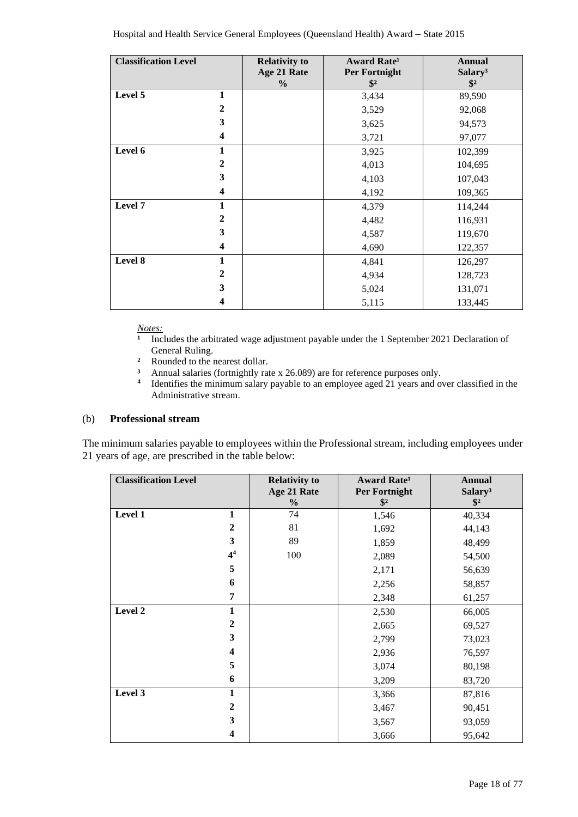| <b>Classification Level</b> |              | <b>Relativity to</b><br>Age 21 Rate<br>$\%$ | Award Rate <sup>1</sup><br>Per Fortnight<br>$\mathbf{\$}^2$ | <b>Annual</b><br>Salary <sup>3</sup><br>$\mathbf{\$}^2$ |
|-----------------------------|--------------|---------------------------------------------|-------------------------------------------------------------|---------------------------------------------------------|
| Level 5                     | $\mathbf{1}$ |                                             | 3,434                                                       | 89,590                                                  |
|                             | $\mathbf{2}$ |                                             | 3,529                                                       | 92,068                                                  |
|                             | 3            |                                             | 3,625                                                       | 94,573                                                  |
|                             | 4            |                                             | 3,721                                                       | 97,077                                                  |
| Level 6                     | $\mathbf{1}$ |                                             | 3,925                                                       | 102,399                                                 |
|                             | $\mathbf{2}$ |                                             | 4,013                                                       | 104,695                                                 |
|                             | 3            |                                             | 4,103                                                       | 107,043                                                 |
|                             | 4            |                                             | 4,192                                                       | 109,365                                                 |
| Level 7                     | $\mathbf{1}$ |                                             | 4,379                                                       | 114,244                                                 |
|                             | $\mathbf{2}$ |                                             | 4,482                                                       | 116,931                                                 |
|                             | 3            |                                             | 4,587                                                       | 119,670                                                 |
|                             | 4            |                                             | 4,690                                                       | 122,357                                                 |
| Level 8                     | $\mathbf{1}$ |                                             | 4,841                                                       | 126,297                                                 |
|                             | $\mathbf{2}$ |                                             | 4,934                                                       | 128,723                                                 |
|                             | 3            |                                             | 5,024                                                       | 131,071                                                 |
|                             | 4            |                                             | 5,115                                                       | 133,445                                                 |

*Notes:*

- **¹** Includes the arbitrated wage adjustment payable under the 1 September 2021 Declaration of General Ruling.
- **²** Rounded to the nearest dollar.
- <sup>3</sup> Annual salaries (fortnightly rate x 26.089) are for reference purposes only.<br><sup>4</sup> Identifies the minimum salary payable to an employee aged 21 years and of
- **<sup>4</sup>** Identifies the minimum salary payable to an employee aged 21 years and over classified in the Administrative stream.

# (b) **Professional stream**

The minimum salaries payable to employees within the Professional stream, including employees under 21 years of age, are prescribed in the table below:

| <b>Classification Level</b> | <b>Relativity to</b> | <b>Award Rate</b> <sup>1</sup> | <b>Annual</b>       |
|-----------------------------|----------------------|--------------------------------|---------------------|
|                             | Age 21 Rate          | Per Fortnight                  | Salary <sup>3</sup> |
|                             | $\frac{0}{0}$        | $\frac{1}{2}$                  | $\sqrt[6]{2}$       |
| Level 1<br>$\mathbf{1}$     | 74                   | 1,546                          | 40,334              |
| $\overline{2}$              | 81                   | 1,692                          | 44,143              |
| $\overline{\mathbf{3}}$     | 89                   | 1,859                          | 48,499              |
| 4 <sup>4</sup>              | 100                  | 2,089                          | 54,500              |
| 5                           |                      | 2,171                          | 56,639              |
| 6                           |                      | 2,256                          | 58,857              |
| 7                           |                      | 2,348                          | 61,257              |
| Level 2<br>1                |                      | 2,530                          | 66,005              |
| $\boldsymbol{2}$            |                      | 2,665                          | 69,527              |
| $\overline{\mathbf{3}}$     |                      | 2,799                          | 73,023              |
| 4                           |                      | 2,936                          | 76,597              |
| 5                           |                      | 3,074                          | 80,198              |
| 6                           |                      | 3,209                          | 83,720              |
| Level 3<br>1                |                      | 3,366                          | 87,816              |
| $\mathbf{2}$                |                      | 3,467                          | 90,451              |
| 3                           |                      | 3,567                          | 93,059              |
| 4                           |                      | 3,666                          | 95,642              |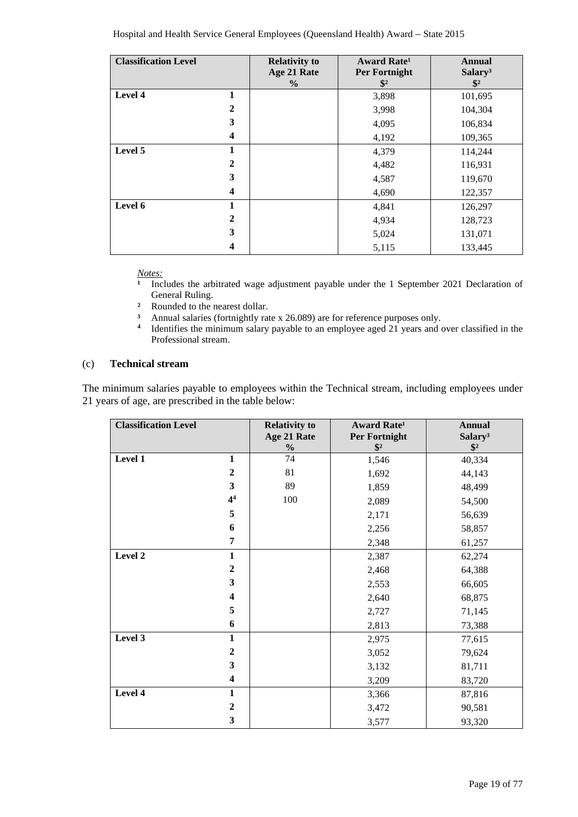| <b>Classification Level</b> |              | <b>Relativity to</b> | <b>Award Rate</b> <sup>1</sup> | <b>Annual</b>       |
|-----------------------------|--------------|----------------------|--------------------------------|---------------------|
|                             |              | Age 21 Rate          | Per Fortnight                  | Salary <sup>3</sup> |
|                             |              | $\frac{6}{9}$        | $\frac{1}{2}$                  | $\frac{1}{2}$       |
| Level 4                     | 1            |                      | 3,898                          | 101,695             |
|                             | $\mathbf{2}$ |                      | 3,998                          | 104,304             |
|                             | 3            |                      | 4,095                          | 106,834             |
|                             | 4            |                      | 4,192                          | 109,365             |
| Level 5                     |              |                      | 4,379                          | 114,244             |
|                             | $\mathbf{2}$ |                      | 4,482                          | 116,931             |
|                             | 3            |                      | 4,587                          | 119,670             |
|                             | 4            |                      | 4,690                          | 122,357             |
| Level 6                     | 1            |                      | 4,841                          | 126,297             |
|                             | $\mathbf{2}$ |                      | 4,934                          | 128,723             |
|                             | 3            |                      | 5,024                          | 131,071             |
|                             | 4            |                      | 5,115                          | 133,445             |

*<u>Notes:</u>*<br>1 Inc.

- **¹** Includes the arbitrated wage adjustment payable under the 1 September 2021 Declaration of General Ruling.
- <sup>2</sup> Rounded to the nearest dollar.<br><sup>3</sup> Annual salaries (fortnightly rate
- <sup>3</sup> Annual salaries (fortnightly rate x 26.089) are for reference purposes only.<br><sup>4</sup> Identifies the minimum salary payable to an employee aged 21 years and *c*
- **<sup>4</sup>** Identifies the minimum salary payable to an employee aged 21 years and over classified in the Professional stream.

#### (c) **Technical stream**

The minimum salaries payable to employees within the Technical stream, including employees under 21 years of age, are prescribed in the table below:

| <b>Classification Level</b> |                         | <b>Relativity to</b><br>Age 21 Rate<br>$\frac{0}{0}$ | <b>Award Rate<sup>1</sup></b><br>Per Fortnight<br>$\frac{1}{2}$ | <b>Annual</b><br>Salary <sup>3</sup><br>$\frac{1}{2}$ |
|-----------------------------|-------------------------|------------------------------------------------------|-----------------------------------------------------------------|-------------------------------------------------------|
| Level 1                     | $\mathbf{1}$            | 74                                                   | 1,546                                                           | 40,334                                                |
|                             | $\boldsymbol{2}$        | 81                                                   | 1,692                                                           | 44,143                                                |
|                             | $\overline{\mathbf{3}}$ | 89                                                   | 1,859                                                           | 48,499                                                |
|                             | 4 <sup>4</sup>          | 100                                                  | 2,089                                                           | 54,500                                                |
|                             | 5                       |                                                      | 2,171                                                           | 56,639                                                |
|                             | 6                       |                                                      | 2,256                                                           | 58,857                                                |
|                             | 7                       |                                                      | 2,348                                                           | 61,257                                                |
| Level 2                     | $\mathbf{1}$            |                                                      | 2,387                                                           | 62,274                                                |
|                             | $\boldsymbol{2}$        |                                                      | 2,468                                                           | 64,388                                                |
|                             | $\overline{\mathbf{3}}$ |                                                      | 2,553                                                           | 66,605                                                |
|                             | $\overline{\mathbf{4}}$ |                                                      | 2,640                                                           | 68,875                                                |
|                             | 5                       |                                                      | 2,727                                                           | 71,145                                                |
|                             | 6                       |                                                      | 2,813                                                           | 73,388                                                |
| Level 3                     | $\mathbf{1}$            |                                                      | 2,975                                                           | 77,615                                                |
|                             | $\boldsymbol{2}$        |                                                      | 3,052                                                           | 79,624                                                |
|                             | $\mathbf{3}$            |                                                      | 3,132                                                           | 81,711                                                |
|                             | $\overline{\mathbf{4}}$ |                                                      | 3,209                                                           | 83,720                                                |
| Level 4                     | $\mathbf{1}$            |                                                      | 3,366                                                           | 87,816                                                |
|                             | $\boldsymbol{2}$        |                                                      | 3,472                                                           | 90,581                                                |
|                             | $\overline{\mathbf{3}}$ |                                                      | 3,577                                                           | 93,320                                                |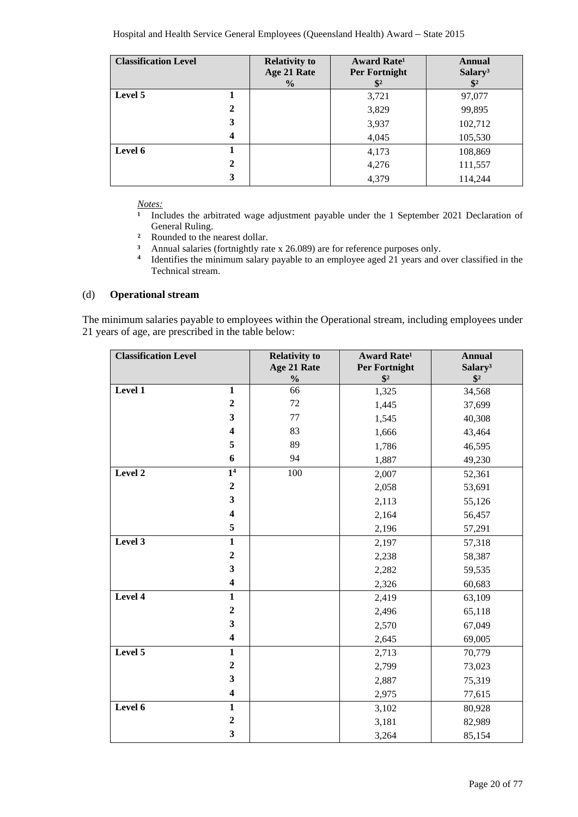| <b>Classification Level</b> |              | <b>Relativity to</b><br>Age 21 Rate<br>$\frac{6}{6}$ | Award Rate <sup>1</sup><br>Per Fortnight<br>$\mathbb{S}^2$ | <b>Annual</b><br>Salary <sup>3</sup><br>$\mathbf{\$}^2$ |
|-----------------------------|--------------|------------------------------------------------------|------------------------------------------------------------|---------------------------------------------------------|
| Level 5                     |              |                                                      | 3,721                                                      | 97,077                                                  |
|                             | $\mathbf{2}$ |                                                      | 3,829                                                      | 99,895                                                  |
|                             | 3            |                                                      | 3,937                                                      | 102,712                                                 |
|                             | 4            |                                                      | 4,045                                                      | 105,530                                                 |
| Level 6                     |              |                                                      | 4,173                                                      | 108,869                                                 |
|                             | $\mathbf{2}$ |                                                      | 4,276                                                      | 111,557                                                 |
|                             | 3            |                                                      | 4,379                                                      | 114,244                                                 |

*Notes:*

- <sup>1</sup> Includes the arbitrated wage adjustment payable under the 1 September 2021 Declaration of General Ruling.
- **²** Rounded to the nearest dollar.
- <sup>3</sup> Annual salaries (fortnightly rate x 26.089) are for reference purposes only.<br><sup>4</sup> Identifies the minimum salary payable to an employee aged 21 years and c
- **<sup>4</sup>** Identifies the minimum salary payable to an employee aged 21 years and over classified in the Technical stream.

#### (d) **Operational stream**

The minimum salaries payable to employees within the Operational stream, including employees under 21 years of age, are prescribed in the table below:

| <b>Classification Level</b> |                         | <b>Relativity to</b> | Award Rate <sup>1</sup> | <b>Annual</b>       |
|-----------------------------|-------------------------|----------------------|-------------------------|---------------------|
|                             |                         | Age 21 Rate          | <b>Per Fortnight</b>    | Salary <sup>3</sup> |
|                             |                         | $\frac{0}{0}$        | $\sqrt[6]{3}$           | $\sqrt[6]{3}$       |
| Level 1                     | $\mathbf{1}$            | 66                   | 1,325                   | 34,568              |
|                             | $\boldsymbol{2}$        | 72                   | 1,445                   | 37,699              |
|                             | $\overline{\mathbf{3}}$ | 77                   | 1,545                   | 40,308              |
|                             | $\overline{\mathbf{4}}$ | 83                   | 1,666                   | 43,464              |
|                             | 5                       | 89                   | 1,786                   | 46,595              |
|                             | 6                       | 94                   | 1,887                   | 49,230              |
| Level 2                     | $\overline{1^4}$        | 100                  | 2,007                   | 52,361              |
|                             | $\boldsymbol{2}$        |                      | 2,058                   | 53,691              |
|                             | $\mathbf{3}$            |                      | 2,113                   | 55,126              |
|                             | $\overline{\mathbf{4}}$ |                      | 2,164                   | 56,457              |
|                             | 5                       |                      | 2,196                   | 57,291              |
| Level 3                     | $\mathbf{1}$            |                      | 2,197                   | 57,318              |
|                             | $\overline{2}$          |                      | 2,238                   | 58,387              |
|                             | $\overline{\mathbf{3}}$ |                      | 2,282                   | 59,535              |
|                             | $\overline{\mathbf{4}}$ |                      | 2,326                   | 60,683              |
| Level 4                     | $\mathbf{1}$            |                      | 2,419                   | 63,109              |
|                             | $\overline{2}$          |                      | 2,496                   | 65,118              |
|                             | $\mathbf{3}$            |                      | 2,570                   | 67,049              |
|                             | $\overline{\mathbf{4}}$ |                      | 2,645                   | 69,005              |
| Level 5                     | $\mathbf{1}$            |                      | 2,713                   | 70,779              |
|                             | $\boldsymbol{2}$        |                      | 2,799                   | 73,023              |
|                             | $\overline{\mathbf{3}}$ |                      | 2,887                   | 75,319              |
|                             | $\overline{\mathbf{4}}$ |                      | 2,975                   | 77,615              |
| Level 6                     | $\mathbf{1}$            |                      | 3,102                   | 80,928              |
|                             | $\boldsymbol{2}$        |                      | 3,181                   | 82,989              |
|                             | $\overline{\mathbf{3}}$ |                      | 3,264                   | 85,154              |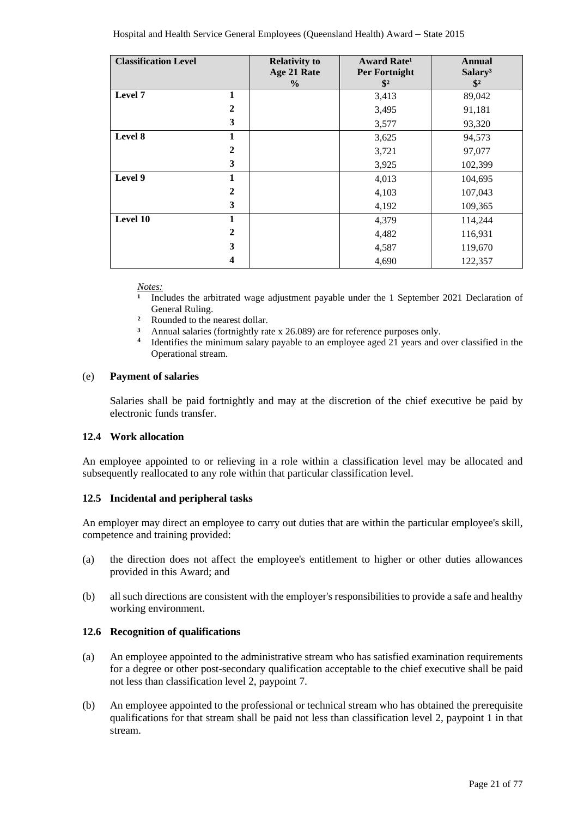| <b>Classification Level</b> |              | <b>Relativity to</b> | Award Rate <sup>1</sup> | <b>Annual</b>       |
|-----------------------------|--------------|----------------------|-------------------------|---------------------|
|                             |              | Age 21 Rate          | Per Fortnight           | Salary <sup>3</sup> |
|                             |              | $\frac{6}{9}$        | $\frac{1}{2}$           | $\sqrt{$2}$         |
| Level 7                     | 1            |                      | 3,413                   | 89,042              |
|                             | $\mathbf{2}$ |                      | 3,495                   | 91,181              |
|                             | 3            |                      | 3,577                   | 93,320              |
| Level 8                     | 1            |                      | 3,625                   | 94,573              |
|                             | $\mathbf{2}$ |                      | 3,721                   | 97,077              |
|                             | 3            |                      | 3,925                   | 102,399             |
| Level 9                     | 1            |                      | 4,013                   | 104,695             |
|                             | $\mathbf{2}$ |                      | 4,103                   | 107,043             |
|                             | 3            |                      | 4,192                   | 109,365             |
| Level 10                    | 1            |                      | 4,379                   | 114,244             |
|                             | $\mathbf{2}$ |                      | 4,482                   | 116,931             |
|                             | 3            |                      | 4,587                   | 119,670             |
|                             | 4            |                      | 4,690                   | 122,357             |

*Notes:*

<sup>1</sup> Includes the arbitrated wage adjustment payable under the 1 September 2021 Declaration of General Ruling.

- **²** Rounded to the nearest dollar.
- <sup>3</sup> Annual salaries (fortnightly rate x 26.089) are for reference purposes only.<br><sup>4</sup> Identifies the minimum salary payable to an ampleuse aged 21 years and a
- **<sup>4</sup>** Identifies the minimum salary payable to an employee aged 21 years and over classified in the Operational stream.

#### (e) **Payment of salaries**

Salaries shall be paid fortnightly and may at the discretion of the chief executive be paid by electronic funds transfer.

# **12.4 Work allocation**

An employee appointed to or relieving in a role within a classification level may be allocated and subsequently reallocated to any role within that particular classification level.

### **12.5 Incidental and peripheral tasks**

An employer may direct an employee to carry out duties that are within the particular employee's skill, competence and training provided:

- (a) the direction does not affect the employee's entitlement to higher or other duties allowances provided in this Award; and
- (b) all such directions are consistent with the employer's responsibilities to provide a safe and healthy working environment.

#### **12.6 Recognition of qualifications**

- (a) An employee appointed to the administrative stream who has satisfied examination requirements for a degree or other post-secondary qualification acceptable to the chief executive shall be paid not less than classification level 2, paypoint 7.
- (b) An employee appointed to the professional or technical stream who has obtained the prerequisite qualifications for that stream shall be paid not less than classification level 2, paypoint 1 in that stream.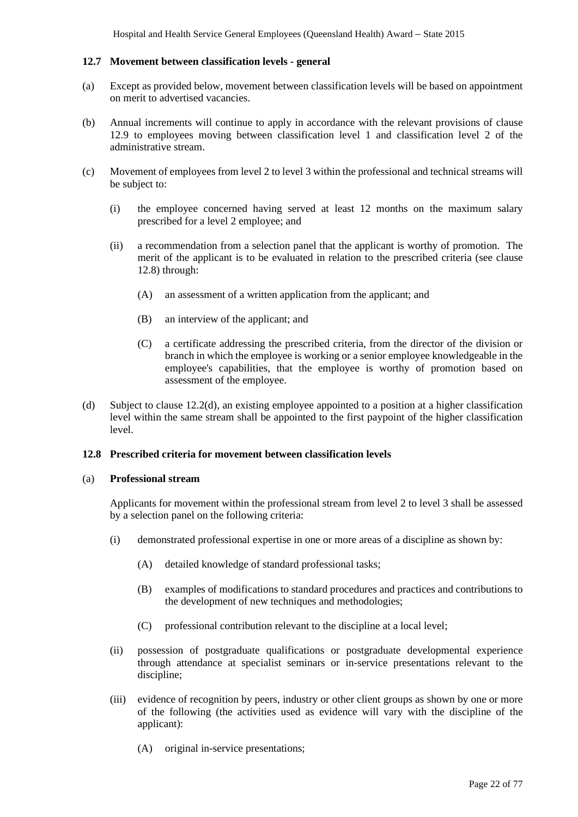### **12.7 Movement between classification levels - general**

- (a) Except as provided below, movement between classification levels will be based on appointment on merit to advertised vacancies.
- (b) Annual increments will continue to apply in accordance with the relevant provisions of clause 12.9 to employees moving between classification level 1 and classification level 2 of the administrative stream.
- (c) Movement of employees from level 2 to level 3 within the professional and technical streams will be subject to:
	- (i) the employee concerned having served at least 12 months on the maximum salary prescribed for a level 2 employee; and
	- (ii) a recommendation from a selection panel that the applicant is worthy of promotion. The merit of the applicant is to be evaluated in relation to the prescribed criteria (see clause 12.8) through:
		- (A) an assessment of a written application from the applicant; and
		- (B) an interview of the applicant; and
		- (C) a certificate addressing the prescribed criteria, from the director of the division or branch in which the employee is working or a senior employee knowledgeable in the employee's capabilities, that the employee is worthy of promotion based on assessment of the employee.
- (d) Subject to clause 12.2(d), an existing employee appointed to a position at a higher classification level within the same stream shall be appointed to the first paypoint of the higher classification level.

#### **12.8 Prescribed criteria for movement between classification levels**

#### (a) **Professional stream**

Applicants for movement within the professional stream from level 2 to level 3 shall be assessed by a selection panel on the following criteria:

- (i) demonstrated professional expertise in one or more areas of a discipline as shown by:
	- (A) detailed knowledge of standard professional tasks;
	- (B) examples of modifications to standard procedures and practices and contributions to the development of new techniques and methodologies;
	- (C) professional contribution relevant to the discipline at a local level;
- (ii) possession of postgraduate qualifications or postgraduate developmental experience through attendance at specialist seminars or in-service presentations relevant to the discipline;
- (iii) evidence of recognition by peers, industry or other client groups as shown by one or more of the following (the activities used as evidence will vary with the discipline of the applicant):
	- (A) original in-service presentations;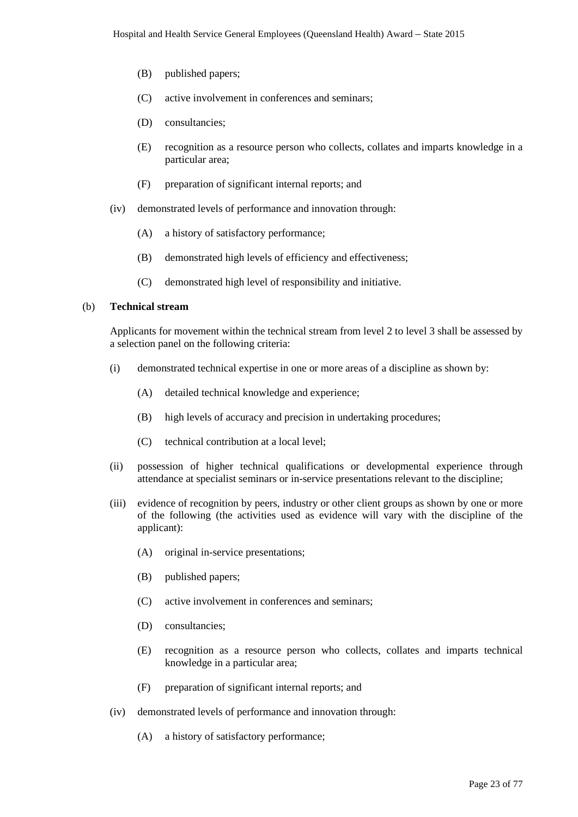- (B) published papers;
- (C) active involvement in conferences and seminars;
- (D) consultancies;
- (E) recognition as a resource person who collects, collates and imparts knowledge in a particular area;
- (F) preparation of significant internal reports; and
- (iv) demonstrated levels of performance and innovation through:
	- (A) a history of satisfactory performance;
	- (B) demonstrated high levels of efficiency and effectiveness;
	- (C) demonstrated high level of responsibility and initiative.

#### (b) **Technical stream**

Applicants for movement within the technical stream from level 2 to level 3 shall be assessed by a selection panel on the following criteria:

- (i) demonstrated technical expertise in one or more areas of a discipline as shown by:
	- (A) detailed technical knowledge and experience;
	- (B) high levels of accuracy and precision in undertaking procedures;
	- (C) technical contribution at a local level;
- (ii) possession of higher technical qualifications or developmental experience through attendance at specialist seminars or in-service presentations relevant to the discipline;
- (iii) evidence of recognition by peers, industry or other client groups as shown by one or more of the following (the activities used as evidence will vary with the discipline of the applicant):
	- (A) original in-service presentations;
	- (B) published papers;
	- (C) active involvement in conferences and seminars;
	- (D) consultancies;
	- (E) recognition as a resource person who collects, collates and imparts technical knowledge in a particular area;
	- (F) preparation of significant internal reports; and
- (iv) demonstrated levels of performance and innovation through:
	- (A) a history of satisfactory performance;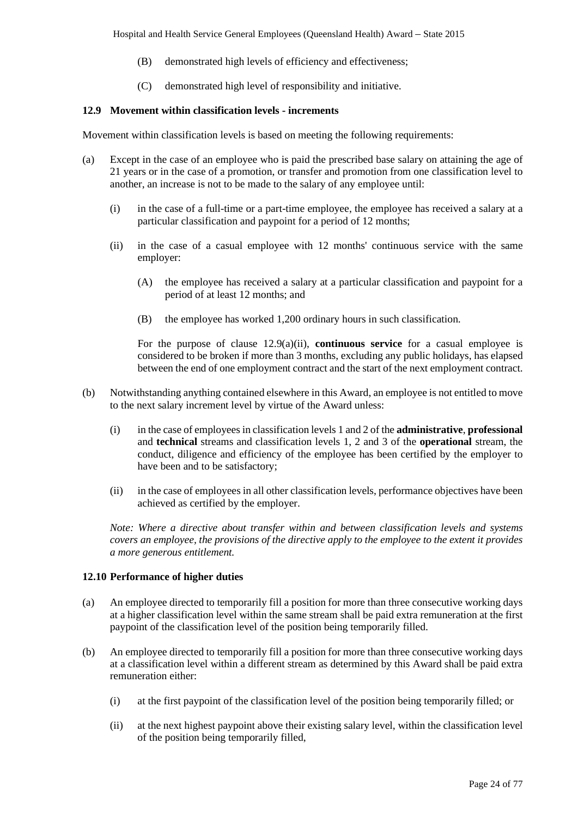- (B) demonstrated high levels of efficiency and effectiveness;
- (C) demonstrated high level of responsibility and initiative.

# **12.9 Movement within classification levels - increments**

Movement within classification levels is based on meeting the following requirements:

- (a) Except in the case of an employee who is paid the prescribed base salary on attaining the age of 21 years or in the case of a promotion, or transfer and promotion from one classification level to another, an increase is not to be made to the salary of any employee until:
	- (i) in the case of a full-time or a part-time employee, the employee has received a salary at a particular classification and paypoint for a period of 12 months;
	- (ii) in the case of a casual employee with 12 months' continuous service with the same employer:
		- (A) the employee has received a salary at a particular classification and paypoint for a period of at least 12 months; and
		- (B) the employee has worked 1,200 ordinary hours in such classification.

For the purpose of clause 12.9(a)(ii), **continuous service** for a casual employee is considered to be broken if more than 3 months, excluding any public holidays, has elapsed between the end of one employment contract and the start of the next employment contract.

- (b) Notwithstanding anything contained elsewhere in this Award, an employee is not entitled to move to the next salary increment level by virtue of the Award unless:
	- (i) in the case of employees in classification levels 1 and 2 of the **administrative**, **professional** and **technical** streams and classification levels 1, 2 and 3 of the **operational** stream, the conduct, diligence and efficiency of the employee has been certified by the employer to have been and to be satisfactory;
	- (ii) in the case of employees in all other classification levels, performance objectives have been achieved as certified by the employer.

*Note: Where a directive about transfer within and between classification levels and systems covers an employee, the provisions of the directive apply to the employee to the extent it provides a more generous entitlement.*

### **12.10 Performance of higher duties**

- (a) An employee directed to temporarily fill a position for more than three consecutive working days at a higher classification level within the same stream shall be paid extra remuneration at the first paypoint of the classification level of the position being temporarily filled.
- (b) An employee directed to temporarily fill a position for more than three consecutive working days at a classification level within a different stream as determined by this Award shall be paid extra remuneration either:
	- (i) at the first paypoint of the classification level of the position being temporarily filled; or
	- (ii) at the next highest paypoint above their existing salary level, within the classification level of the position being temporarily filled,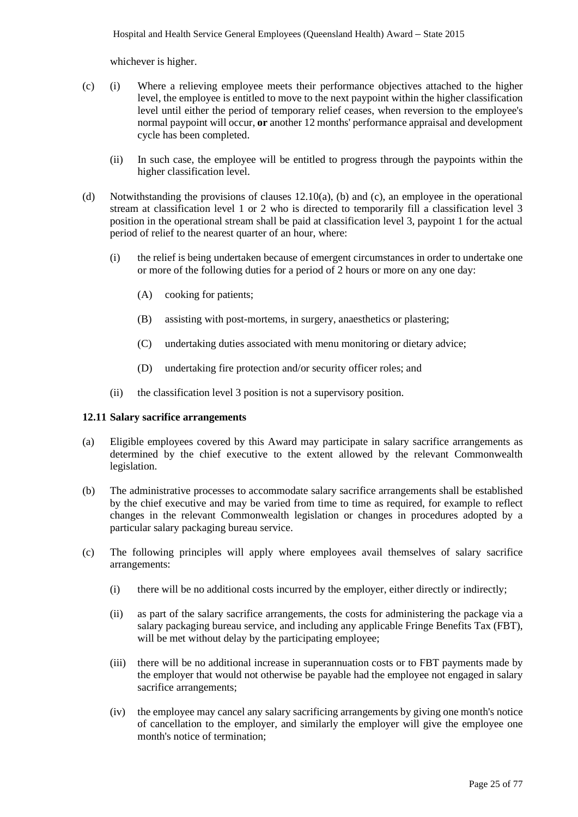whichever is higher.

- (c) (i) Where a relieving employee meets their performance objectives attached to the higher level, the employee is entitled to move to the next paypoint within the higher classification level until either the period of temporary relief ceases, when reversion to the employee's normal paypoint will occur, **or** another 12 months' performance appraisal and development cycle has been completed.
	- (ii) In such case, the employee will be entitled to progress through the paypoints within the higher classification level.
- (d) Notwithstanding the provisions of clauses 12.10(a), (b) and (c), an employee in the operational stream at classification level 1 or 2 who is directed to temporarily fill a classification level 3 position in the operational stream shall be paid at classification level 3, paypoint 1 for the actual period of relief to the nearest quarter of an hour, where:
	- (i) the relief is being undertaken because of emergent circumstances in order to undertake one or more of the following duties for a period of 2 hours or more on any one day:
		- (A) cooking for patients;
		- (B) assisting with post-mortems, in surgery, anaesthetics or plastering;
		- (C) undertaking duties associated with menu monitoring or dietary advice;
		- (D) undertaking fire protection and/or security officer roles; and
	- (ii) the classification level 3 position is not a supervisory position.

#### **12.11 Salary sacrifice arrangements**

- (a) Eligible employees covered by this Award may participate in salary sacrifice arrangements as determined by the chief executive to the extent allowed by the relevant Commonwealth legislation.
- (b) The administrative processes to accommodate salary sacrifice arrangements shall be established by the chief executive and may be varied from time to time as required, for example to reflect changes in the relevant Commonwealth legislation or changes in procedures adopted by a particular salary packaging bureau service.
- (c) The following principles will apply where employees avail themselves of salary sacrifice arrangements:
	- (i) there will be no additional costs incurred by the employer, either directly or indirectly;
	- (ii) as part of the salary sacrifice arrangements, the costs for administering the package via a salary packaging bureau service, and including any applicable Fringe Benefits Tax (FBT), will be met without delay by the participating employee;
	- (iii) there will be no additional increase in superannuation costs or to FBT payments made by the employer that would not otherwise be payable had the employee not engaged in salary sacrifice arrangements:
	- (iv) the employee may cancel any salary sacrificing arrangements by giving one month's notice of cancellation to the employer, and similarly the employer will give the employee one month's notice of termination;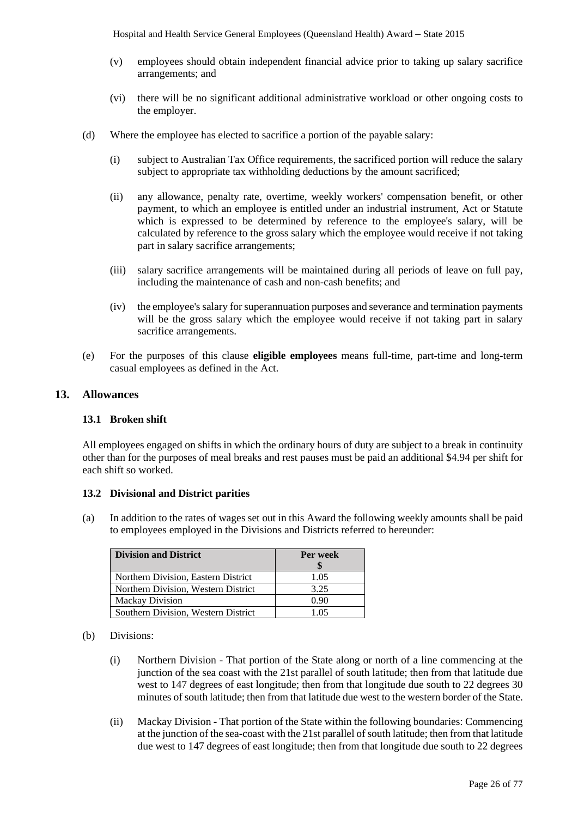Hospital and Health Service General Employees (Queensland Health) Award *–* State 2015

- (v) employees should obtain independent financial advice prior to taking up salary sacrifice arrangements; and
- (vi) there will be no significant additional administrative workload or other ongoing costs to the employer.
- (d) Where the employee has elected to sacrifice a portion of the payable salary:
	- (i) subject to Australian Tax Office requirements, the sacrificed portion will reduce the salary subject to appropriate tax withholding deductions by the amount sacrificed;
	- (ii) any allowance, penalty rate, overtime, weekly workers' compensation benefit, or other payment, to which an employee is entitled under an industrial instrument, Act or Statute which is expressed to be determined by reference to the employee's salary, will be calculated by reference to the gross salary which the employee would receive if not taking part in salary sacrifice arrangements;
	- (iii) salary sacrifice arrangements will be maintained during all periods of leave on full pay, including the maintenance of cash and non-cash benefits; and
	- (iv) the employee's salary for superannuation purposes and severance and termination payments will be the gross salary which the employee would receive if not taking part in salary sacrifice arrangements.
- (e) For the purposes of this clause **eligible employees** means full-time, part-time and long-term casual employees as defined in the Act.

# <span id="page-25-0"></span>**13. Allowances**

### **13.1 Broken shift**

All employees engaged on shifts in which the ordinary hours of duty are subject to a break in continuity other than for the purposes of meal breaks and rest pauses must be paid an additional \$4.94 per shift for each shift so worked.

### **13.2 Divisional and District parities**

(a) In addition to the rates of wages set out in this Award the following weekly amounts shall be paid to employees employed in the Divisions and Districts referred to hereunder:

| <b>Division and District</b>        | Per week |
|-------------------------------------|----------|
|                                     |          |
| Northern Division, Eastern District | 1.05     |
| Northern Division, Western District | 3.25     |
| <b>Mackay Division</b>              | 0.90     |
| Southern Division, Western District | 1.05     |

- (b) Divisions:
	- (i) Northern Division That portion of the State along or north of a line commencing at the junction of the sea coast with the 21st parallel of south latitude; then from that latitude due west to 147 degrees of east longitude; then from that longitude due south to 22 degrees 30 minutes of south latitude; then from that latitude due west to the western border of the State.
	- (ii) Mackay Division That portion of the State within the following boundaries: Commencing at the junction of the sea-coast with the 21st parallel of south latitude; then from that latitude due west to 147 degrees of east longitude; then from that longitude due south to 22 degrees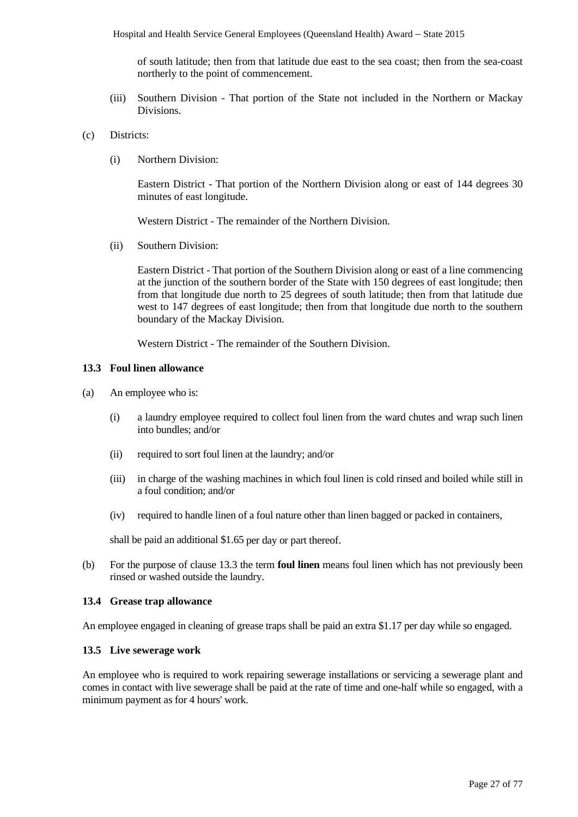of south latitude; then from that latitude due east to the sea coast; then from the sea-coast northerly to the point of commencement.

- (iii) Southern Division That portion of the State not included in the Northern or Mackay Divisions.
- (c) Districts:
	- (i) Northern Division:

Eastern District - That portion of the Northern Division along or east of 144 degrees 30 minutes of east longitude.

Western District - The remainder of the Northern Division.

(ii) Southern Division:

Eastern District - That portion of the Southern Division along or east of a line commencing at the junction of the southern border of the State with 150 degrees of east longitude; then from that longitude due north to 25 degrees of south latitude; then from that latitude due west to 147 degrees of east longitude; then from that longitude due north to the southern boundary of the Mackay Division.

Western District - The remainder of the Southern Division.

#### **13.3 Foul linen allowance**

- (a) An employee who is:
	- (i) a laundry employee required to collect foul linen from the ward chutes and wrap such linen into bundles; and/or
	- (ii) required to sort foul linen at the laundry; and/or
	- (iii) in charge of the washing machines in which foul linen is cold rinsed and boiled while still in a foul condition; and/or
	- (iv) required to handle linen of a foul nature other than linen bagged or packed in containers,

shall be paid an additional \$1.65 per day or part thereof.

(b) For the purpose of clause 13.3 the term **foul linen** means foul linen which has not previously been rinsed or washed outside the laundry.

#### **13.4 Grease trap allowance**

An employee engaged in cleaning of grease traps shall be paid an extra \$1.17 per day while so engaged.

#### **13.5 Live sewerage work**

An employee who is required to work repairing sewerage installations or servicing a sewerage plant and comes in contact with live sewerage shall be paid at the rate of time and one-half while so engaged, with a minimum payment as for 4 hours' work.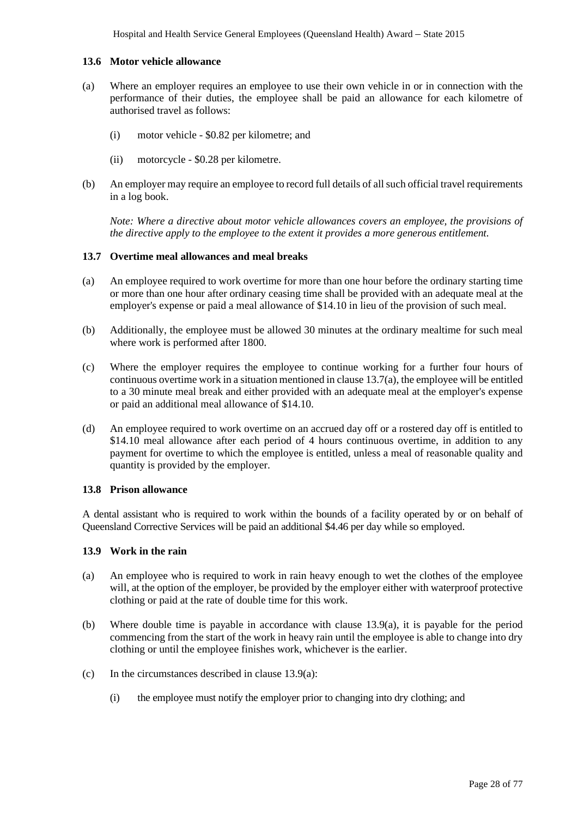#### **13.6 Motor vehicle allowance**

- (a) Where an employer requires an employee to use their own vehicle in or in connection with the performance of their duties, the employee shall be paid an allowance for each kilometre of authorised travel as follows:
	- (i) motor vehicle \$0.82 per kilometre; and
	- (ii) motorcycle \$0.28 per kilometre.
- (b) An employer may require an employee to record full details of all such official travel requirements in a log book.

*Note: Where a directive about motor vehicle allowances covers an employee, the provisions of the directive apply to the employee to the extent it provides a more generous entitlement.*

#### **13.7 Overtime meal allowances and meal breaks**

- (a) An employee required to work overtime for more than one hour before the ordinary starting time or more than one hour after ordinary ceasing time shall be provided with an adequate meal at the employer's expense or paid a meal allowance of \$14.10 in lieu of the provision of such meal.
- (b) Additionally, the employee must be allowed 30 minutes at the ordinary mealtime for such meal where work is performed after 1800.
- (c) Where the employer requires the employee to continue working for a further four hours of continuous overtime work in a situation mentioned in clause  $13.7(a)$ , the employee will be entitled to a 30 minute meal break and either provided with an adequate meal at the employer's expense or paid an additional meal allowance of \$14.10.
- (d) An employee required to work overtime on an accrued day off or a rostered day off is entitled to \$14.10 meal allowance after each period of 4 hours continuous overtime, in addition to any payment for overtime to which the employee is entitled, unless a meal of reasonable quality and quantity is provided by the employer.

#### **13.8 Prison allowance**

A dental assistant who is required to work within the bounds of a facility operated by or on behalf of Queensland Corrective Services will be paid an additional \$4.46 per day while so employed.

#### **13.9 Work in the rain**

- (a) An employee who is required to work in rain heavy enough to wet the clothes of the employee will, at the option of the employer, be provided by the employer either with waterproof protective clothing or paid at the rate of double time for this work.
- (b) Where double time is payable in accordance with clause 13.9(a), it is payable for the period commencing from the start of the work in heavy rain until the employee is able to change into dry clothing or until the employee finishes work, whichever is the earlier.
- (c) In the circumstances described in clause 13.9(a):
	- (i) the employee must notify the employer prior to changing into dry clothing; and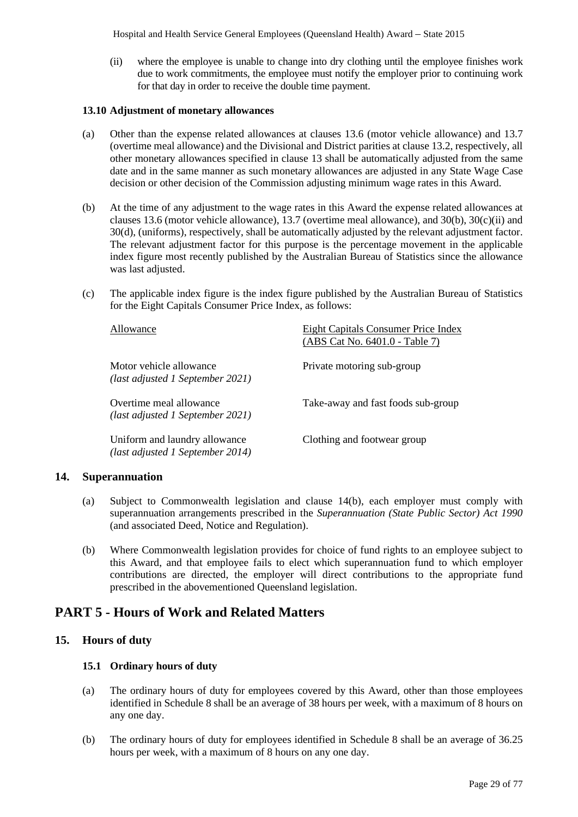Hospital and Health Service General Employees (Queensland Health) Award *–* State 2015

(ii) where the employee is unable to change into dry clothing until the employee finishes work due to work commitments, the employee must notify the employer prior to continuing work for that day in order to receive the double time payment.

#### **13.10 Adjustment of monetary allowances**

- (a) Other than the expense related allowances at clauses 13.6 (motor vehicle allowance) and 13.7 (overtime meal allowance) and the Divisional and District parities at clause 13.2, respectively, all other monetary allowances specified in clause 13 shall be automatically adjusted from the same date and in the same manner as such monetary allowances are adjusted in any State Wage Case decision or other decision of the Commission adjusting minimum wage rates in this Award.
- (b) At the time of any adjustment to the wage rates in this Award the expense related allowances at clauses 13.6 (motor vehicle allowance), 13.7 (overtime meal allowance), and 30(b), 30(c)(ii) and 30(d), (uniforms), respectively, shall be automatically adjusted by the relevant adjustment factor. The relevant adjustment factor for this purpose is the percentage movement in the applicable index figure most recently published by the Australian Bureau of Statistics since the allowance was last adjusted.
- (c) The applicable index figure is the index figure published by the Australian Bureau of Statistics for the Eight Capitals Consumer Price Index, as follows:

| Allowance                                                         | <b>Eight Capitals Consumer Price Index</b><br>(ABS Cat No. 6401.0 - Table 7) |
|-------------------------------------------------------------------|------------------------------------------------------------------------------|
| Motor vehicle allowance<br>(last adjusted 1 September 2021)       | Private motoring sub-group                                                   |
| Overtime meal allowance<br>(last adjusted 1 September 2021)       | Take-away and fast foods sub-group                                           |
| Uniform and laundry allowance<br>(last adjusted 1 September 2014) | Clothing and footwear group                                                  |

### <span id="page-28-0"></span>**14. Superannuation**

- (a) Subject to Commonwealth legislation and clause 14(b), each employer must comply with superannuation arrangements prescribed in the *Superannuation (State Public Sector) Act 1990* (and associated Deed, Notice and Regulation).
- (b) Where Commonwealth legislation provides for choice of fund rights to an employee subject to this Award, and that employee fails to elect which superannuation fund to which employer contributions are directed, the employer will direct contributions to the appropriate fund prescribed in the abovementioned Queensland legislation.

# <span id="page-28-1"></span>**PART 5 - Hours of Work and Related Matters**

# <span id="page-28-2"></span>**15. Hours of duty**

### **15.1 Ordinary hours of duty**

- (a) The ordinary hours of duty for employees covered by this Award, other than those employees identified in Schedule 8 shall be an average of 38 hours per week, with a maximum of 8 hours on any one day.
- (b) The ordinary hours of duty for employees identified in Schedule 8 shall be an average of 36.25 hours per week, with a maximum of 8 hours on any one day.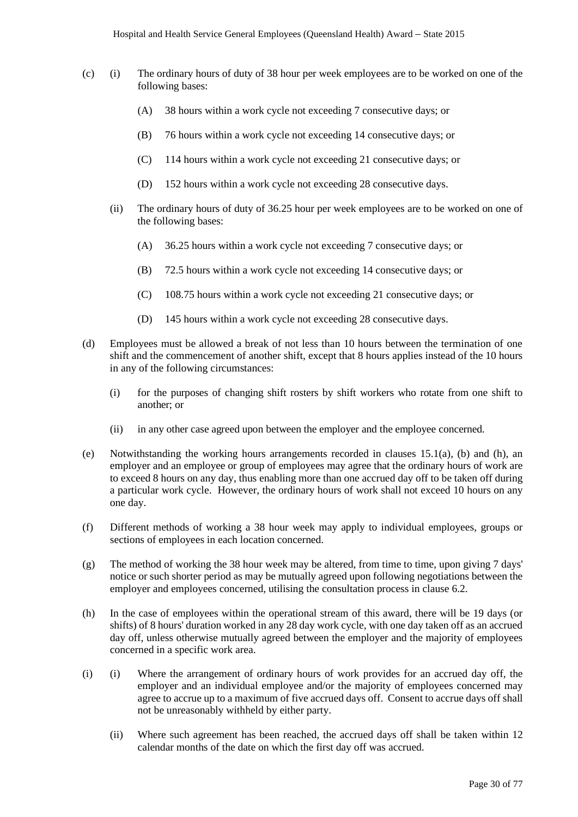- (c) (i) The ordinary hours of duty of 38 hour per week employees are to be worked on one of the following bases:
	- (A) 38 hours within a work cycle not exceeding 7 consecutive days; or
	- (B) 76 hours within a work cycle not exceeding 14 consecutive days; or
	- (C) 114 hours within a work cycle not exceeding 21 consecutive days; or
	- (D) 152 hours within a work cycle not exceeding 28 consecutive days.
	- (ii) The ordinary hours of duty of 36.25 hour per week employees are to be worked on one of the following bases:
		- (A) 36.25 hours within a work cycle not exceeding 7 consecutive days; or
		- (B) 72.5 hours within a work cycle not exceeding 14 consecutive days; or
		- (C) 108.75 hours within a work cycle not exceeding 21 consecutive days; or
		- (D) 145 hours within a work cycle not exceeding 28 consecutive days.
- (d) Employees must be allowed a break of not less than 10 hours between the termination of one shift and the commencement of another shift, except that 8 hours applies instead of the 10 hours in any of the following circumstances:
	- (i) for the purposes of changing shift rosters by shift workers who rotate from one shift to another; or
	- (ii) in any other case agreed upon between the employer and the employee concerned.
- (e) Notwithstanding the working hours arrangements recorded in clauses 15.1(a), (b) and (h), an employer and an employee or group of employees may agree that the ordinary hours of work are to exceed 8 hours on any day, thus enabling more than one accrued day off to be taken off during a particular work cycle. However, the ordinary hours of work shall not exceed 10 hours on any one day.
- (f) Different methods of working a 38 hour week may apply to individual employees, groups or sections of employees in each location concerned.
- (g) The method of working the 38 hour week may be altered, from time to time, upon giving 7 days' notice or such shorter period as may be mutually agreed upon following negotiations between the employer and employees concerned, utilising the consultation process in clause 6.2.
- (h) In the case of employees within the operational stream of this award, there will be 19 days (or shifts) of 8 hours' duration worked in any 28 day work cycle, with one day taken off as an accrued day off, unless otherwise mutually agreed between the employer and the majority of employees concerned in a specific work area.
- (i) (i) Where the arrangement of ordinary hours of work provides for an accrued day off, the employer and an individual employee and/or the majority of employees concerned may agree to accrue up to a maximum of five accrued days off. Consent to accrue days off shall not be unreasonably withheld by either party.
	- (ii) Where such agreement has been reached, the accrued days off shall be taken within 12 calendar months of the date on which the first day off was accrued.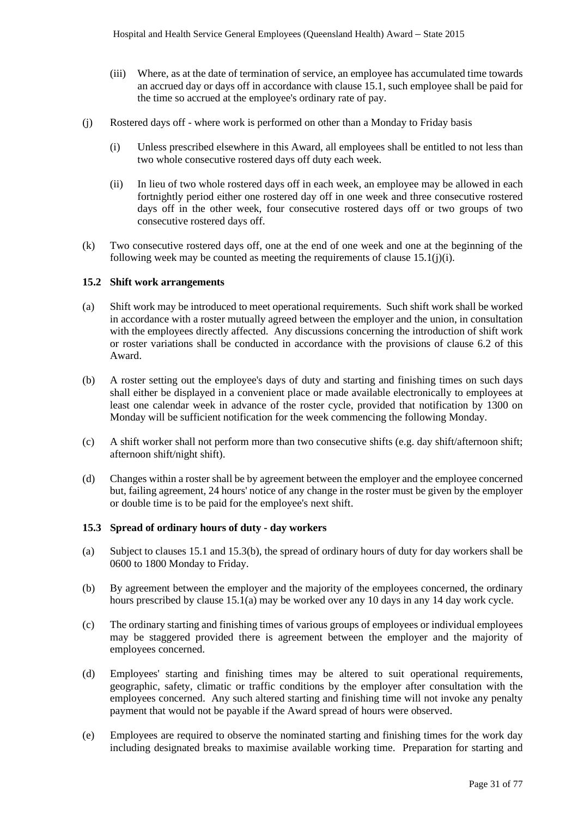- (iii) Where, as at the date of termination of service, an employee has accumulated time towards an accrued day or days off in accordance with clause 15.1, such employee shall be paid for the time so accrued at the employee's ordinary rate of pay.
- (j) Rostered days off where work is performed on other than a Monday to Friday basis
	- (i) Unless prescribed elsewhere in this Award, all employees shall be entitled to not less than two whole consecutive rostered days off duty each week.
	- (ii) In lieu of two whole rostered days off in each week, an employee may be allowed in each fortnightly period either one rostered day off in one week and three consecutive rostered days off in the other week, four consecutive rostered days off or two groups of two consecutive rostered days off.
- (k) Two consecutive rostered days off, one at the end of one week and one at the beginning of the following week may be counted as meeting the requirements of clause  $15.1(j)(i)$ .

#### **15.2 Shift work arrangements**

- (a) Shift work may be introduced to meet operational requirements. Such shift work shall be worked in accordance with a roster mutually agreed between the employer and the union, in consultation with the employees directly affected. Any discussions concerning the introduction of shift work or roster variations shall be conducted in accordance with the provisions of clause 6.2 of this Award.
- (b) A roster setting out the employee's days of duty and starting and finishing times on such days shall either be displayed in a convenient place or made available electronically to employees at least one calendar week in advance of the roster cycle, provided that notification by 1300 on Monday will be sufficient notification for the week commencing the following Monday.
- (c) A shift worker shall not perform more than two consecutive shifts (e.g. day shift/afternoon shift; afternoon shift/night shift).
- (d) Changes within a roster shall be by agreement between the employer and the employee concerned but, failing agreement, 24 hours' notice of any change in the roster must be given by the employer or double time is to be paid for the employee's next shift.

#### **15.3 Spread of ordinary hours of duty - day workers**

- (a) Subject to clauses 15.1 and 15.3(b), the spread of ordinary hours of duty for day workers shall be 0600 to 1800 Monday to Friday.
- (b) By agreement between the employer and the majority of the employees concerned, the ordinary hours prescribed by clause 15.1(a) may be worked over any 10 days in any 14 day work cycle.
- (c) The ordinary starting and finishing times of various groups of employees or individual employees may be staggered provided there is agreement between the employer and the majority of employees concerned.
- (d) Employees' starting and finishing times may be altered to suit operational requirements, geographic, safety, climatic or traffic conditions by the employer after consultation with the employees concerned. Any such altered starting and finishing time will not invoke any penalty payment that would not be payable if the Award spread of hours were observed.
- (e) Employees are required to observe the nominated starting and finishing times for the work day including designated breaks to maximise available working time. Preparation for starting and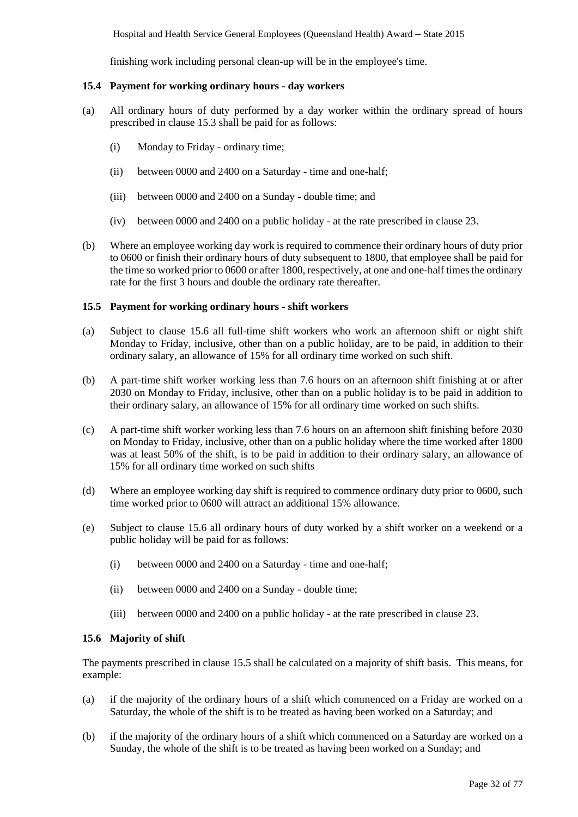Hospital and Health Service General Employees (Queensland Health) Award *–* State 2015

finishing work including personal clean-up will be in the employee's time.

#### **15.4 Payment for working ordinary hours - day workers**

- (a) All ordinary hours of duty performed by a day worker within the ordinary spread of hours prescribed in clause 15.3 shall be paid for as follows:
	- (i) Monday to Friday ordinary time;
	- (ii) between 0000 and 2400 on a Saturday time and one-half;
	- (iii) between 0000 and 2400 on a Sunday double time; and
	- (iv) between 0000 and 2400 on a public holiday at the rate prescribed in clause 23.
- (b) Where an employee working day work is required to commence their ordinary hours of duty prior to 0600 or finish their ordinary hours of duty subsequent to 1800, that employee shall be paid for the time so worked prior to 0600 or after 1800, respectively, at one and one-half times the ordinary rate for the first 3 hours and double the ordinary rate thereafter.

#### **15.5 Payment for working ordinary hours - shift workers**

- (a) Subject to clause 15.6 all full-time shift workers who work an afternoon shift or night shift Monday to Friday, inclusive, other than on a public holiday, are to be paid, in addition to their ordinary salary, an allowance of 15% for all ordinary time worked on such shift.
- (b) A part-time shift worker working less than 7.6 hours on an afternoon shift finishing at or after 2030 on Monday to Friday, inclusive, other than on a public holiday is to be paid in addition to their ordinary salary, an allowance of 15% for all ordinary time worked on such shifts.
- (c) A part-time shift worker working less than 7.6 hours on an afternoon shift finishing before 2030 on Monday to Friday, inclusive, other than on a public holiday where the time worked after 1800 was at least 50% of the shift, is to be paid in addition to their ordinary salary, an allowance of 15% for all ordinary time worked on such shifts
- (d) Where an employee working day shift is required to commence ordinary duty prior to 0600, such time worked prior to 0600 will attract an additional 15% allowance.
- (e) Subject to clause 15.6 all ordinary hours of duty worked by a shift worker on a weekend or a public holiday will be paid for as follows:
	- (i) between 0000 and 2400 on a Saturday time and one-half;
	- (ii) between 0000 and 2400 on a Sunday double time;
	- (iii) between 0000 and 2400 on a public holiday at the rate prescribed in clause 23.

# **15.6 Majority of shift**

The payments prescribed in clause 15.5 shall be calculated on a majority of shift basis. This means, for example:

- (a) if the majority of the ordinary hours of a shift which commenced on a Friday are worked on a Saturday, the whole of the shift is to be treated as having been worked on a Saturday; and
- (b) if the majority of the ordinary hours of a shift which commenced on a Saturday are worked on a Sunday, the whole of the shift is to be treated as having been worked on a Sunday; and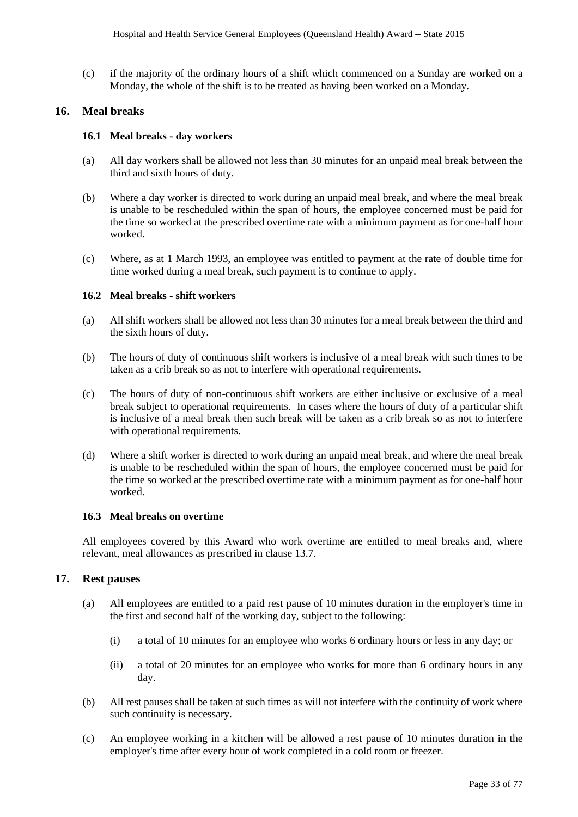(c) if the majority of the ordinary hours of a shift which commenced on a Sunday are worked on a Monday, the whole of the shift is to be treated as having been worked on a Monday.

# <span id="page-32-0"></span>**16. Meal breaks**

#### **16.1 Meal breaks - day workers**

- (a) All day workers shall be allowed not less than 30 minutes for an unpaid meal break between the third and sixth hours of duty.
- (b) Where a day worker is directed to work during an unpaid meal break, and where the meal break is unable to be rescheduled within the span of hours, the employee concerned must be paid for the time so worked at the prescribed overtime rate with a minimum payment as for one-half hour worked.
- (c) Where, as at 1 March 1993, an employee was entitled to payment at the rate of double time for time worked during a meal break, such payment is to continue to apply.

# **16.2 Meal breaks - shift workers**

- (a) All shift workers shall be allowed not less than 30 minutes for a meal break between the third and the sixth hours of duty.
- (b) The hours of duty of continuous shift workers is inclusive of a meal break with such times to be taken as a crib break so as not to interfere with operational requirements.
- (c) The hours of duty of non-continuous shift workers are either inclusive or exclusive of a meal break subject to operational requirements. In cases where the hours of duty of a particular shift is inclusive of a meal break then such break will be taken as a crib break so as not to interfere with operational requirements.
- (d) Where a shift worker is directed to work during an unpaid meal break, and where the meal break is unable to be rescheduled within the span of hours, the employee concerned must be paid for the time so worked at the prescribed overtime rate with a minimum payment as for one-half hour worked.

### **16.3 Meal breaks on overtime**

All employees covered by this Award who work overtime are entitled to meal breaks and, where relevant, meal allowances as prescribed in clause 13.7.

### <span id="page-32-1"></span>**17. Rest pauses**

- (a) All employees are entitled to a paid rest pause of 10 minutes duration in the employer's time in the first and second half of the working day, subject to the following:
	- (i) a total of 10 minutes for an employee who works 6 ordinary hours or less in any day; or
	- (ii) a total of 20 minutes for an employee who works for more than 6 ordinary hours in any day.
- (b) All rest pauses shall be taken at such times as will not interfere with the continuity of work where such continuity is necessary.
- (c) An employee working in a kitchen will be allowed a rest pause of 10 minutes duration in the employer's time after every hour of work completed in a cold room or freezer.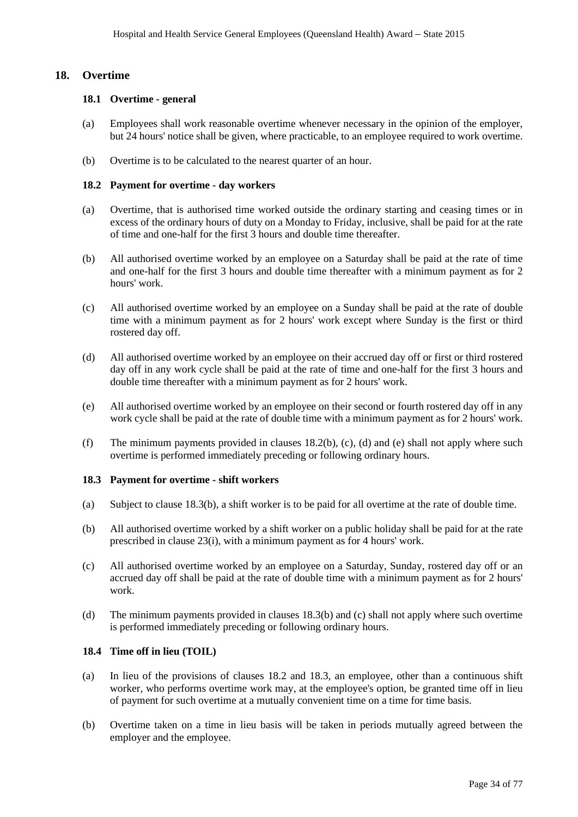# <span id="page-33-0"></span>**18. Overtime**

#### **18.1 Overtime - general**

- (a) Employees shall work reasonable overtime whenever necessary in the opinion of the employer, but 24 hours' notice shall be given, where practicable, to an employee required to work overtime.
- (b) Overtime is to be calculated to the nearest quarter of an hour.

#### **18.2 Payment for overtime - day workers**

- (a) Overtime, that is authorised time worked outside the ordinary starting and ceasing times or in excess of the ordinary hours of duty on a Monday to Friday, inclusive, shall be paid for at the rate of time and one-half for the first 3 hours and double time thereafter.
- (b) All authorised overtime worked by an employee on a Saturday shall be paid at the rate of time and one-half for the first 3 hours and double time thereafter with a minimum payment as for 2 hours' work.
- (c) All authorised overtime worked by an employee on a Sunday shall be paid at the rate of double time with a minimum payment as for 2 hours' work except where Sunday is the first or third rostered day off.
- (d) All authorised overtime worked by an employee on their accrued day off or first or third rostered day off in any work cycle shall be paid at the rate of time and one-half for the first 3 hours and double time thereafter with a minimum payment as for 2 hours' work.
- (e) All authorised overtime worked by an employee on their second or fourth rostered day off in any work cycle shall be paid at the rate of double time with a minimum payment as for 2 hours' work.
- (f) The minimum payments provided in clauses  $18.2(b)$ , (c), (d) and (e) shall not apply where such overtime is performed immediately preceding or following ordinary hours.

#### **18.3 Payment for overtime - shift workers**

- (a) Subject to clause 18.3(b), a shift worker is to be paid for all overtime at the rate of double time.
- (b) All authorised overtime worked by a shift worker on a public holiday shall be paid for at the rate prescribed in clause 23(i), with a minimum payment as for 4 hours' work.
- (c) All authorised overtime worked by an employee on a Saturday, Sunday, rostered day off or an accrued day off shall be paid at the rate of double time with a minimum payment as for 2 hours' work.
- (d) The minimum payments provided in clauses 18.3(b) and (c) shall not apply where such overtime is performed immediately preceding or following ordinary hours.

# **18.4 Time off in lieu (TOIL)**

- (a) In lieu of the provisions of clauses 18.2 and 18.3, an employee, other than a continuous shift worker, who performs overtime work may, at the employee's option, be granted time off in lieu of payment for such overtime at a mutually convenient time on a time for time basis.
- (b) Overtime taken on a time in lieu basis will be taken in periods mutually agreed between the employer and the employee.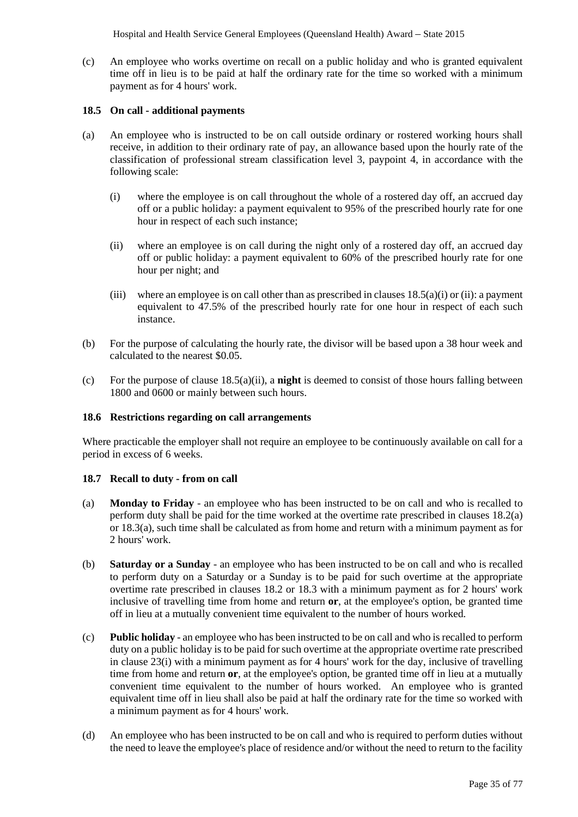Hospital and Health Service General Employees (Queensland Health) Award *–* State 2015

(c) An employee who works overtime on recall on a public holiday and who is granted equivalent time off in lieu is to be paid at half the ordinary rate for the time so worked with a minimum payment as for 4 hours' work.

### **18.5 On call - additional payments**

- (a) An employee who is instructed to be on call outside ordinary or rostered working hours shall receive, in addition to their ordinary rate of pay, an allowance based upon the hourly rate of the classification of professional stream classification level 3, paypoint  $\overline{4}$ , in accordance with the following scale:
	- (i) where the employee is on call throughout the whole of a rostered day off, an accrued day off or a public holiday: a payment equivalent to 95% of the prescribed hourly rate for one hour in respect of each such instance;
	- (ii) where an employee is on call during the night only of a rostered day off, an accrued day off or public holiday: a payment equivalent to 60% of the prescribed hourly rate for one hour per night; and
	- (iii) where an employee is on call other than as prescribed in clauses  $18.5(a)(i)$  or (ii): a payment equivalent to 47.5% of the prescribed hourly rate for one hour in respect of each such instance.
- (b) For the purpose of calculating the hourly rate, the divisor will be based upon a 38 hour week and calculated to the nearest \$0.05.
- (c) For the purpose of clause 18.5(a)(ii), a **night** is deemed to consist of those hours falling between 1800 and 0600 or mainly between such hours.

#### **18.6 Restrictions regarding on call arrangements**

Where practicable the employer shall not require an employee to be continuously available on call for a period in excess of 6 weeks.

#### **18.7 Recall to duty - from on call**

- (a) **Monday to Friday** an employee who has been instructed to be on call and who is recalled to perform duty shall be paid for the time worked at the overtime rate prescribed in clauses 18.2(a) or 18.3(a), such time shall be calculated as from home and return with a minimum payment as for 2 hours' work.
- (b) **Saturday or a Sunday**  an employee who has been instructed to be on call and who is recalled to perform duty on a Saturday or a Sunday is to be paid for such overtime at the appropriate overtime rate prescribed in clauses 18.2 or 18.3 with a minimum payment as for 2 hours' work inclusive of travelling time from home and return **or**, at the employee's option, be granted time off in lieu at a mutually convenient time equivalent to the number of hours worked.
- (c) **Public holiday** an employee who has been instructed to be on call and who is recalled to perform duty on a public holiday is to be paid for such overtime at the appropriate overtime rate prescribed in clause 23(i) with a minimum payment as for 4 hours' work for the day, inclusive of travelling time from home and return **or**, at the employee's option, be granted time off in lieu at a mutually convenient time equivalent to the number of hours worked. An employee who is granted equivalent time off in lieu shall also be paid at half the ordinary rate for the time so worked with a minimum payment as for 4 hours' work.
- (d) An employee who has been instructed to be on call and who is required to perform duties without the need to leave the employee's place of residence and/or without the need to return to the facility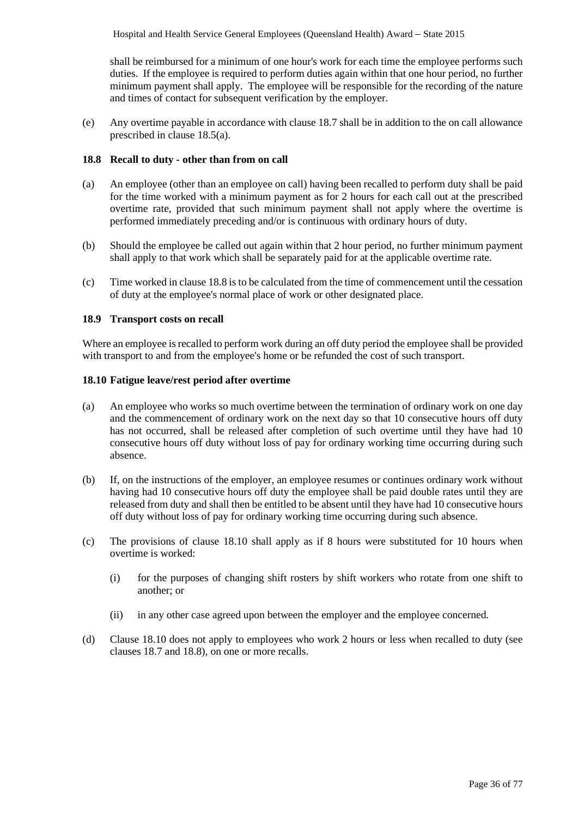shall be reimbursed for a minimum of one hour's work for each time the employee performs such duties. If the employee is required to perform duties again within that one hour period, no further minimum payment shall apply. The employee will be responsible for the recording of the nature and times of contact for subsequent verification by the employer.

(e) Any overtime payable in accordance with clause 18.7 shall be in addition to the on call allowance prescribed in clause 18.5(a).

# **18.8 Recall to duty - other than from on call**

- (a) An employee (other than an employee on call) having been recalled to perform duty shall be paid for the time worked with a minimum payment as for 2 hours for each call out at the prescribed overtime rate, provided that such minimum payment shall not apply where the overtime is performed immediately preceding and/or is continuous with ordinary hours of duty.
- (b) Should the employee be called out again within that 2 hour period, no further minimum payment shall apply to that work which shall be separately paid for at the applicable overtime rate.
- (c) Time worked in clause 18.8 is to be calculated from the time of commencement until the cessation of duty at the employee's normal place of work or other designated place.

# **18.9 Transport costs on recall**

Where an employee is recalled to perform work during an off duty period the employee shall be provided with transport to and from the employee's home or be refunded the cost of such transport.

### **18.10 Fatigue leave/rest period after overtime**

- (a) An employee who works so much overtime between the termination of ordinary work on one day and the commencement of ordinary work on the next day so that 10 consecutive hours off duty has not occurred, shall be released after completion of such overtime until they have had 10 consecutive hours off duty without loss of pay for ordinary working time occurring during such absence.
- (b) If, on the instructions of the employer, an employee resumes or continues ordinary work without having had 10 consecutive hours off duty the employee shall be paid double rates until they are released from duty and shall then be entitled to be absent until they have had 10 consecutive hours off duty without loss of pay for ordinary working time occurring during such absence.
- (c) The provisions of clause 18.10 shall apply as if 8 hours were substituted for 10 hours when overtime is worked:
	- (i) for the purposes of changing shift rosters by shift workers who rotate from one shift to another; or
	- (ii) in any other case agreed upon between the employer and the employee concerned.
- (d) Clause 18.10 does not apply to employees who work 2 hours or less when recalled to duty (see clauses 18.7 and 18.8), on one or more recalls.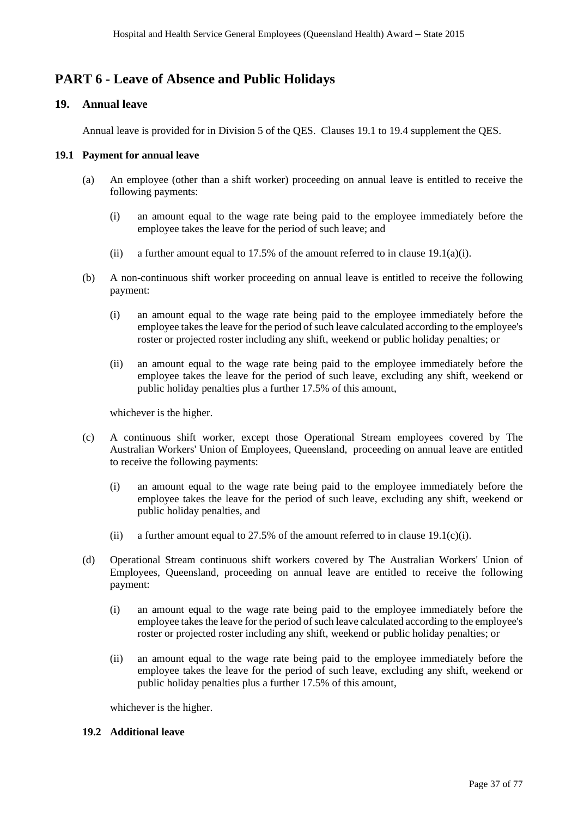# **PART 6 - Leave of Absence and Public Holidays**

# **19. Annual leave**

Annual leave is provided for in Division 5 of the QES. Clauses 19.1 to 19.4 supplement the QES.

# **19.1 Payment for annual leave**

- (a) An employee (other than a shift worker) proceeding on annual leave is entitled to receive the following payments:
	- (i) an amount equal to the wage rate being paid to the employee immediately before the employee takes the leave for the period of such leave; and
	- (ii) a further amount equal to 17.5% of the amount referred to in clause  $19.1(a)(i)$ .
- (b) A non-continuous shift worker proceeding on annual leave is entitled to receive the following payment:
	- (i) an amount equal to the wage rate being paid to the employee immediately before the employee takes the leave for the period of such leave calculated according to the employee's roster or projected roster including any shift, weekend or public holiday penalties; or
	- (ii) an amount equal to the wage rate being paid to the employee immediately before the employee takes the leave for the period of such leave, excluding any shift, weekend or public holiday penalties plus a further 17.5% of this amount,

whichever is the higher.

- (c) A continuous shift worker, except those Operational Stream employees covered by The Australian Workers' Union of Employees, Queensland, proceeding on annual leave are entitled to receive the following payments:
	- (i) an amount equal to the wage rate being paid to the employee immediately before the employee takes the leave for the period of such leave, excluding any shift, weekend or public holiday penalties, and
	- (ii) a further amount equal to 27.5% of the amount referred to in clause 19.1(c)(i).
- (d) Operational Stream continuous shift workers covered by The Australian Workers' Union of Employees, Queensland, proceeding on annual leave are entitled to receive the following payment:
	- (i) an amount equal to the wage rate being paid to the employee immediately before the employee takes the leave for the period of such leave calculated according to the employee's roster or projected roster including any shift, weekend or public holiday penalties; or
	- (ii) an amount equal to the wage rate being paid to the employee immediately before the employee takes the leave for the period of such leave, excluding any shift, weekend or public holiday penalties plus a further 17.5% of this amount,

whichever is the higher.

# **19.2 Additional leave**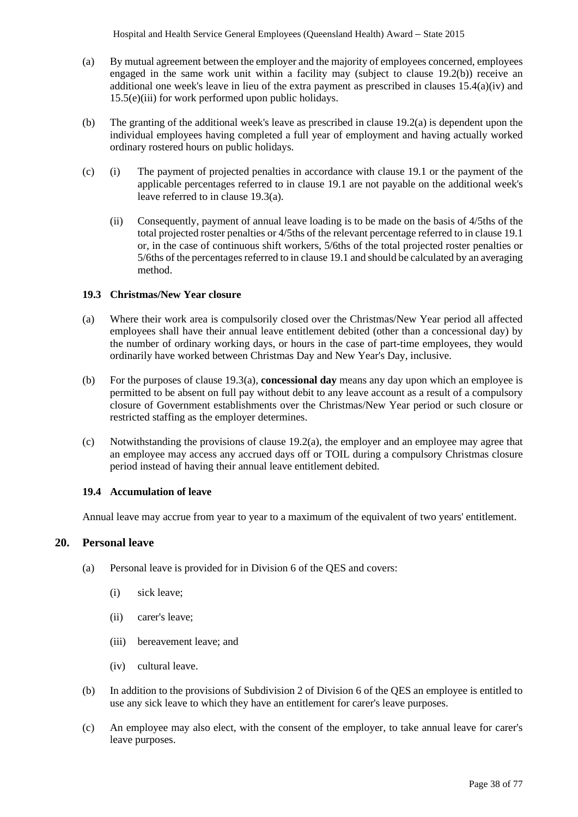- (a) By mutual agreement between the employer and the majority of employees concerned, employees engaged in the same work unit within a facility may (subject to clause 19.2(b)) receive an additional one week's leave in lieu of the extra payment as prescribed in clauses 15.4(a)(iv) and 15.5(e)(iii) for work performed upon public holidays.
- (b) The granting of the additional week's leave as prescribed in clause 19.2(a) is dependent upon the individual employees having completed a full year of employment and having actually worked ordinary rostered hours on public holidays.
- (c) (i) The payment of projected penalties in accordance with clause 19.1 or the payment of the applicable percentages referred to in clause 19.1 are not payable on the additional week's leave referred to in clause 19.3(a).
	- (ii) Consequently, payment of annual leave loading is to be made on the basis of 4/5ths of the total projected roster penalties or 4/5ths of the relevant percentage referred to in clause 19.1 or, in the case of continuous shift workers, 5/6ths of the total projected roster penalties or 5/6ths of the percentages referred to in clause 19.1 and should be calculated by an averaging method.

# **19.3 Christmas/New Year closure**

- (a) Where their work area is compulsorily closed over the Christmas/New Year period all affected employees shall have their annual leave entitlement debited (other than a concessional day) by the number of ordinary working days, or hours in the case of part-time employees, they would ordinarily have worked between Christmas Day and New Year's Day, inclusive.
- (b) For the purposes of clause 19.3(a), **concessional day** means any day upon which an employee is permitted to be absent on full pay without debit to any leave account as a result of a compulsory closure of Government establishments over the Christmas/New Year period or such closure or restricted staffing as the employer determines.
- (c) Notwithstanding the provisions of clause 19.2(a), the employer and an employee may agree that an employee may access any accrued days off or TOIL during a compulsory Christmas closure period instead of having their annual leave entitlement debited.

# **19.4 Accumulation of leave**

Annual leave may accrue from year to year to a maximum of the equivalent of two years' entitlement.

# **20. Personal leave**

- (a) Personal leave is provided for in Division 6 of the QES and covers:
	- (i) sick leave;
	- (ii) carer's leave;
	- (iii) bereavement leave; and
	- (iv) cultural leave.
- (b) In addition to the provisions of Subdivision 2 of Division 6 of the QES an employee is entitled to use any sick leave to which they have an entitlement for carer's leave purposes.
- (c) An employee may also elect, with the consent of the employer, to take annual leave for carer's leave purposes.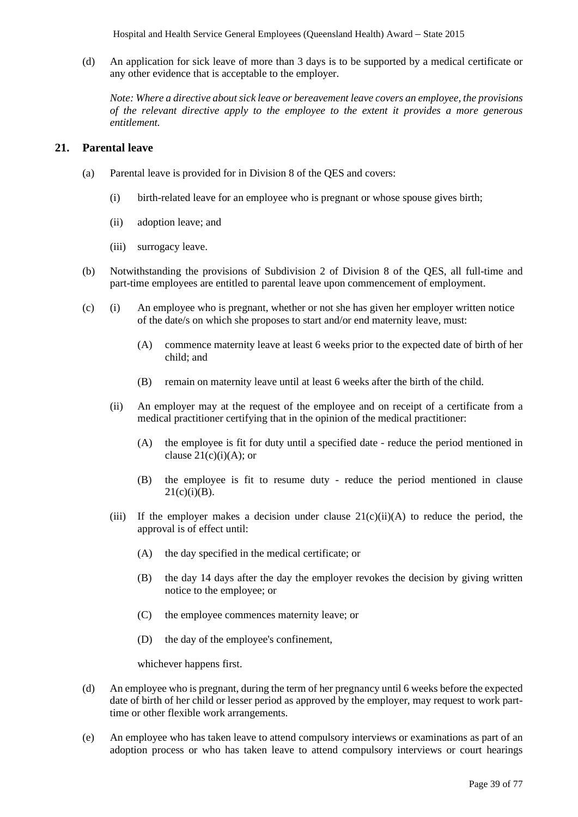(d) An application for sick leave of more than 3 days is to be supported by a medical certificate or any other evidence that is acceptable to the employer.

*Note: Where a directive about sick leave or bereavement leave covers an employee, the provisions of the relevant directive apply to the employee to the extent it provides a more generous entitlement.* 

# **21. Parental leave**

- (a) Parental leave is provided for in Division 8 of the QES and covers:
	- (i) birth-related leave for an employee who is pregnant or whose spouse gives birth;
	- (ii) adoption leave; and
	- (iii) surrogacy leave.
- (b) Notwithstanding the provisions of Subdivision 2 of Division 8 of the QES, all full-time and part-time employees are entitled to parental leave upon commencement of employment.
- (c) (i) An employee who is pregnant, whether or not she has given her employer written notice of the date/s on which she proposes to start and/or end maternity leave, must:
	- (A) commence maternity leave at least 6 weeks prior to the expected date of birth of her child; and
	- (B) remain on maternity leave until at least 6 weeks after the birth of the child.
	- (ii) An employer may at the request of the employee and on receipt of a certificate from a medical practitioner certifying that in the opinion of the medical practitioner:
		- (A) the employee is fit for duty until a specified date reduce the period mentioned in clause  $21(c)(i)(A)$ ; or
		- (B) the employee is fit to resume duty reduce the period mentioned in clause  $21(c)(i)(B)$ .
	- (iii) If the employer makes a decision under clause  $21(c)(ii)(A)$  to reduce the period, the approval is of effect until:
		- (A) the day specified in the medical certificate; or
		- (B) the day 14 days after the day the employer revokes the decision by giving written notice to the employee; or
		- (C) the employee commences maternity leave; or
		- (D) the day of the employee's confinement,

whichever happens first.

- (d) An employee who is pregnant, during the term of her pregnancy until 6 weeks before the expected date of birth of her child or lesser period as approved by the employer, may request to work parttime or other flexible work arrangements.
- (e) An employee who has taken leave to attend compulsory interviews or examinations as part of an adoption process or who has taken leave to attend compulsory interviews or court hearings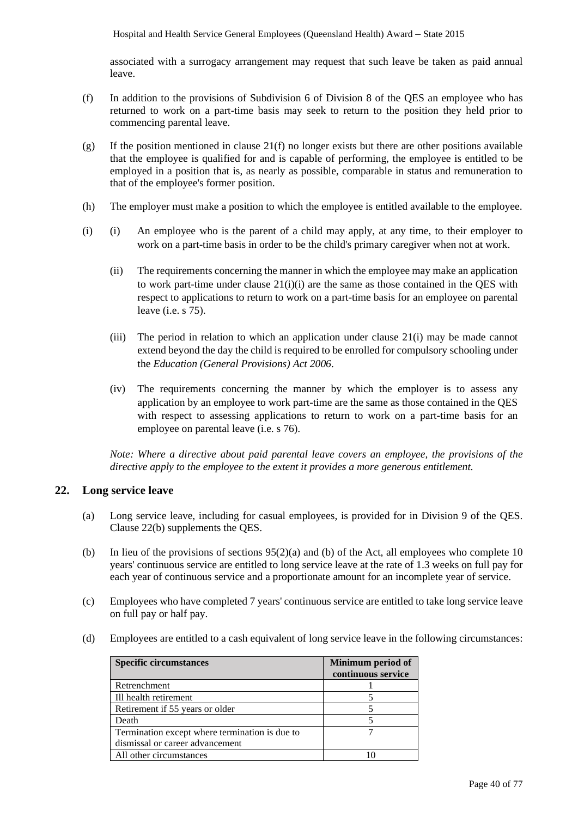associated with a surrogacy arrangement may request that such leave be taken as paid annual leave.

- (f) In addition to the provisions of Subdivision 6 of Division 8 of the QES an employee who has returned to work on a part-time basis may seek to return to the position they held prior to commencing parental leave.
- (g) If the position mentioned in clause 21(f) no longer exists but there are other positions available that the employee is qualified for and is capable of performing, the employee is entitled to be employed in a position that is, as nearly as possible, comparable in status and remuneration to that of the employee's former position.
- (h) The employer must make a position to which the employee is entitled available to the employee.
- (i) (i) An employee who is the parent of a child may apply, at any time, to their employer to work on a part-time basis in order to be the child's primary caregiver when not at work.
	- (ii) The requirements concerning the manner in which the employee may make an application to work part-time under clause  $21(i)(i)$  are the same as those contained in the QES with respect to applications to return to work on a part-time basis for an employee on parental leave (i.e. s 75).
	- (iii) The period in relation to which an application under clause 21(i) may be made cannot extend beyond the day the child is required to be enrolled for compulsory schooling under the *Education (General Provisions) Act 2006*.
	- (iv) The requirements concerning the manner by which the employer is to assess any application by an employee to work part-time are the same as those contained in the QES with respect to assessing applications to return to work on a part-time basis for an employee on parental leave (i.e. s 76).

*Note: Where a directive about paid parental leave covers an employee, the provisions of the directive apply to the employee to the extent it provides a more generous entitlement.*

# **22. Long service leave**

- (a) Long service leave, including for casual employees, is provided for in Division 9 of the QES. Clause 22(b) supplements the QES.
- (b) In lieu of the provisions of sections 95(2)(a) and (b) of the Act, all employees who complete 10 years' continuous service are entitled to long service leave at the rate of 1.3 weeks on full pay for each year of continuous service and a proportionate amount for an incomplete year of service.
- (c) Employees who have completed 7 years' continuous service are entitled to take long service leave on full pay or half pay.
- (d) Employees are entitled to a cash equivalent of long service leave in the following circumstances:

| <b>Specific circumstances</b>                  | Minimum period of<br>continuous service |
|------------------------------------------------|-----------------------------------------|
| Retrenchment                                   |                                         |
| Ill health retirement                          |                                         |
| Retirement if 55 years or older                |                                         |
| Death                                          |                                         |
| Termination except where termination is due to |                                         |
| dismissal or career advancement                |                                         |
| All other circumstances                        |                                         |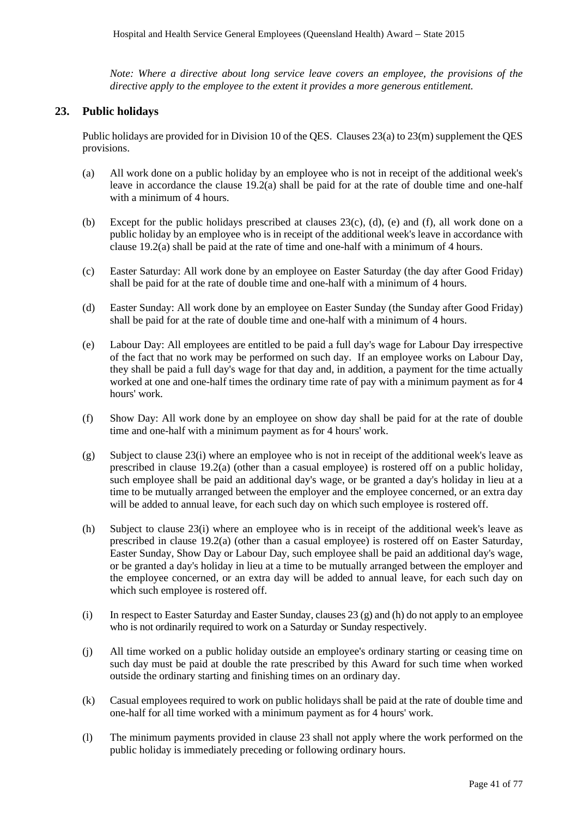*Note: Where a directive about long service leave covers an employee, the provisions of the directive apply to the employee to the extent it provides a more generous entitlement.* 

# **23. Public holidays**

Public holidays are provided for in Division 10 of the QES. Clauses 23(a) to 23(m) supplement the QES provisions.

- (a) All work done on a public holiday by an employee who is not in receipt of the additional week's leave in accordance the clause 19.2(a) shall be paid for at the rate of double time and one-half with a minimum of 4 hours.
- (b) Except for the public holidays prescribed at clauses 23(c), (d), (e) and (f), all work done on a public holiday by an employee who is in receipt of the additional week's leave in accordance with clause 19.2(a) shall be paid at the rate of time and one-half with a minimum of 4 hours.
- (c) Easter Saturday: All work done by an employee on Easter Saturday (the day after Good Friday) shall be paid for at the rate of double time and one-half with a minimum of 4 hours.
- (d) Easter Sunday: All work done by an employee on Easter Sunday (the Sunday after Good Friday) shall be paid for at the rate of double time and one-half with a minimum of 4 hours.
- (e) Labour Day: All employees are entitled to be paid a full day's wage for Labour Day irrespective of the fact that no work may be performed on such day. If an employee works on Labour Day, they shall be paid a full day's wage for that day and, in addition, a payment for the time actually worked at one and one-half times the ordinary time rate of pay with a minimum payment as for 4 hours' work.
- (f) Show Day: All work done by an employee on show day shall be paid for at the rate of double time and one-half with a minimum payment as for 4 hours' work.
- (g) Subject to clause 23(i) where an employee who is not in receipt of the additional week's leave as prescribed in clause 19.2(a) (other than a casual employee) is rostered off on a public holiday, such employee shall be paid an additional day's wage, or be granted a day's holiday in lieu at a time to be mutually arranged between the employer and the employee concerned, or an extra day will be added to annual leave, for each such day on which such employee is rostered off.
- (h) Subject to clause 23(i) where an employee who is in receipt of the additional week's leave as prescribed in clause 19.2(a) (other than a casual employee) is rostered off on Easter Saturday, Easter Sunday, Show Day or Labour Day, such employee shall be paid an additional day's wage, or be granted a day's holiday in lieu at a time to be mutually arranged between the employer and the employee concerned, or an extra day will be added to annual leave, for each such day on which such employee is rostered off.
- (i) In respect to Easter Saturday and Easter Sunday, clauses 23 (g) and (h) do not apply to an employee who is not ordinarily required to work on a Saturday or Sunday respectively.
- (j) All time worked on a public holiday outside an employee's ordinary starting or ceasing time on such day must be paid at double the rate prescribed by this Award for such time when worked outside the ordinary starting and finishing times on an ordinary day.
- (k) Casual employees required to work on public holidays shall be paid at the rate of double time and one-half for all time worked with a minimum payment as for 4 hours' work.
- (l) The minimum payments provided in clause 23 shall not apply where the work performed on the public holiday is immediately preceding or following ordinary hours.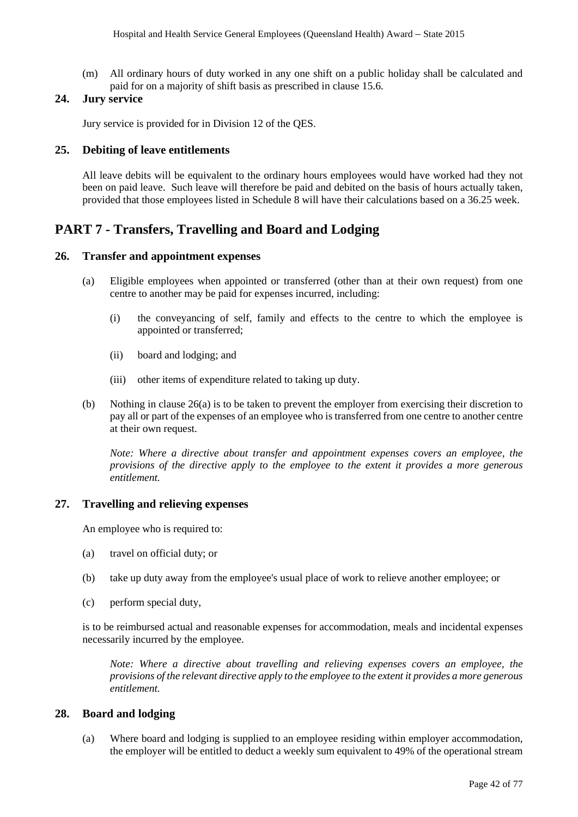(m) All ordinary hours of duty worked in any one shift on a public holiday shall be calculated and paid for on a majority of shift basis as prescribed in clause 15.6.

# **24. Jury service**

Jury service is provided for in Division 12 of the QES.

# **25. Debiting of leave entitlements**

All leave debits will be equivalent to the ordinary hours employees would have worked had they not been on paid leave. Such leave will therefore be paid and debited on the basis of hours actually taken, provided that those employees listed in Schedule 8 will have their calculations based on a 36.25 week.

# **PART 7 - Transfers, Travelling and Board and Lodging**

# **26. Transfer and appointment expenses**

- (a) Eligible employees when appointed or transferred (other than at their own request) from one centre to another may be paid for expenses incurred, including:
	- (i) the conveyancing of self, family and effects to the centre to which the employee is appointed or transferred;
	- (ii) board and lodging; and
	- (iii) other items of expenditure related to taking up duty.
- (b) Nothing in clause 26(a) is to be taken to prevent the employer from exercising their discretion to pay all or part of the expenses of an employee who is transferred from one centre to another centre at their own request.

*Note: Where a directive about transfer and appointment expenses covers an employee, the provisions of the directive apply to the employee to the extent it provides a more generous entitlement.* 

# **27. Travelling and relieving expenses**

An employee who is required to:

- (a) travel on official duty; or
- (b) take up duty away from the employee's usual place of work to relieve another employee; or
- (c) perform special duty,

is to be reimbursed actual and reasonable expenses for accommodation, meals and incidental expenses necessarily incurred by the employee.

*Note: Where a directive about travelling and relieving expenses covers an employee, the provisions of the relevant directive apply to the employee to the extent it provides a more generous entitlement.* 

# **28. Board and lodging**

(a) Where board and lodging is supplied to an employee residing within employer accommodation, the employer will be entitled to deduct a weekly sum equivalent to 49% of the operational stream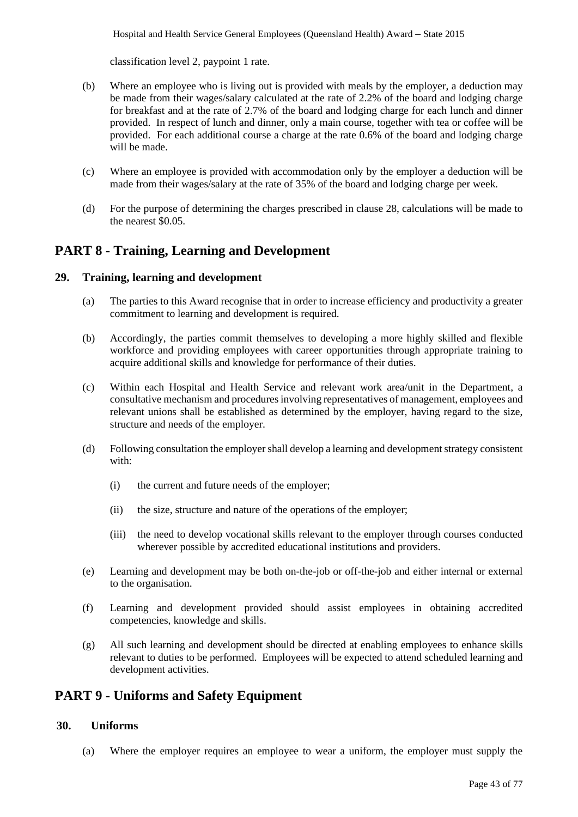classification level 2, paypoint 1 rate.

- (b) Where an employee who is living out is provided with meals by the employer, a deduction may be made from their wages/salary calculated at the rate of 2.2% of the board and lodging charge for breakfast and at the rate of 2.7% of the board and lodging charge for each lunch and dinner provided. In respect of lunch and dinner, only a main course, together with tea or coffee will be provided. For each additional course a charge at the rate 0.6% of the board and lodging charge will be made.
- (c) Where an employee is provided with accommodation only by the employer a deduction will be made from their wages/salary at the rate of 35% of the board and lodging charge per week.
- (d) For the purpose of determining the charges prescribed in clause 28, calculations will be made to the nearest \$0.05.

# **PART 8 - Training, Learning and Development**

# **29. Training, learning and development**

- (a) The parties to this Award recognise that in order to increase efficiency and productivity a greater commitment to learning and development is required.
- (b) Accordingly, the parties commit themselves to developing a more highly skilled and flexible workforce and providing employees with career opportunities through appropriate training to acquire additional skills and knowledge for performance of their duties.
- (c) Within each Hospital and Health Service and relevant work area/unit in the Department, a consultative mechanism and procedures involving representatives of management, employees and relevant unions shall be established as determined by the employer, having regard to the size, structure and needs of the employer.
- (d) Following consultation the employer shall develop a learning and development strategy consistent with:
	- (i) the current and future needs of the employer;
	- (ii) the size, structure and nature of the operations of the employer;
	- (iii) the need to develop vocational skills relevant to the employer through courses conducted wherever possible by accredited educational institutions and providers.
- (e) Learning and development may be both on-the-job or off-the-job and either internal or external to the organisation.
- (f) Learning and development provided should assist employees in obtaining accredited competencies, knowledge and skills.
- (g) All such learning and development should be directed at enabling employees to enhance skills relevant to duties to be performed. Employees will be expected to attend scheduled learning and development activities.

# **PART 9 - Uniforms and Safety Equipment**

# **30. Uniforms**

(a) Where the employer requires an employee to wear a uniform, the employer must supply the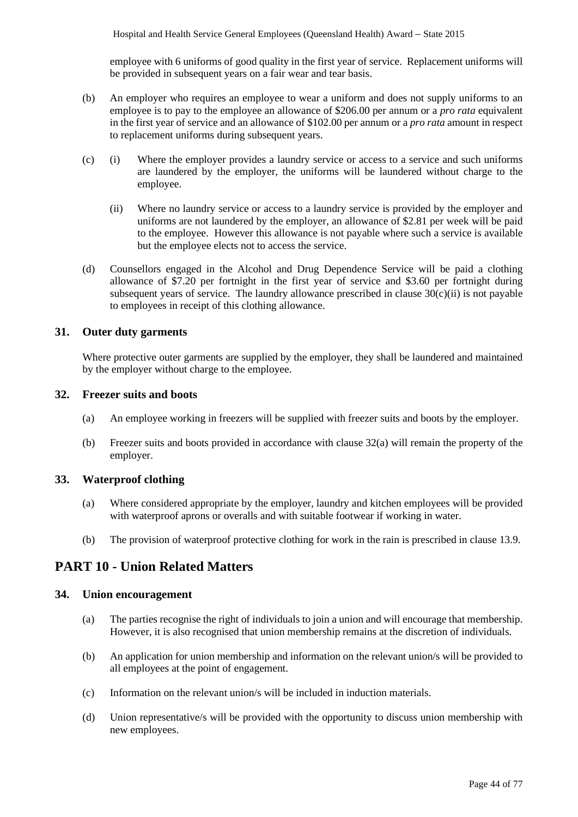employee with 6 uniforms of good quality in the first year of service. Replacement uniforms will be provided in subsequent years on a fair wear and tear basis.

- (b) An employer who requires an employee to wear a uniform and does not supply uniforms to an employee is to pay to the employee an allowance of \$206.00 per annum or a *pro rata* equivalent in the first year of service and an allowance of \$102.00 per annum or a *pro rata* amount in respect to replacement uniforms during subsequent years.
- (c) (i) Where the employer provides a laundry service or access to a service and such uniforms are laundered by the employer, the uniforms will be laundered without charge to the employee.
	- (ii) Where no laundry service or access to a laundry service is provided by the employer and uniforms are not laundered by the employer, an allowance of \$2.81 per week will be paid to the employee. However this allowance is not payable where such a service is available but the employee elects not to access the service.
- (d) Counsellors engaged in the Alcohol and Drug Dependence Service will be paid a clothing allowance of \$7.20 per fortnight in the first year of service and \$3.60 per fortnight during subsequent years of service. The laundry allowance prescribed in clause  $30(c)(ii)$  is not payable to employees in receipt of this clothing allowance.

# **31. Outer duty garments**

Where protective outer garments are supplied by the employer, they shall be laundered and maintained by the employer without charge to the employee.

# **32. Freezer suits and boots**

- (a) An employee working in freezers will be supplied with freezer suits and boots by the employer.
- (b) Freezer suits and boots provided in accordance with clause 32(a) will remain the property of the employer.

# **33. Waterproof clothing**

- (a) Where considered appropriate by the employer, laundry and kitchen employees will be provided with waterproof aprons or overalls and with suitable footwear if working in water.
- (b) The provision of waterproof protective clothing for work in the rain is prescribed in clause 13.9.

# **PART 10 - Union Related Matters**

# **34. Union encouragement**

- (a) The parties recognise the right of individuals to join a union and will encourage that membership. However, it is also recognised that union membership remains at the discretion of individuals.
- (b) An application for union membership and information on the relevant union/s will be provided to all employees at the point of engagement.
- (c) Information on the relevant union/s will be included in induction materials.
- (d) Union representative/s will be provided with the opportunity to discuss union membership with new employees.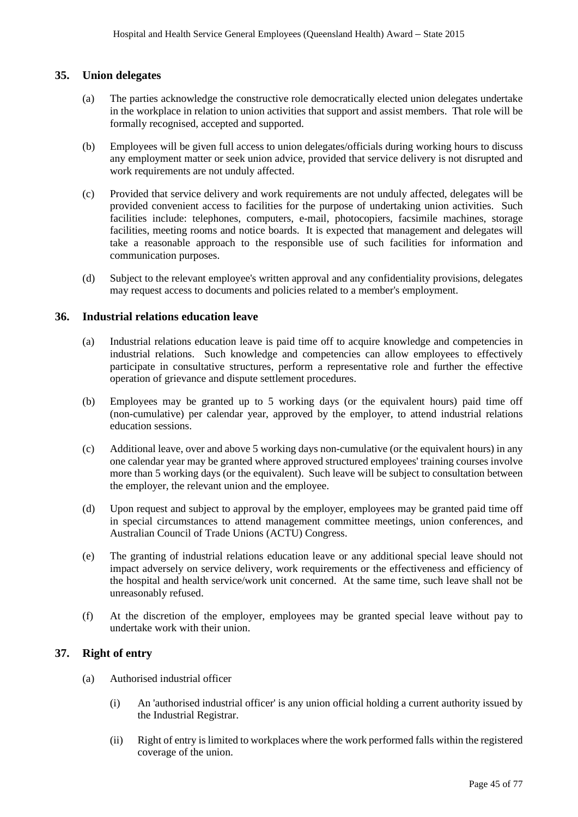# **35. Union delegates**

- (a) The parties acknowledge the constructive role democratically elected union delegates undertake in the workplace in relation to union activities that support and assist members. That role will be formally recognised, accepted and supported.
- (b) Employees will be given full access to union delegates/officials during working hours to discuss any employment matter or seek union advice, provided that service delivery is not disrupted and work requirements are not unduly affected.
- (c) Provided that service delivery and work requirements are not unduly affected, delegates will be provided convenient access to facilities for the purpose of undertaking union activities. Such facilities include: telephones, computers, e-mail, photocopiers, facsimile machines, storage facilities, meeting rooms and notice boards. It is expected that management and delegates will take a reasonable approach to the responsible use of such facilities for information and communication purposes.
- (d) Subject to the relevant employee's written approval and any confidentiality provisions, delegates may request access to documents and policies related to a member's employment.

# **36. Industrial relations education leave**

- (a) Industrial relations education leave is paid time off to acquire knowledge and competencies in industrial relations. Such knowledge and competencies can allow employees to effectively participate in consultative structures, perform a representative role and further the effective operation of grievance and dispute settlement procedures.
- (b) Employees may be granted up to 5 working days (or the equivalent hours) paid time off (non-cumulative) per calendar year, approved by the employer, to attend industrial relations education sessions.
- (c) Additional leave, over and above 5 working days non-cumulative (or the equivalent hours) in any one calendar year may be granted where approved structured employees' training courses involve more than 5 working days (or the equivalent). Such leave will be subject to consultation between the employer, the relevant union and the employee.
- (d) Upon request and subject to approval by the employer, employees may be granted paid time off in special circumstances to attend management committee meetings, union conferences, and Australian Council of Trade Unions (ACTU) Congress.
- (e) The granting of industrial relations education leave or any additional special leave should not impact adversely on service delivery, work requirements or the effectiveness and efficiency of the hospital and health service/work unit concerned. At the same time, such leave shall not be unreasonably refused.
- (f) At the discretion of the employer, employees may be granted special leave without pay to undertake work with their union.

# **37. Right of entry**

- (a) Authorised industrial officer
	- (i) An 'authorised industrial officer' is any union official holding a current authority issued by the Industrial Registrar.
	- (ii) Right of entry is limited to workplaces where the work performed falls within the registered coverage of the union.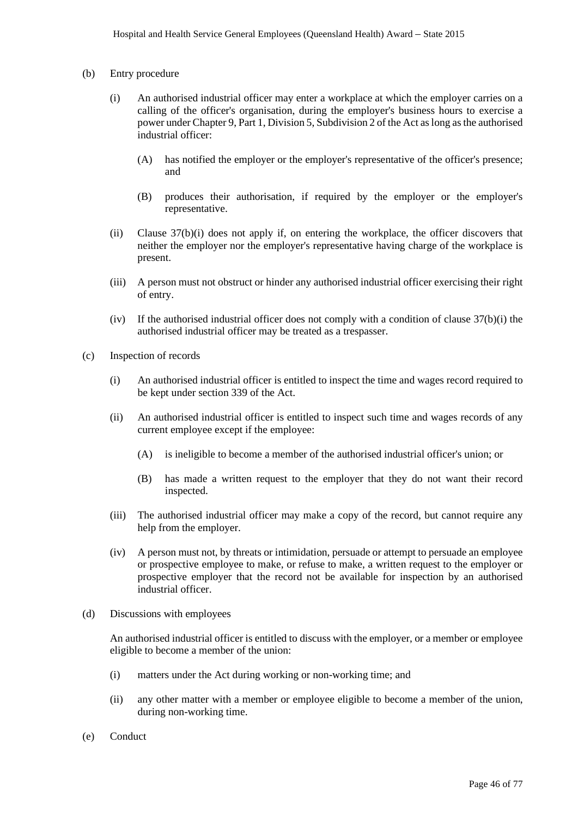- (b) Entry procedure
	- (i) An authorised industrial officer may enter a workplace at which the employer carries on a calling of the officer's organisation, during the employer's business hours to exercise a power under Chapter 9, Part 1, Division 5, Subdivision 2 of the Act as long asthe authorised industrial officer:
		- (A) has notified the employer or the employer's representative of the officer's presence; and
		- (B) produces their authorisation, if required by the employer or the employer's representative.
	- (ii) Clause 37(b)(i) does not apply if, on entering the workplace, the officer discovers that neither the employer nor the employer's representative having charge of the workplace is present.
	- (iii) A person must not obstruct or hinder any authorised industrial officer exercising their right of entry.
	- (iv) If the authorised industrial officer does not comply with a condition of clause 37(b)(i) the authorised industrial officer may be treated as a trespasser.
- (c) Inspection of records
	- (i) An authorised industrial officer is entitled to inspect the time and wages record required to be kept under section 339 of the Act.
	- (ii) An authorised industrial officer is entitled to inspect such time and wages records of any current employee except if the employee:
		- (A) is ineligible to become a member of the authorised industrial officer's union; or
		- (B) has made a written request to the employer that they do not want their record inspected.
	- (iii) The authorised industrial officer may make a copy of the record, but cannot require any help from the employer.
	- (iv) A person must not, by threats or intimidation, persuade or attempt to persuade an employee or prospective employee to make, or refuse to make, a written request to the employer or prospective employer that the record not be available for inspection by an authorised industrial officer.
- (d) Discussions with employees

An authorised industrial officer is entitled to discuss with the employer, or a member or employee eligible to become a member of the union:

- (i) matters under the Act during working or non-working time; and
- (ii) any other matter with a member or employee eligible to become a member of the union, during non-working time.
- (e) Conduct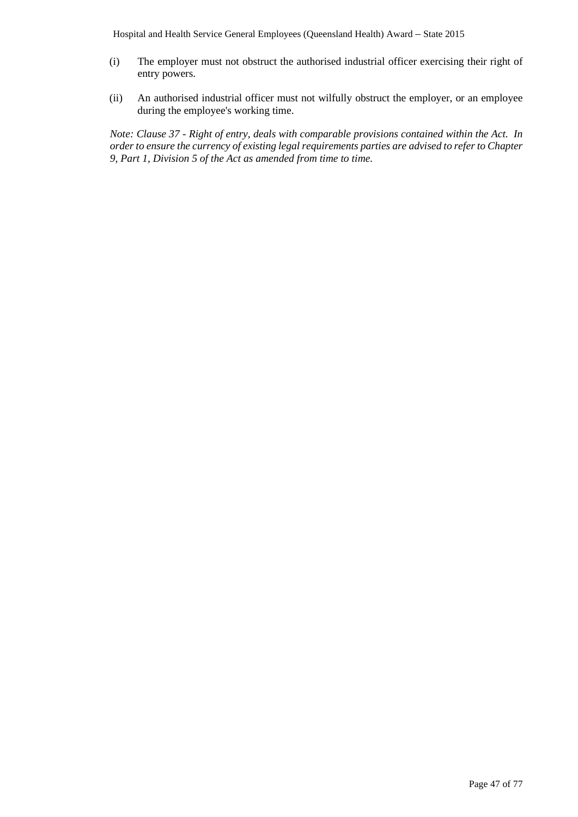- (i) The employer must not obstruct the authorised industrial officer exercising their right of entry powers.
- (ii) An authorised industrial officer must not wilfully obstruct the employer, or an employee during the employee's working time.

*Note: Clause 37 - Right of entry, deals with comparable provisions contained within the Act. In order to ensure the currency of existing legal requirements parties are advised to refer to Chapter 9, Part 1, Division 5 of the Act as amended from time to time.*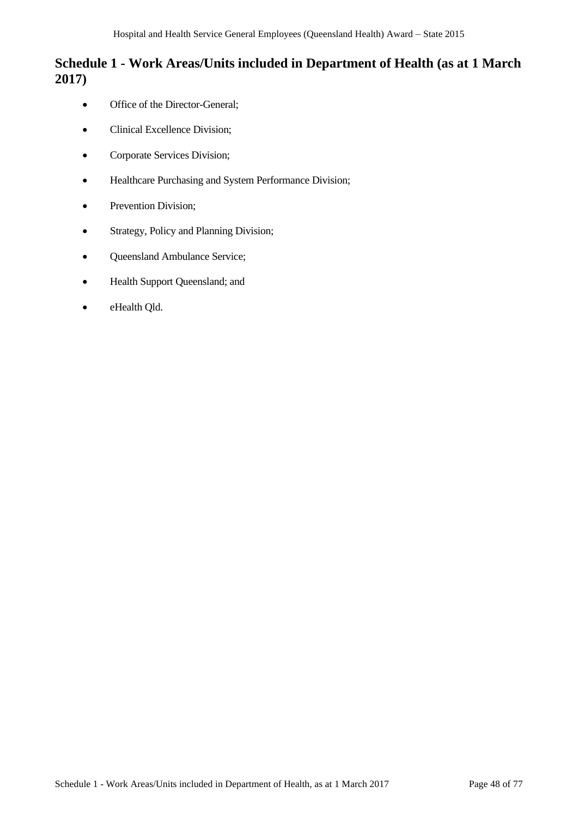# **Schedule 1 - Work Areas/Units included in Department of Health (as at 1 March 2017)**

- Office of the Director-General;
- Clinical Excellence Division;
- Corporate Services Division;
- Healthcare Purchasing and System Performance Division;
- Prevention Division;
- Strategy, Policy and Planning Division;
- Queensland Ambulance Service;
- Health Support Queensland; and
- eHealth Qld.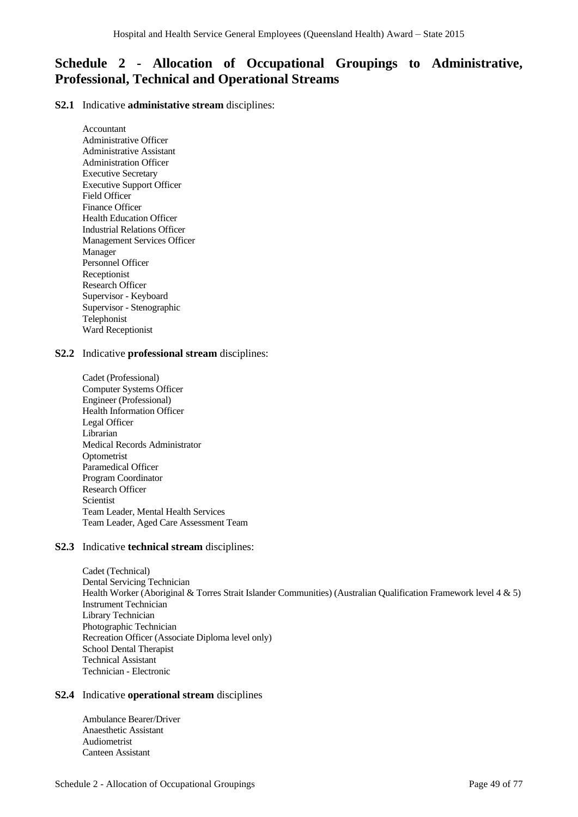# **Schedule 2 - Allocation of Occupational Groupings to Administrative, Professional, Technical and Operational Streams**

**S2.1** Indicative **administative stream** disciplines:

Accountant Administrative Officer Administrative Assistant Administration Officer Executive Secretary Executive Support Officer Field Officer Finance Officer Health Education Officer Industrial Relations Officer Management Services Officer Manager Personnel Officer Receptionist Research Officer Supervisor - Keyboard Supervisor - Stenographic Telephonist Ward Receptionist

## **S2.2** Indicative **professional stream** disciplines:

Cadet (Professional) Computer Systems Officer Engineer (Professional) Health Information Officer Legal Officer Librarian Medical Records Administrator **Optometrist** Paramedical Officer Program Coordinator Research Officer Scientist Team Leader, Mental Health Services Team Leader, Aged Care Assessment Team

# **S2.3** Indicative **technical stream** disciplines:

Cadet (Technical) Dental Servicing Technician Health Worker (Aboriginal & Torres Strait Islander Communities) (Australian Qualification Framework level 4 & 5) Instrument Technician Library Technician Photographic Technician Recreation Officer (Associate Diploma level only) School Dental Therapist Technical Assistant Technician - Electronic

# **S2.4** Indicative **operational stream** disciplines

Ambulance Bearer/Driver Anaesthetic Assistant Audiometrist Canteen Assistant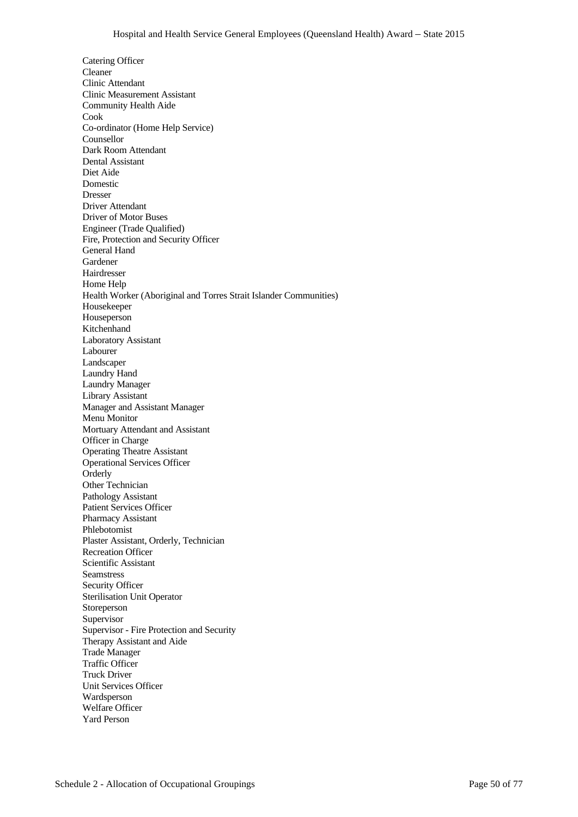Catering Officer Cleaner Clinic Attendant Clinic Measurement Assistant Community Health Aide Cook Co-ordinator (Home Help Service) Counsellor Dark Room Attendant Dental Assistant Diet Aide Domestic Dresser Driver Attendant Driver of Motor Buses Engineer (Trade Qualified) Fire, Protection and Security Officer General Hand Gardener Hairdresser Home Help Health Worker (Aboriginal and Torres Strait Islander Communities) Housekeeper Houseperson Kitchenhand Laboratory Assistant Labourer Landscaper Laundry Hand Laundry Manager Library Assistant Manager and Assistant Manager Menu Monitor Mortuary Attendant and Assistant Officer in Charge Operating Theatre Assistant Operational Services Officer Orderly Other Technician Pathology Assistant Patient Services Officer Pharmacy Assistant Phlebotomist Plaster Assistant, Orderly, Technician Recreation Officer Scientific Assistant Seamstress Security Officer Sterilisation Unit Operator Storeperson Supervisor Supervisor - Fire Protection and Security Therapy Assistant and Aide Trade Manager Traffic Officer Truck Driver Unit Services Officer Wardsperson Welfare Officer Yard Person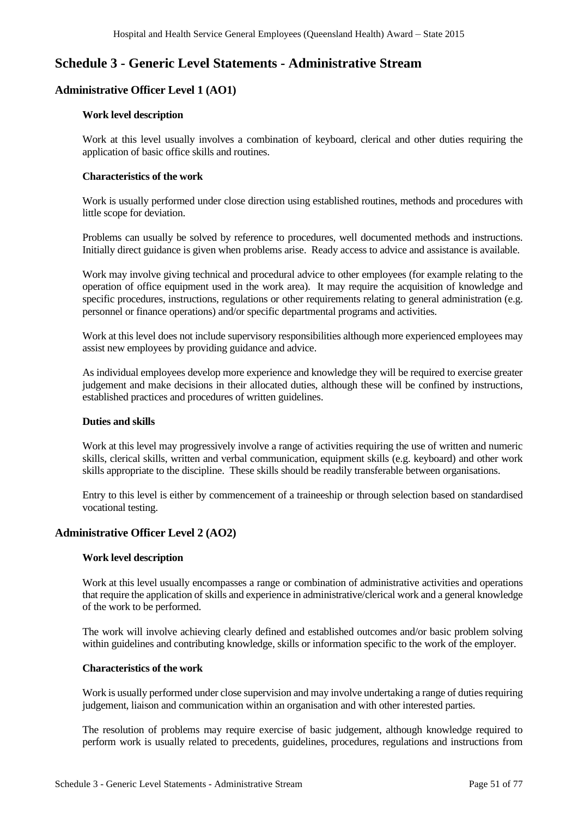# **Schedule 3 - Generic Level Statements - Administrative Stream**

# **Administrative Officer Level 1 (AO1)**

## **Work level description**

Work at this level usually involves a combination of keyboard, clerical and other duties requiring the application of basic office skills and routines.

## **Characteristics of the work**

Work is usually performed under close direction using established routines, methods and procedures with little scope for deviation.

Problems can usually be solved by reference to procedures, well documented methods and instructions. Initially direct guidance is given when problems arise. Ready access to advice and assistance is available.

Work may involve giving technical and procedural advice to other employees (for example relating to the operation of office equipment used in the work area). It may require the acquisition of knowledge and specific procedures, instructions, regulations or other requirements relating to general administration (e.g. personnel or finance operations) and/or specific departmental programs and activities.

Work at this level does not include supervisory responsibilities although more experienced employees may assist new employees by providing guidance and advice.

As individual employees develop more experience and knowledge they will be required to exercise greater judgement and make decisions in their allocated duties, although these will be confined by instructions, established practices and procedures of written guidelines.

# **Duties and skills**

Work at this level may progressively involve a range of activities requiring the use of written and numeric skills, clerical skills, written and verbal communication, equipment skills (e.g. keyboard) and other work skills appropriate to the discipline. These skills should be readily transferable between organisations.

Entry to this level is either by commencement of a traineeship or through selection based on standardised vocational testing.

# **Administrative Officer Level 2 (AO2)**

# **Work level description**

Work at this level usually encompasses a range or combination of administrative activities and operations that require the application of skills and experience in administrative/clerical work and a general knowledge of the work to be performed.

The work will involve achieving clearly defined and established outcomes and/or basic problem solving within guidelines and contributing knowledge, skills or information specific to the work of the employer.

## **Characteristics of the work**

Work is usually performed under close supervision and may involve undertaking a range of duties requiring judgement, liaison and communication within an organisation and with other interested parties.

The resolution of problems may require exercise of basic judgement, although knowledge required to perform work is usually related to precedents, guidelines, procedures, regulations and instructions from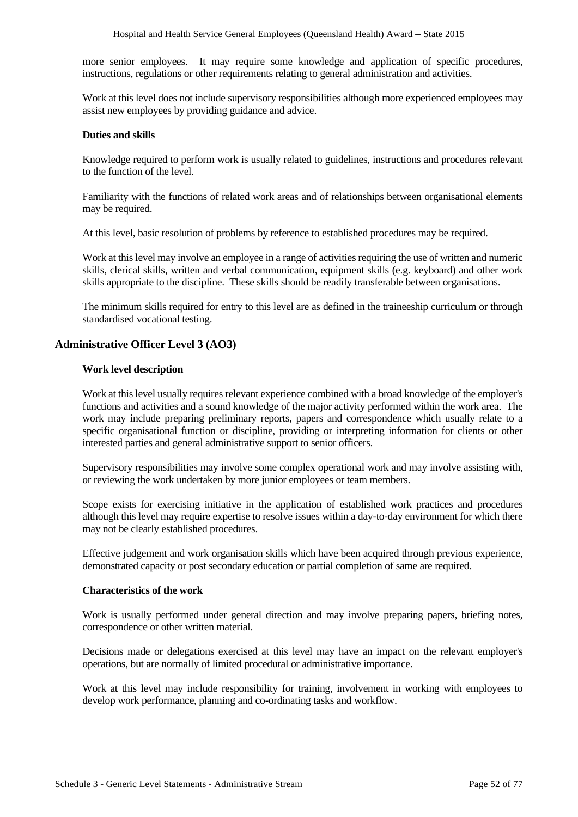more senior employees. It may require some knowledge and application of specific procedures, instructions, regulations or other requirements relating to general administration and activities.

Work at this level does not include supervisory responsibilities although more experienced employees may assist new employees by providing guidance and advice.

## **Duties and skills**

Knowledge required to perform work is usually related to guidelines, instructions and procedures relevant to the function of the level.

Familiarity with the functions of related work areas and of relationships between organisational elements may be required.

At this level, basic resolution of problems by reference to established procedures may be required.

Work at this level may involve an employee in a range of activities requiring the use of written and numeric skills, clerical skills, written and verbal communication, equipment skills (e.g. keyboard) and other work skills appropriate to the discipline. These skills should be readily transferable between organisations.

The minimum skills required for entry to this level are as defined in the traineeship curriculum or through standardised vocational testing.

# **Administrative Officer Level 3 (AO3)**

## **Work level description**

Work at this level usually requires relevant experience combined with a broad knowledge of the employer's functions and activities and a sound knowledge of the major activity performed within the work area. The work may include preparing preliminary reports, papers and correspondence which usually relate to a specific organisational function or discipline, providing or interpreting information for clients or other interested parties and general administrative support to senior officers.

Supervisory responsibilities may involve some complex operational work and may involve assisting with, or reviewing the work undertaken by more junior employees or team members.

Scope exists for exercising initiative in the application of established work practices and procedures although this level may require expertise to resolve issues within a day-to-day environment for which there may not be clearly established procedures.

Effective judgement and work organisation skills which have been acquired through previous experience, demonstrated capacity or post secondary education or partial completion of same are required.

#### **Characteristics of the work**

Work is usually performed under general direction and may involve preparing papers, briefing notes, correspondence or other written material.

Decisions made or delegations exercised at this level may have an impact on the relevant employer's operations, but are normally of limited procedural or administrative importance.

Work at this level may include responsibility for training, involvement in working with employees to develop work performance, planning and co-ordinating tasks and workflow.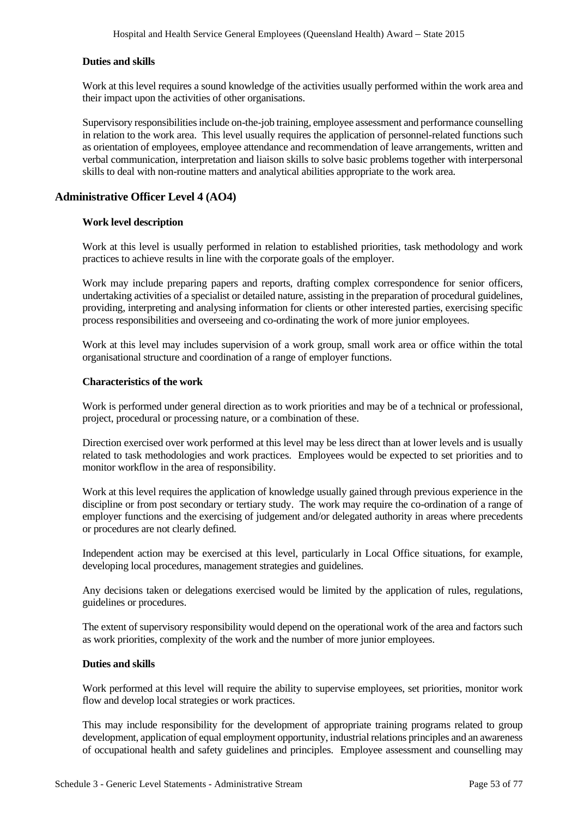# **Duties and skills**

Work at this level requires a sound knowledge of the activities usually performed within the work area and their impact upon the activities of other organisations.

Supervisory responsibilities include on-the-job training, employee assessment and performance counselling in relation to the work area. This level usually requires the application of personnel-related functions such as orientation of employees, employee attendance and recommendation of leave arrangements, written and verbal communication, interpretation and liaison skills to solve basic problems together with interpersonal skills to deal with non-routine matters and analytical abilities appropriate to the work area.

# **Administrative Officer Level 4 (AO4)**

## **Work level description**

Work at this level is usually performed in relation to established priorities, task methodology and work practices to achieve results in line with the corporate goals of the employer.

Work may include preparing papers and reports, drafting complex correspondence for senior officers, undertaking activities of a specialist or detailed nature, assisting in the preparation of procedural guidelines, providing, interpreting and analysing information for clients or other interested parties, exercising specific process responsibilities and overseeing and co-ordinating the work of more junior employees.

Work at this level may includes supervision of a work group, small work area or office within the total organisational structure and coordination of a range of employer functions.

#### **Characteristics of the work**

Work is performed under general direction as to work priorities and may be of a technical or professional, project, procedural or processing nature, or a combination of these.

Direction exercised over work performed at this level may be less direct than at lower levels and is usually related to task methodologies and work practices. Employees would be expected to set priorities and to monitor workflow in the area of responsibility.

Work at this level requires the application of knowledge usually gained through previous experience in the discipline or from post secondary or tertiary study. The work may require the co-ordination of a range of employer functions and the exercising of judgement and/or delegated authority in areas where precedents or procedures are not clearly defined.

Independent action may be exercised at this level, particularly in Local Office situations, for example, developing local procedures, management strategies and guidelines.

Any decisions taken or delegations exercised would be limited by the application of rules, regulations, guidelines or procedures.

The extent of supervisory responsibility would depend on the operational work of the area and factors such as work priorities, complexity of the work and the number of more junior employees.

## **Duties and skills**

Work performed at this level will require the ability to supervise employees, set priorities, monitor work flow and develop local strategies or work practices.

This may include responsibility for the development of appropriate training programs related to group development, application of equal employment opportunity, industrial relations principles and an awareness of occupational health and safety guidelines and principles. Employee assessment and counselling may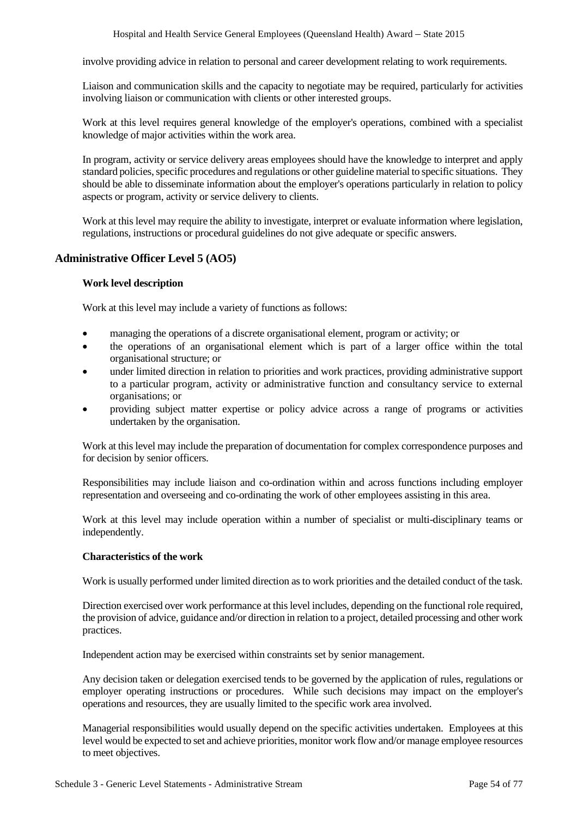involve providing advice in relation to personal and career development relating to work requirements.

Liaison and communication skills and the capacity to negotiate may be required, particularly for activities involving liaison or communication with clients or other interested groups.

Work at this level requires general knowledge of the employer's operations, combined with a specialist knowledge of major activities within the work area.

In program, activity or service delivery areas employees should have the knowledge to interpret and apply standard policies, specific procedures and regulations or other guideline material to specific situations. They should be able to disseminate information about the employer's operations particularly in relation to policy aspects or program, activity or service delivery to clients.

Work at this level may require the ability to investigate, interpret or evaluate information where legislation, regulations, instructions or procedural guidelines do not give adequate or specific answers.

# **Administrative Officer Level 5 (AO5)**

# **Work level description**

Work at this level may include a variety of functions as follows:

- managing the operations of a discrete organisational element, program or activity; or
- the operations of an organisational element which is part of a larger office within the total organisational structure; or
- under limited direction in relation to priorities and work practices, providing administrative support to a particular program, activity or administrative function and consultancy service to external organisations; or
- providing subject matter expertise or policy advice across a range of programs or activities undertaken by the organisation.

Work at this level may include the preparation of documentation for complex correspondence purposes and for decision by senior officers.

Responsibilities may include liaison and co-ordination within and across functions including employer representation and overseeing and co-ordinating the work of other employees assisting in this area.

Work at this level may include operation within a number of specialist or multi-disciplinary teams or independently.

# **Characteristics of the work**

Work is usually performed under limited direction as to work priorities and the detailed conduct of the task.

Direction exercised over work performance at this level includes, depending on the functional role required, the provision of advice, guidance and/or direction in relation to a project, detailed processing and other work practices.

Independent action may be exercised within constraints set by senior management.

Any decision taken or delegation exercised tends to be governed by the application of rules, regulations or employer operating instructions or procedures. While such decisions may impact on the employer's operations and resources, they are usually limited to the specific work area involved.

Managerial responsibilities would usually depend on the specific activities undertaken. Employees at this level would be expected to set and achieve priorities, monitor work flow and/or manage employee resources to meet objectives.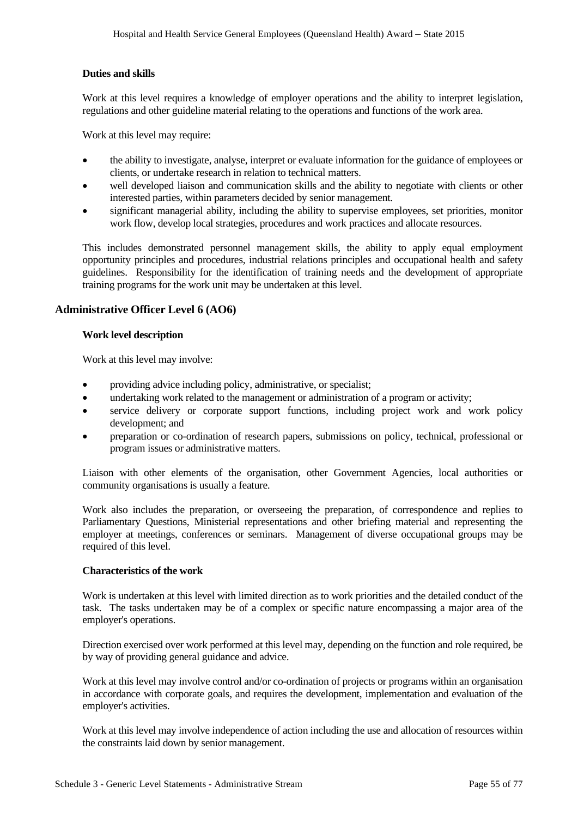# **Duties and skills**

Work at this level requires a knowledge of employer operations and the ability to interpret legislation, regulations and other guideline material relating to the operations and functions of the work area.

Work at this level may require:

- the ability to investigate, analyse, interpret or evaluate information for the guidance of employees or clients, or undertake research in relation to technical matters.
- well developed liaison and communication skills and the ability to negotiate with clients or other interested parties, within parameters decided by senior management.
- significant managerial ability, including the ability to supervise employees, set priorities, monitor work flow, develop local strategies, procedures and work practices and allocate resources.

This includes demonstrated personnel management skills, the ability to apply equal employment opportunity principles and procedures, industrial relations principles and occupational health and safety guidelines. Responsibility for the identification of training needs and the development of appropriate training programs for the work unit may be undertaken at this level.

# **Administrative Officer Level 6 (AO6)**

## **Work level description**

Work at this level may involve:

- providing advice including policy, administrative, or specialist;
- undertaking work related to the management or administration of a program or activity;
- service delivery or corporate support functions, including project work and work policy development; and
- preparation or co-ordination of research papers, submissions on policy, technical, professional or program issues or administrative matters.

Liaison with other elements of the organisation, other Government Agencies, local authorities or community organisations is usually a feature.

Work also includes the preparation, or overseeing the preparation, of correspondence and replies to Parliamentary Questions, Ministerial representations and other briefing material and representing the employer at meetings, conferences or seminars. Management of diverse occupational groups may be required of this level.

# **Characteristics of the work**

Work is undertaken at this level with limited direction as to work priorities and the detailed conduct of the task. The tasks undertaken may be of a complex or specific nature encompassing a major area of the employer's operations.

Direction exercised over work performed at this level may, depending on the function and role required, be by way of providing general guidance and advice.

Work at this level may involve control and/or co-ordination of projects or programs within an organisation in accordance with corporate goals, and requires the development, implementation and evaluation of the employer's activities.

Work at this level may involve independence of action including the use and allocation of resources within the constraints laid down by senior management.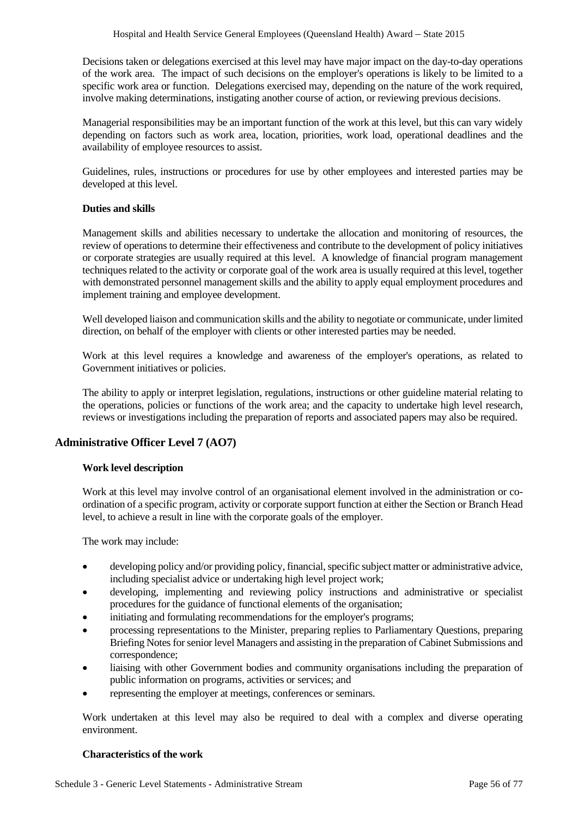Decisions taken or delegations exercised at this level may have major impact on the day-to-day operations of the work area. The impact of such decisions on the employer's operations is likely to be limited to a specific work area or function. Delegations exercised may, depending on the nature of the work required, involve making determinations, instigating another course of action, or reviewing previous decisions.

Managerial responsibilities may be an important function of the work at this level, but this can vary widely depending on factors such as work area, location, priorities, work load, operational deadlines and the availability of employee resources to assist.

Guidelines, rules, instructions or procedures for use by other employees and interested parties may be developed at this level.

# **Duties and skills**

Management skills and abilities necessary to undertake the allocation and monitoring of resources, the review of operations to determine their effectiveness and contribute to the development of policy initiatives or corporate strategies are usually required at this level. A knowledge of financial program management techniques related to the activity or corporate goal of the work area is usually required at this level, together with demonstrated personnel management skills and the ability to apply equal employment procedures and implement training and employee development.

Well developed liaison and communication skills and the ability to negotiate or communicate, under limited direction, on behalf of the employer with clients or other interested parties may be needed.

Work at this level requires a knowledge and awareness of the employer's operations, as related to Government initiatives or policies.

The ability to apply or interpret legislation, regulations, instructions or other guideline material relating to the operations, policies or functions of the work area; and the capacity to undertake high level research, reviews or investigations including the preparation of reports and associated papers may also be required.

# **Administrative Officer Level 7 (AO7)**

# **Work level description**

Work at this level may involve control of an organisational element involved in the administration or coordination of a specific program, activity or corporate support function at either the Section or Branch Head level, to achieve a result in line with the corporate goals of the employer.

The work may include:

- developing policy and/or providing policy, financial, specific subject matter or administrative advice, including specialist advice or undertaking high level project work;
- developing, implementing and reviewing policy instructions and administrative or specialist procedures for the guidance of functional elements of the organisation;
- initiating and formulating recommendations for the employer's programs;
- processing representations to the Minister, preparing replies to Parliamentary Questions, preparing Briefing Notes for senior level Managers and assisting in the preparation of Cabinet Submissions and correspondence;
- liaising with other Government bodies and community organisations including the preparation of public information on programs, activities or services; and
- representing the employer at meetings, conferences or seminars.

Work undertaken at this level may also be required to deal with a complex and diverse operating environment.

#### **Characteristics of the work**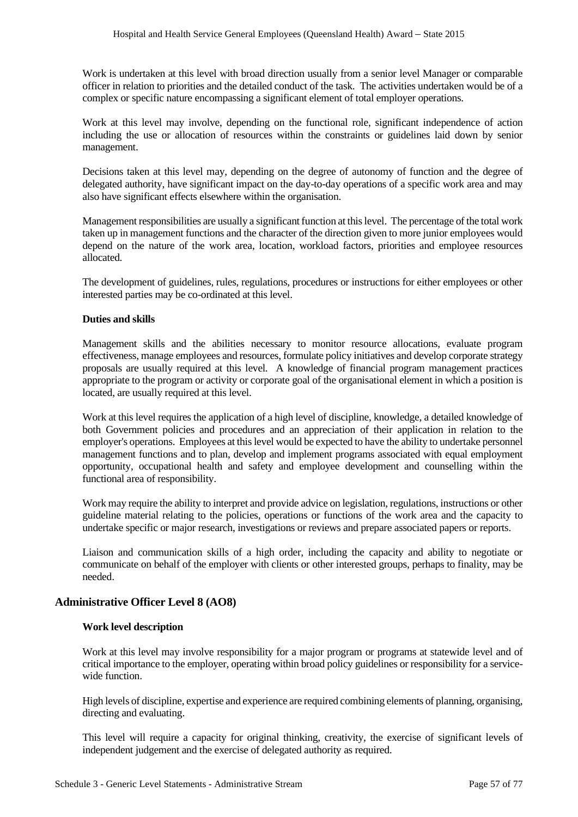Work is undertaken at this level with broad direction usually from a senior level Manager or comparable officer in relation to priorities and the detailed conduct of the task. The activities undertaken would be of a complex or specific nature encompassing a significant element of total employer operations.

Work at this level may involve, depending on the functional role, significant independence of action including the use or allocation of resources within the constraints or guidelines laid down by senior management.

Decisions taken at this level may, depending on the degree of autonomy of function and the degree of delegated authority, have significant impact on the day-to-day operations of a specific work area and may also have significant effects elsewhere within the organisation.

Management responsibilities are usually a significant function at this level. The percentage of the total work taken up in management functions and the character of the direction given to more junior employees would depend on the nature of the work area, location, workload factors, priorities and employee resources allocated.

The development of guidelines, rules, regulations, procedures or instructions for either employees or other interested parties may be co-ordinated at this level.

## **Duties and skills**

Management skills and the abilities necessary to monitor resource allocations, evaluate program effectiveness, manage employees and resources, formulate policy initiatives and develop corporate strategy proposals are usually required at this level. A knowledge of financial program management practices appropriate to the program or activity or corporate goal of the organisational element in which a position is located, are usually required at this level.

Work at this level requires the application of a high level of discipline, knowledge, a detailed knowledge of both Government policies and procedures and an appreciation of their application in relation to the employer's operations. Employees at this level would be expected to have the ability to undertake personnel management functions and to plan, develop and implement programs associated with equal employment opportunity, occupational health and safety and employee development and counselling within the functional area of responsibility.

Work may require the ability to interpret and provide advice on legislation, regulations, instructions or other guideline material relating to the policies, operations or functions of the work area and the capacity to undertake specific or major research, investigations or reviews and prepare associated papers or reports.

Liaison and communication skills of a high order, including the capacity and ability to negotiate or communicate on behalf of the employer with clients or other interested groups, perhaps to finality, may be needed.

# **Administrative Officer Level 8 (AO8)**

# **Work level description**

Work at this level may involve responsibility for a major program or programs at statewide level and of critical importance to the employer, operating within broad policy guidelines or responsibility for a servicewide function

High levels of discipline, expertise and experience are required combining elements of planning, organising, directing and evaluating.

This level will require a capacity for original thinking, creativity, the exercise of significant levels of independent judgement and the exercise of delegated authority as required.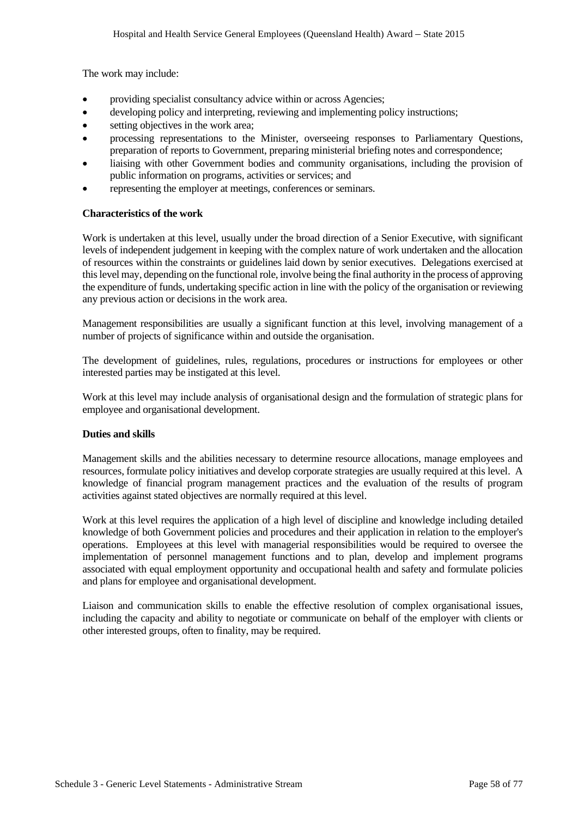The work may include:

- providing specialist consultancy advice within or across Agencies;
- developing policy and interpreting, reviewing and implementing policy instructions;
- setting objectives in the work area;
- processing representations to the Minister, overseeing responses to Parliamentary Questions, preparation of reports to Government, preparing ministerial briefing notes and correspondence;
- liaising with other Government bodies and community organisations, including the provision of public information on programs, activities or services; and
- representing the employer at meetings, conferences or seminars.

## **Characteristics of the work**

Work is undertaken at this level, usually under the broad direction of a Senior Executive, with significant levels of independent judgement in keeping with the complex nature of work undertaken and the allocation of resources within the constraints or guidelines laid down by senior executives. Delegations exercised at this level may, depending on the functional role, involve being the final authority in the process of approving the expenditure of funds, undertaking specific action in line with the policy of the organisation or reviewing any previous action or decisions in the work area.

Management responsibilities are usually a significant function at this level, involving management of a number of projects of significance within and outside the organisation.

The development of guidelines, rules, regulations, procedures or instructions for employees or other interested parties may be instigated at this level.

Work at this level may include analysis of organisational design and the formulation of strategic plans for employee and organisational development.

# **Duties and skills**

Management skills and the abilities necessary to determine resource allocations, manage employees and resources, formulate policy initiatives and develop corporate strategies are usually required at this level. A knowledge of financial program management practices and the evaluation of the results of program activities against stated objectives are normally required at this level.

Work at this level requires the application of a high level of discipline and knowledge including detailed knowledge of both Government policies and procedures and their application in relation to the employer's operations. Employees at this level with managerial responsibilities would be required to oversee the implementation of personnel management functions and to plan, develop and implement programs associated with equal employment opportunity and occupational health and safety and formulate policies and plans for employee and organisational development.

Liaison and communication skills to enable the effective resolution of complex organisational issues, including the capacity and ability to negotiate or communicate on behalf of the employer with clients or other interested groups, often to finality, may be required.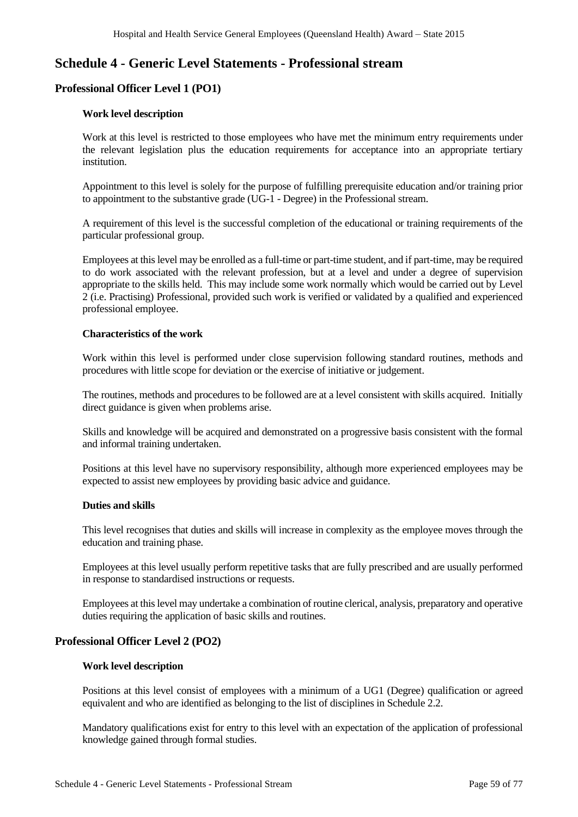# **Schedule 4 - Generic Level Statements - Professional stream**

# **Professional Officer Level 1 (PO1)**

# **Work level description**

Work at this level is restricted to those employees who have met the minimum entry requirements under the relevant legislation plus the education requirements for acceptance into an appropriate tertiary institution.

Appointment to this level is solely for the purpose of fulfilling prerequisite education and/or training prior to appointment to the substantive grade (UG-1 - Degree) in the Professional stream.

A requirement of this level is the successful completion of the educational or training requirements of the particular professional group.

Employees at this level may be enrolled as a full-time or part-time student, and if part-time, may be required to do work associated with the relevant profession, but at a level and under a degree of supervision appropriate to the skills held. This may include some work normally which would be carried out by Level 2 (i.e. Practising) Professional, provided such work is verified or validated by a qualified and experienced professional employee.

# **Characteristics of the work**

Work within this level is performed under close supervision following standard routines, methods and procedures with little scope for deviation or the exercise of initiative or judgement.

The routines, methods and procedures to be followed are at a level consistent with skills acquired. Initially direct guidance is given when problems arise.

Skills and knowledge will be acquired and demonstrated on a progressive basis consistent with the formal and informal training undertaken.

Positions at this level have no supervisory responsibility, although more experienced employees may be expected to assist new employees by providing basic advice and guidance.

#### **Duties and skills**

This level recognises that duties and skills will increase in complexity as the employee moves through the education and training phase.

Employees at this level usually perform repetitive tasks that are fully prescribed and are usually performed in response to standardised instructions or requests.

Employees at this level may undertake a combination of routine clerical, analysis, preparatory and operative duties requiring the application of basic skills and routines.

# **Professional Officer Level 2 (PO2)**

#### **Work level description**

Positions at this level consist of employees with a minimum of a UG1 (Degree) qualification or agreed equivalent and who are identified as belonging to the list of disciplines in Schedule 2.2.

Mandatory qualifications exist for entry to this level with an expectation of the application of professional knowledge gained through formal studies.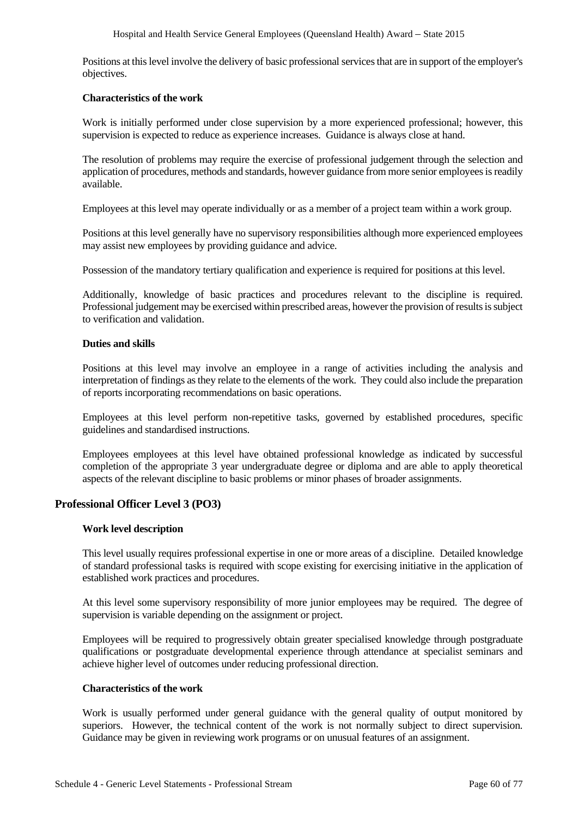Positions at this level involve the delivery of basic professional services that are in support of the employer's objectives.

#### **Characteristics of the work**

Work is initially performed under close supervision by a more experienced professional; however, this supervision is expected to reduce as experience increases. Guidance is always close at hand.

The resolution of problems may require the exercise of professional judgement through the selection and application of procedures, methods and standards, however guidance from more senior employees is readily available.

Employees at this level may operate individually or as a member of a project team within a work group.

Positions at this level generally have no supervisory responsibilities although more experienced employees may assist new employees by providing guidance and advice.

Possession of the mandatory tertiary qualification and experience is required for positions at this level.

Additionally, knowledge of basic practices and procedures relevant to the discipline is required. Professional judgement may be exercised within prescribed areas, however the provision of results is subject to verification and validation.

## **Duties and skills**

Positions at this level may involve an employee in a range of activities including the analysis and interpretation of findings as they relate to the elements of the work. They could also include the preparation of reports incorporating recommendations on basic operations.

Employees at this level perform non-repetitive tasks, governed by established procedures, specific guidelines and standardised instructions.

Employees employees at this level have obtained professional knowledge as indicated by successful completion of the appropriate 3 year undergraduate degree or diploma and are able to apply theoretical aspects of the relevant discipline to basic problems or minor phases of broader assignments.

# **Professional Officer Level 3 (PO3)**

# **Work level description**

This level usually requires professional expertise in one or more areas of a discipline. Detailed knowledge of standard professional tasks is required with scope existing for exercising initiative in the application of established work practices and procedures.

At this level some supervisory responsibility of more junior employees may be required. The degree of supervision is variable depending on the assignment or project.

Employees will be required to progressively obtain greater specialised knowledge through postgraduate qualifications or postgraduate developmental experience through attendance at specialist seminars and achieve higher level of outcomes under reducing professional direction.

#### **Characteristics of the work**

Work is usually performed under general guidance with the general quality of output monitored by superiors. However, the technical content of the work is not normally subject to direct supervision. Guidance may be given in reviewing work programs or on unusual features of an assignment.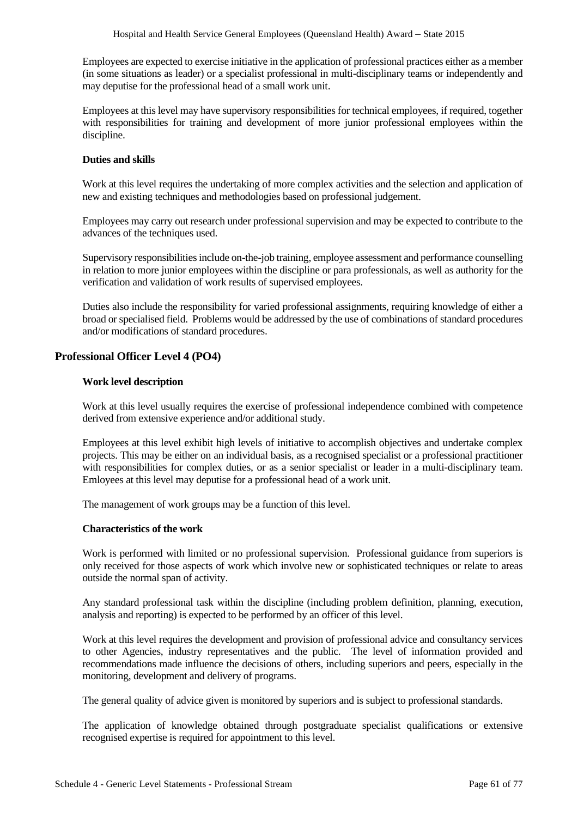Employees are expected to exercise initiative in the application of professional practices either as a member (in some situations as leader) or a specialist professional in multi-disciplinary teams or independently and may deputise for the professional head of a small work unit.

Employees at this level may have supervisory responsibilities for technical employees, if required, together with responsibilities for training and development of more junior professional employees within the discipline.

## **Duties and skills**

Work at this level requires the undertaking of more complex activities and the selection and application of new and existing techniques and methodologies based on professional judgement.

Employees may carry out research under professional supervision and may be expected to contribute to the advances of the techniques used.

Supervisory responsibilities include on-the-job training, employee assessment and performance counselling in relation to more junior employees within the discipline or para professionals, as well as authority for the verification and validation of work results of supervised employees.

Duties also include the responsibility for varied professional assignments, requiring knowledge of either a broad or specialised field. Problems would be addressed by the use of combinations of standard procedures and/or modifications of standard procedures.

# **Professional Officer Level 4 (PO4)**

## **Work level description**

Work at this level usually requires the exercise of professional independence combined with competence derived from extensive experience and/or additional study.

Employees at this level exhibit high levels of initiative to accomplish objectives and undertake complex projects. This may be either on an individual basis, as a recognised specialist or a professional practitioner with responsibilities for complex duties, or as a senior specialist or leader in a multi-disciplinary team. Emloyees at this level may deputise for a professional head of a work unit.

The management of work groups may be a function of this level.

### **Characteristics of the work**

Work is performed with limited or no professional supervision. Professional guidance from superiors is only received for those aspects of work which involve new or sophisticated techniques or relate to areas outside the normal span of activity.

Any standard professional task within the discipline (including problem definition, planning, execution, analysis and reporting) is expected to be performed by an officer of this level.

Work at this level requires the development and provision of professional advice and consultancy services to other Agencies, industry representatives and the public. The level of information provided and recommendations made influence the decisions of others, including superiors and peers, especially in the monitoring, development and delivery of programs.

The general quality of advice given is monitored by superiors and is subject to professional standards.

The application of knowledge obtained through postgraduate specialist qualifications or extensive recognised expertise is required for appointment to this level.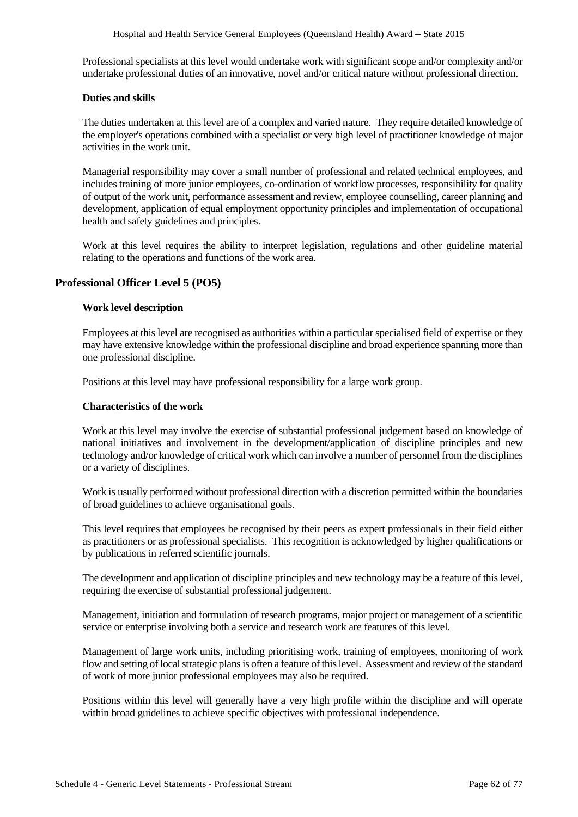Professional specialists at this level would undertake work with significant scope and/or complexity and/or undertake professional duties of an innovative, novel and/or critical nature without professional direction.

## **Duties and skills**

The duties undertaken at this level are of a complex and varied nature. They require detailed knowledge of the employer's operations combined with a specialist or very high level of practitioner knowledge of major activities in the work unit.

Managerial responsibility may cover a small number of professional and related technical employees, and includes training of more junior employees, co-ordination of workflow processes, responsibility for quality of output of the work unit, performance assessment and review, employee counselling, career planning and development, application of equal employment opportunity principles and implementation of occupational health and safety guidelines and principles.

Work at this level requires the ability to interpret legislation, regulations and other guideline material relating to the operations and functions of the work area.

# **Professional Officer Level 5 (PO5)**

## **Work level description**

Employees at this level are recognised as authorities within a particular specialised field of expertise or they may have extensive knowledge within the professional discipline and broad experience spanning more than one professional discipline.

Positions at this level may have professional responsibility for a large work group.

## **Characteristics of the work**

Work at this level may involve the exercise of substantial professional judgement based on knowledge of national initiatives and involvement in the development/application of discipline principles and new technology and/or knowledge of critical work which can involve a number of personnel from the disciplines or a variety of disciplines.

Work is usually performed without professional direction with a discretion permitted within the boundaries of broad guidelines to achieve organisational goals.

This level requires that employees be recognised by their peers as expert professionals in their field either as practitioners or as professional specialists. This recognition is acknowledged by higher qualifications or by publications in referred scientific journals.

The development and application of discipline principles and new technology may be a feature of this level, requiring the exercise of substantial professional judgement.

Management, initiation and formulation of research programs, major project or management of a scientific service or enterprise involving both a service and research work are features of this level.

Management of large work units, including prioritising work, training of employees, monitoring of work flow and setting of local strategic plans is often a feature of this level. Assessment and review of the standard of work of more junior professional employees may also be required.

Positions within this level will generally have a very high profile within the discipline and will operate within broad guidelines to achieve specific objectives with professional independence.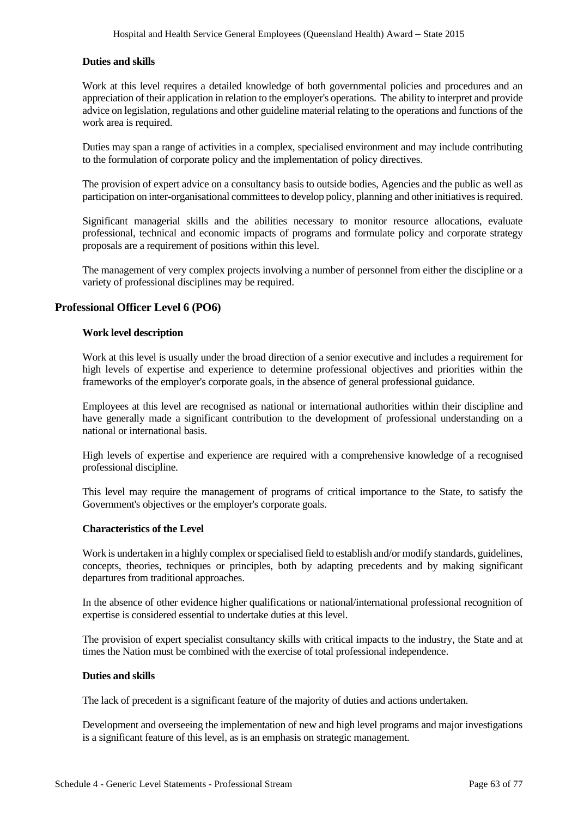# **Duties and skills**

Work at this level requires a detailed knowledge of both governmental policies and procedures and an appreciation of their application in relation to the employer's operations. The ability to interpret and provide advice on legislation, regulations and other guideline material relating to the operations and functions of the work area is required.

Duties may span a range of activities in a complex, specialised environment and may include contributing to the formulation of corporate policy and the implementation of policy directives.

The provision of expert advice on a consultancy basis to outside bodies, Agencies and the public as well as participation on inter-organisational committees to develop policy, planning and other initiatives is required.

Significant managerial skills and the abilities necessary to monitor resource allocations, evaluate professional, technical and economic impacts of programs and formulate policy and corporate strategy proposals are a requirement of positions within this level.

The management of very complex projects involving a number of personnel from either the discipline or a variety of professional disciplines may be required.

# **Professional Officer Level 6 (PO6)**

## **Work level description**

Work at this level is usually under the broad direction of a senior executive and includes a requirement for high levels of expertise and experience to determine professional objectives and priorities within the frameworks of the employer's corporate goals, in the absence of general professional guidance.

Employees at this level are recognised as national or international authorities within their discipline and have generally made a significant contribution to the development of professional understanding on a national or international basis.

High levels of expertise and experience are required with a comprehensive knowledge of a recognised professional discipline.

This level may require the management of programs of critical importance to the State, to satisfy the Government's objectives or the employer's corporate goals.

# **Characteristics of the Level**

Work is undertaken in a highly complex or specialised field to establish and/or modify standards, guidelines, concepts, theories, techniques or principles, both by adapting precedents and by making significant departures from traditional approaches.

In the absence of other evidence higher qualifications or national/international professional recognition of expertise is considered essential to undertake duties at this level.

The provision of expert specialist consultancy skills with critical impacts to the industry, the State and at times the Nation must be combined with the exercise of total professional independence.

## **Duties and skills**

The lack of precedent is a significant feature of the majority of duties and actions undertaken.

Development and overseeing the implementation of new and high level programs and major investigations is a significant feature of this level, as is an emphasis on strategic management.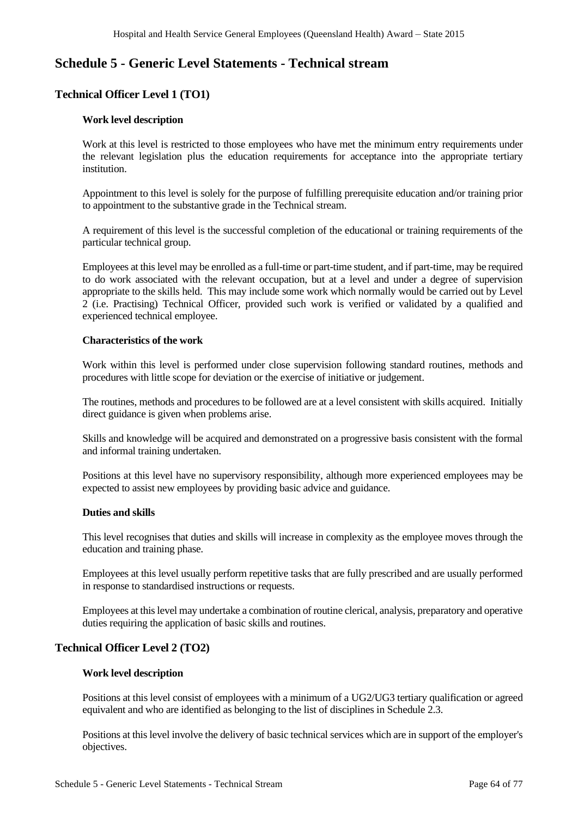# **Schedule 5 - Generic Level Statements - Technical stream**

# **Technical Officer Level 1 (TO1)**

## **Work level description**

Work at this level is restricted to those employees who have met the minimum entry requirements under the relevant legislation plus the education requirements for acceptance into the appropriate tertiary institution.

Appointment to this level is solely for the purpose of fulfilling prerequisite education and/or training prior to appointment to the substantive grade in the Technical stream.

A requirement of this level is the successful completion of the educational or training requirements of the particular technical group.

Employees at this level may be enrolled as a full-time or part-time student, and if part-time, may be required to do work associated with the relevant occupation, but at a level and under a degree of supervision appropriate to the skills held. This may include some work which normally would be carried out by Level 2 (i.e. Practising) Technical Officer, provided such work is verified or validated by a qualified and experienced technical employee.

## **Characteristics of the work**

Work within this level is performed under close supervision following standard routines, methods and procedures with little scope for deviation or the exercise of initiative or judgement.

The routines, methods and procedures to be followed are at a level consistent with skills acquired. Initially direct guidance is given when problems arise.

Skills and knowledge will be acquired and demonstrated on a progressive basis consistent with the formal and informal training undertaken.

Positions at this level have no supervisory responsibility, although more experienced employees may be expected to assist new employees by providing basic advice and guidance.

# **Duties and skills**

This level recognises that duties and skills will increase in complexity as the employee moves through the education and training phase.

Employees at this level usually perform repetitive tasks that are fully prescribed and are usually performed in response to standardised instructions or requests.

Employees at this level may undertake a combination of routine clerical, analysis, preparatory and operative duties requiring the application of basic skills and routines.

# **Technical Officer Level 2 (TO2)**

## **Work level description**

Positions at this level consist of employees with a minimum of a UG2/UG3 tertiary qualification or agreed equivalent and who are identified as belonging to the list of disciplines in Schedule 2.3.

Positions at this level involve the delivery of basic technical services which are in support of the employer's objectives.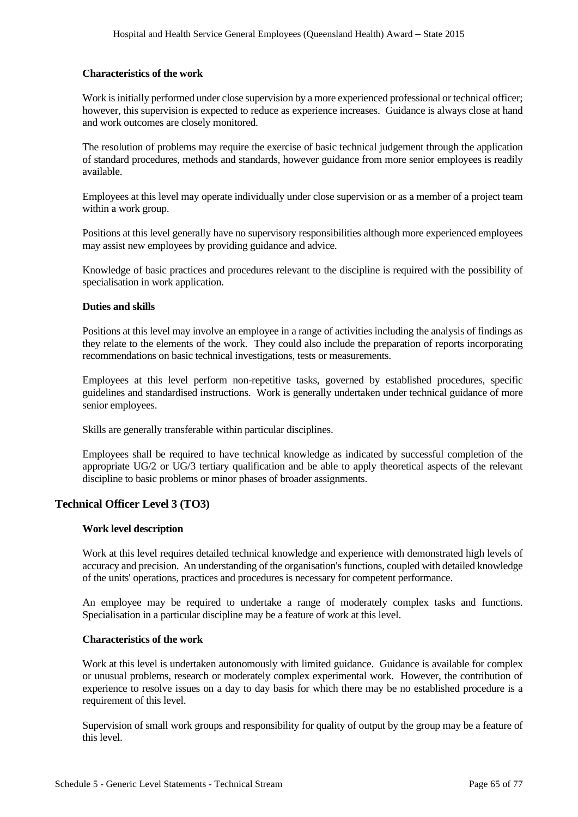## **Characteristics of the work**

Work is initially performed under close supervision by a more experienced professional or technical officer; however, this supervision is expected to reduce as experience increases. Guidance is always close at hand and work outcomes are closely monitored.

The resolution of problems may require the exercise of basic technical judgement through the application of standard procedures, methods and standards, however guidance from more senior employees is readily available.

Employees at this level may operate individually under close supervision or as a member of a project team within a work group.

Positions at this level generally have no supervisory responsibilities although more experienced employees may assist new employees by providing guidance and advice.

Knowledge of basic practices and procedures relevant to the discipline is required with the possibility of specialisation in work application.

## **Duties and skills**

Positions at this level may involve an employee in a range of activities including the analysis of findings as they relate to the elements of the work. They could also include the preparation of reports incorporating recommendations on basic technical investigations, tests or measurements.

Employees at this level perform non-repetitive tasks, governed by established procedures, specific guidelines and standardised instructions. Work is generally undertaken under technical guidance of more senior employees.

Skills are generally transferable within particular disciplines.

Employees shall be required to have technical knowledge as indicated by successful completion of the appropriate UG/2 or UG/3 tertiary qualification and be able to apply theoretical aspects of the relevant discipline to basic problems or minor phases of broader assignments.

# **Technical Officer Level 3 (TO3)**

# **Work level description**

Work at this level requires detailed technical knowledge and experience with demonstrated high levels of accuracy and precision. An understanding of the organisation's functions, coupled with detailed knowledge of the units' operations, practices and procedures is necessary for competent performance.

An employee may be required to undertake a range of moderately complex tasks and functions. Specialisation in a particular discipline may be a feature of work at this level.

#### **Characteristics of the work**

Work at this level is undertaken autonomously with limited guidance. Guidance is available for complex or unusual problems, research or moderately complex experimental work. However, the contribution of experience to resolve issues on a day to day basis for which there may be no established procedure is a requirement of this level.

Supervision of small work groups and responsibility for quality of output by the group may be a feature of this level.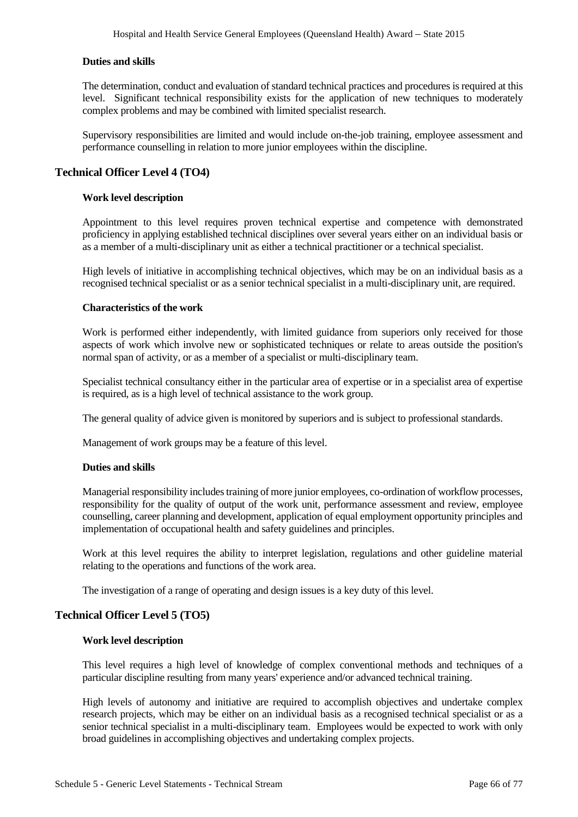# **Duties and skills**

The determination, conduct and evaluation of standard technical practices and procedures is required at this level. Significant technical responsibility exists for the application of new techniques to moderately complex problems and may be combined with limited specialist research.

Supervisory responsibilities are limited and would include on-the-job training, employee assessment and performance counselling in relation to more junior employees within the discipline.

# **Technical Officer Level 4 (TO4)**

# **Work level description**

Appointment to this level requires proven technical expertise and competence with demonstrated proficiency in applying established technical disciplines over several years either on an individual basis or as a member of a multi-disciplinary unit as either a technical practitioner or a technical specialist.

High levels of initiative in accomplishing technical objectives, which may be on an individual basis as a recognised technical specialist or as a senior technical specialist in a multi-disciplinary unit, are required.

#### **Characteristics of the work**

Work is performed either independently, with limited guidance from superiors only received for those aspects of work which involve new or sophisticated techniques or relate to areas outside the position's normal span of activity, or as a member of a specialist or multi-disciplinary team.

Specialist technical consultancy either in the particular area of expertise or in a specialist area of expertise is required, as is a high level of technical assistance to the work group.

The general quality of advice given is monitored by superiors and is subject to professional standards.

Management of work groups may be a feature of this level.

#### **Duties and skills**

Managerial responsibility includes training of more junior employees, co-ordination of workflow processes, responsibility for the quality of output of the work unit, performance assessment and review, employee counselling, career planning and development, application of equal employment opportunity principles and implementation of occupational health and safety guidelines and principles.

Work at this level requires the ability to interpret legislation, regulations and other guideline material relating to the operations and functions of the work area.

The investigation of a range of operating and design issues is a key duty of this level.

# **Technical Officer Level 5 (TO5)**

#### **Work level description**

This level requires a high level of knowledge of complex conventional methods and techniques of a particular discipline resulting from many years' experience and/or advanced technical training.

High levels of autonomy and initiative are required to accomplish objectives and undertake complex research projects, which may be either on an individual basis as a recognised technical specialist or as a senior technical specialist in a multi-disciplinary team. Employees would be expected to work with only broad guidelines in accomplishing objectives and undertaking complex projects.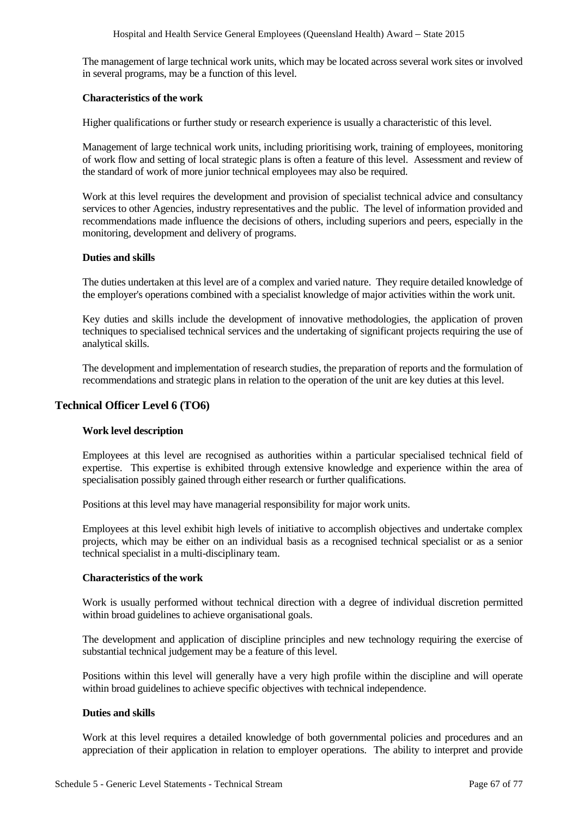The management of large technical work units, which may be located across several work sites or involved in several programs, may be a function of this level.

### **Characteristics of the work**

Higher qualifications or further study or research experience is usually a characteristic of this level.

Management of large technical work units, including prioritising work, training of employees, monitoring of work flow and setting of local strategic plans is often a feature of this level. Assessment and review of the standard of work of more junior technical employees may also be required.

Work at this level requires the development and provision of specialist technical advice and consultancy services to other Agencies, industry representatives and the public. The level of information provided and recommendations made influence the decisions of others, including superiors and peers, especially in the monitoring, development and delivery of programs.

## **Duties and skills**

The duties undertaken at this level are of a complex and varied nature. They require detailed knowledge of the employer's operations combined with a specialist knowledge of major activities within the work unit.

Key duties and skills include the development of innovative methodologies, the application of proven techniques to specialised technical services and the undertaking of significant projects requiring the use of analytical skills.

The development and implementation of research studies, the preparation of reports and the formulation of recommendations and strategic plans in relation to the operation of the unit are key duties at this level.

# **Technical Officer Level 6 (TO6)**

# **Work level description**

Employees at this level are recognised as authorities within a particular specialised technical field of expertise. This expertise is exhibited through extensive knowledge and experience within the area of specialisation possibly gained through either research or further qualifications.

Positions at this level may have managerial responsibility for major work units.

Employees at this level exhibit high levels of initiative to accomplish objectives and undertake complex projects, which may be either on an individual basis as a recognised technical specialist or as a senior technical specialist in a multi-disciplinary team.

#### **Characteristics of the work**

Work is usually performed without technical direction with a degree of individual discretion permitted within broad guidelines to achieve organisational goals.

The development and application of discipline principles and new technology requiring the exercise of substantial technical judgement may be a feature of this level.

Positions within this level will generally have a very high profile within the discipline and will operate within broad guidelines to achieve specific objectives with technical independence.

#### **Duties and skills**

Work at this level requires a detailed knowledge of both governmental policies and procedures and an appreciation of their application in relation to employer operations. The ability to interpret and provide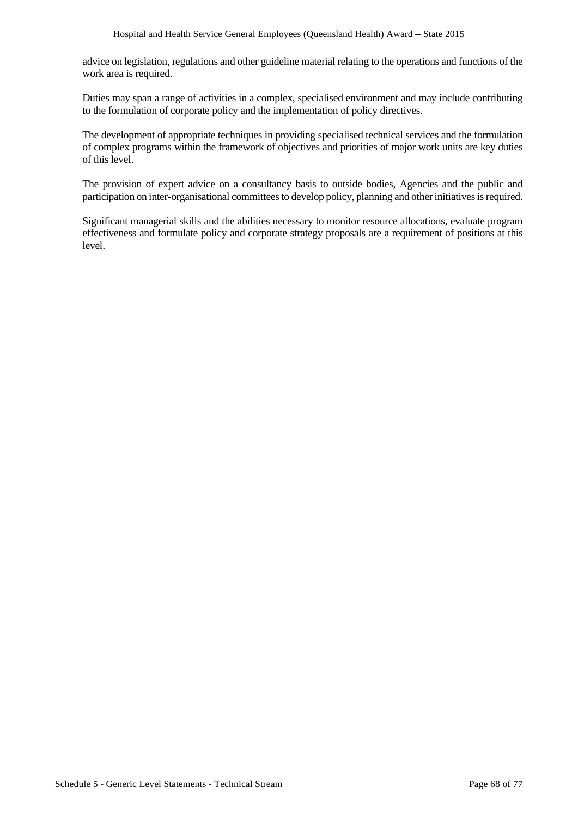advice on legislation, regulations and other guideline material relating to the operations and functions of the work area is required.

Duties may span a range of activities in a complex, specialised environment and may include contributing to the formulation of corporate policy and the implementation of policy directives.

The development of appropriate techniques in providing specialised technical services and the formulation of complex programs within the framework of objectives and priorities of major work units are key duties of this level.

The provision of expert advice on a consultancy basis to outside bodies, Agencies and the public and participation on inter-organisational committees to develop policy, planning and other initiatives is required.

Significant managerial skills and the abilities necessary to monitor resource allocations, evaluate program effectiveness and formulate policy and corporate strategy proposals are a requirement of positions at this level.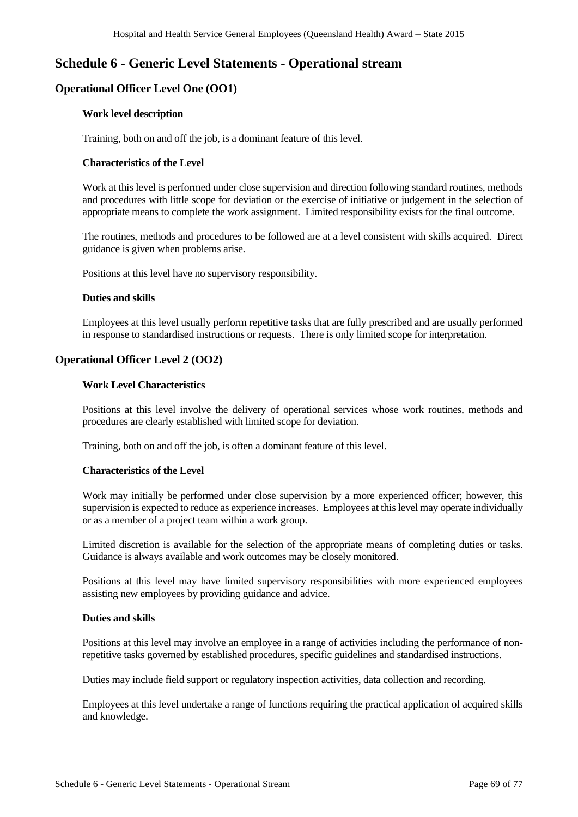# **Schedule 6 - Generic Level Statements - Operational stream**

# **Operational Officer Level One (OO1)**

# **Work level description**

Training, both on and off the job, is a dominant feature of this level.

# **Characteristics of the Level**

Work at this level is performed under close supervision and direction following standard routines, methods and procedures with little scope for deviation or the exercise of initiative or judgement in the selection of appropriate means to complete the work assignment. Limited responsibility exists for the final outcome.

The routines, methods and procedures to be followed are at a level consistent with skills acquired. Direct guidance is given when problems arise.

Positions at this level have no supervisory responsibility.

# **Duties and skills**

Employees at this level usually perform repetitive tasks that are fully prescribed and are usually performed in response to standardised instructions or requests. There is only limited scope for interpretation.

# **Operational Officer Level 2 (OO2)**

# **Work Level Characteristics**

Positions at this level involve the delivery of operational services whose work routines, methods and procedures are clearly established with limited scope for deviation.

Training, both on and off the job, is often a dominant feature of this level.

# **Characteristics of the Level**

Work may initially be performed under close supervision by a more experienced officer; however, this supervision is expected to reduce as experience increases. Employees at this level may operate individually or as a member of a project team within a work group.

Limited discretion is available for the selection of the appropriate means of completing duties or tasks. Guidance is always available and work outcomes may be closely monitored.

Positions at this level may have limited supervisory responsibilities with more experienced employees assisting new employees by providing guidance and advice.

# **Duties and skills**

Positions at this level may involve an employee in a range of activities including the performance of nonrepetitive tasks governed by established procedures, specific guidelines and standardised instructions.

Duties may include field support or regulatory inspection activities, data collection and recording.

Employees at this level undertake a range of functions requiring the practical application of acquired skills and knowledge.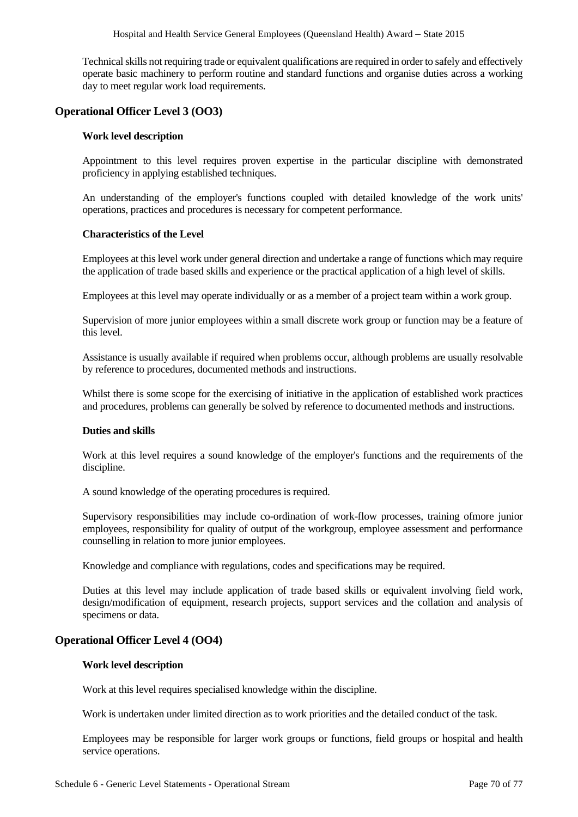Technical skills not requiring trade or equivalent qualifications are required in order to safely and effectively operate basic machinery to perform routine and standard functions and organise duties across a working day to meet regular work load requirements.

# **Operational Officer Level 3 (OO3)**

## **Work level description**

Appointment to this level requires proven expertise in the particular discipline with demonstrated proficiency in applying established techniques.

An understanding of the employer's functions coupled with detailed knowledge of the work units' operations, practices and procedures is necessary for competent performance.

#### **Characteristics of the Level**

Employees at this level work under general direction and undertake a range of functions which may require the application of trade based skills and experience or the practical application of a high level of skills.

Employees at this level may operate individually or as a member of a project team within a work group.

Supervision of more junior employees within a small discrete work group or function may be a feature of this level.

Assistance is usually available if required when problems occur, although problems are usually resolvable by reference to procedures, documented methods and instructions.

Whilst there is some scope for the exercising of initiative in the application of established work practices and procedures, problems can generally be solved by reference to documented methods and instructions.

#### **Duties and skills**

Work at this level requires a sound knowledge of the employer's functions and the requirements of the discipline.

A sound knowledge of the operating procedures is required.

Supervisory responsibilities may include co-ordination of work-flow processes, training ofmore junior employees, responsibility for quality of output of the workgroup, employee assessment and performance counselling in relation to more junior employees.

Knowledge and compliance with regulations, codes and specifications may be required.

Duties at this level may include application of trade based skills or equivalent involving field work, design/modification of equipment, research projects, support services and the collation and analysis of specimens or data.

# **Operational Officer Level 4 (OO4)**

### **Work level description**

Work at this level requires specialised knowledge within the discipline.

Work is undertaken under limited direction as to work priorities and the detailed conduct of the task.

Employees may be responsible for larger work groups or functions, field groups or hospital and health service operations.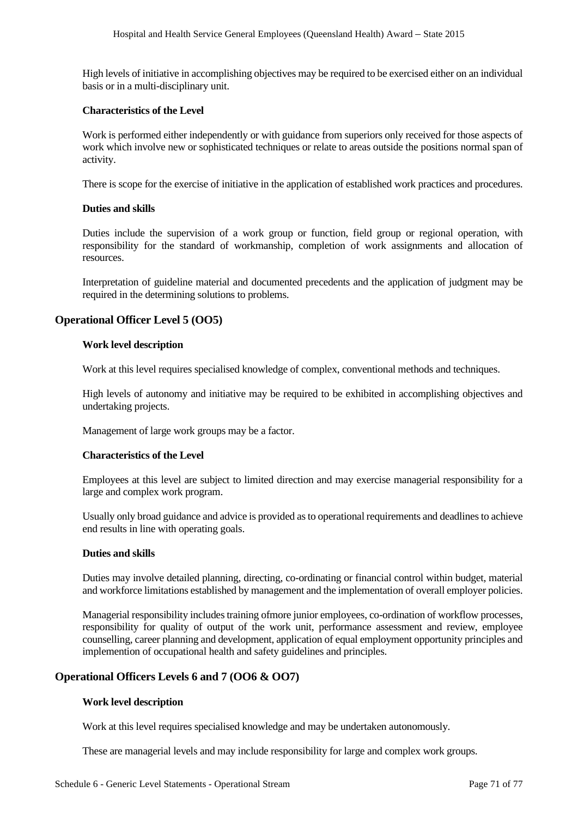High levels of initiative in accomplishing objectives may be required to be exercised either on an individual basis or in a multi-disciplinary unit.

## **Characteristics of the Level**

Work is performed either independently or with guidance from superiors only received for those aspects of work which involve new or sophisticated techniques or relate to areas outside the positions normal span of activity.

There is scope for the exercise of initiative in the application of established work practices and procedures.

## **Duties and skills**

Duties include the supervision of a work group or function, field group or regional operation, with responsibility for the standard of workmanship, completion of work assignments and allocation of resources.

Interpretation of guideline material and documented precedents and the application of judgment may be required in the determining solutions to problems.

# **Operational Officer Level 5 (OO5)**

## **Work level description**

Work at this level requires specialised knowledge of complex, conventional methods and techniques.

High levels of autonomy and initiative may be required to be exhibited in accomplishing objectives and undertaking projects.

Management of large work groups may be a factor.

# **Characteristics of the Level**

Employees at this level are subject to limited direction and may exercise managerial responsibility for a large and complex work program.

Usually only broad guidance and advice is provided as to operational requirements and deadlines to achieve end results in line with operating goals.

# **Duties and skills**

Duties may involve detailed planning, directing, co-ordinating or financial control within budget, material and workforce limitations established by management and the implementation of overall employer policies.

Managerial responsibility includes training ofmore junior employees, co-ordination of workflow processes, responsibility for quality of output of the work unit, performance assessment and review, employee counselling, career planning and development, application of equal employment opportunity principles and implemention of occupational health and safety guidelines and principles.

# **Operational Officers Levels 6 and 7 (OO6 & OO7)**

# **Work level description**

Work at this level requires specialised knowledge and may be undertaken autonomously.

These are managerial levels and may include responsibility for large and complex work groups.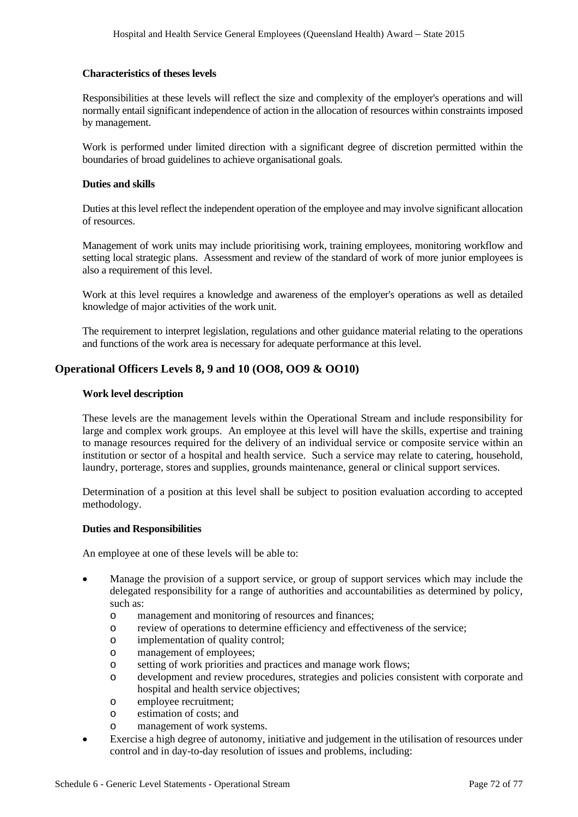## **Characteristics of theses levels**

Responsibilities at these levels will reflect the size and complexity of the employer's operations and will normally entail significant independence of action in the allocation of resources within constraints imposed by management.

Work is performed under limited direction with a significant degree of discretion permitted within the boundaries of broad guidelines to achieve organisational goals.

## **Duties and skills**

Duties at this level reflect the independent operation of the employee and may involve significant allocation of resources.

Management of work units may include prioritising work, training employees, monitoring workflow and setting local strategic plans. Assessment and review of the standard of work of more junior employees is also a requirement of this level.

Work at this level requires a knowledge and awareness of the employer's operations as well as detailed knowledge of major activities of the work unit.

The requirement to interpret legislation, regulations and other guidance material relating to the operations and functions of the work area is necessary for adequate performance at this level.

# **Operational Officers Levels 8, 9 and 10 (OO8, OO9 & OO10)**

## **Work level description**

These levels are the management levels within the Operational Stream and include responsibility for large and complex work groups. An employee at this level will have the skills, expertise and training to manage resources required for the delivery of an individual service or composite service within an institution or sector of a hospital and health service. Such a service may relate to catering, household, laundry, porterage, stores and supplies, grounds maintenance, general or clinical support services.

Determination of a position at this level shall be subject to position evaluation according to accepted methodology.

### **Duties and Responsibilities**

An employee at one of these levels will be able to:

- Manage the provision of a support service, or group of support services which may include the delegated responsibility for a range of authorities and accountabilities as determined by policy, such as:
	- o management and monitoring of resources and finances;
	- o review of operations to determine efficiency and effectiveness of the service;
	- o implementation of quality control;
	- o management of employees;
	- o setting of work priorities and practices and manage work flows;
	- o development and review procedures, strategies and policies consistent with corporate and hospital and health service objectives;
	- o employee recruitment;
	- o estimation of costs; and
	- o management of work systems.
- Exercise a high degree of autonomy, initiative and judgement in the utilisation of resources under control and in day-to-day resolution of issues and problems, including: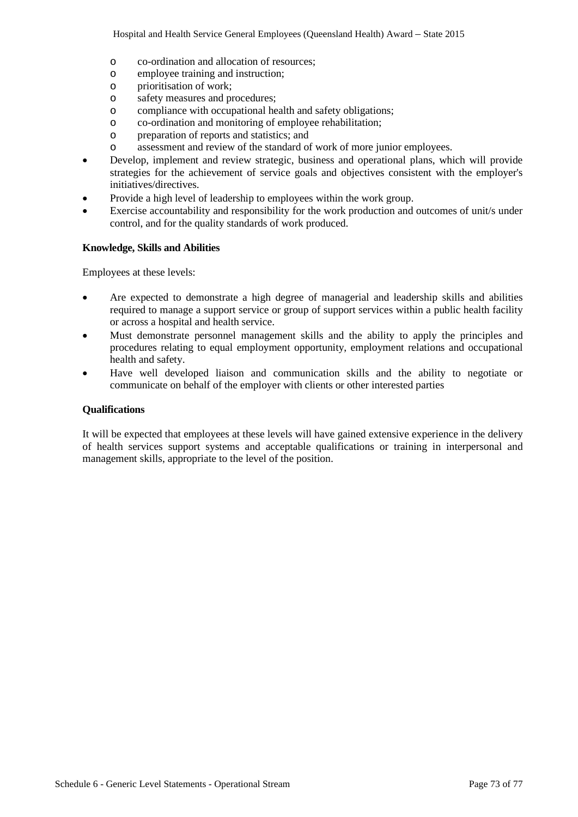- o co-ordination and allocation of resources;
- employee training and instruction;
- o prioritisation of work;
- o safety measures and procedures;
- o compliance with occupational health and safety obligations;
- o co-ordination and monitoring of employee rehabilitation;
- o preparation of reports and statistics; and
- assessment and review of the standard of work of more junior employees.
- Develop, implement and review strategic, business and operational plans, which will provide strategies for the achievement of service goals and objectives consistent with the employer's initiatives/directives.
- Provide a high level of leadership to employees within the work group.
- Exercise accountability and responsibility for the work production and outcomes of unit/s under control, and for the quality standards of work produced.

### **Knowledge, Skills and Abilities**

Employees at these levels:

- Are expected to demonstrate a high degree of managerial and leadership skills and abilities required to manage a support service or group of support services within a public health facility or across a hospital and health service.
- Must demonstrate personnel management skills and the ability to apply the principles and procedures relating to equal employment opportunity, employment relations and occupational health and safety.
- Have well developed liaison and communication skills and the ability to negotiate or communicate on behalf of the employer with clients or other interested parties

### **Qualifications**

It will be expected that employees at these levels will have gained extensive experience in the delivery of health services support systems and acceptable qualifications or training in interpersonal and management skills, appropriate to the level of the position.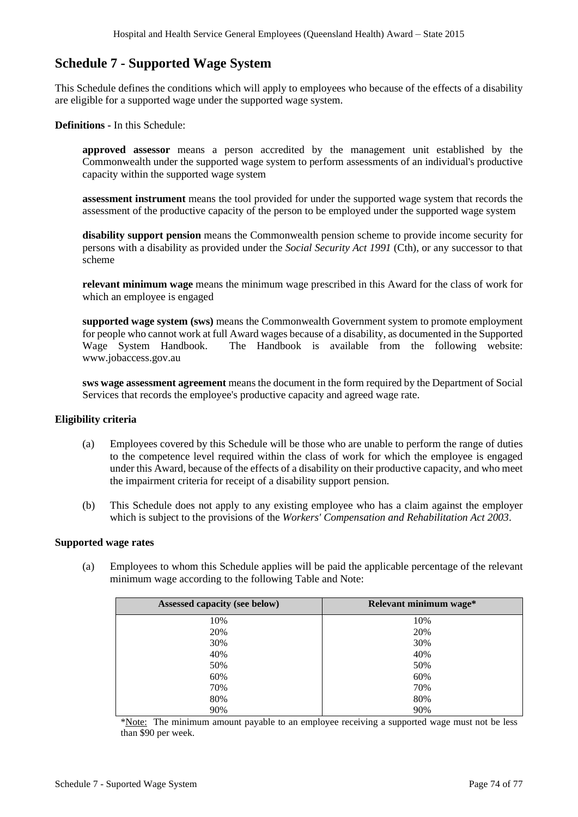# **Schedule 7 - Supported Wage System**

This Schedule defines the conditions which will apply to employees who because of the effects of a disability are eligible for a supported wage under the supported wage system.

**Definitions -** In this Schedule:

**approved assessor** means a person accredited by the management unit established by the Commonwealth under the supported wage system to perform assessments of an individual's productive capacity within the supported wage system

**assessment instrument** means the tool provided for under the supported wage system that records the assessment of the productive capacity of the person to be employed under the supported wage system

**disability support pension** means the Commonwealth pension scheme to provide income security for persons with a disability as provided under the *Social Security Act 1991* (Cth), or any successor to that scheme

**relevant minimum wage** means the minimum wage prescribed in this Award for the class of work for which an employee is engaged

**supported wage system (sws)** means the Commonwealth Government system to promote employment for people who cannot work at full Award wages because of a disability, as documented in the Supported Wage System Handbook. The Handbook is available from the following website: www.jobaccess.gov.au

**sws wage assessment agreement** means the document in the form required by the Department of Social Services that records the employee's productive capacity and agreed wage rate.

## **Eligibility criteria**

- (a) Employees covered by this Schedule will be those who are unable to perform the range of duties to the competence level required within the class of work for which the employee is engaged under this Award, because of the effects of a disability on their productive capacity, and who meet the impairment criteria for receipt of a disability support pension.
- (b) This Schedule does not apply to any existing employee who has a claim against the employer which is subject to the provisions of the *Workers' Compensation and Rehabilitation Act 2003*.

#### **Supported wage rates**

(a) Employees to whom this Schedule applies will be paid the applicable percentage of the relevant minimum wage according to the following Table and Note:

| Assessed capacity (see below) | Relevant minimum wage* |
|-------------------------------|------------------------|
| 10%                           | 10%                    |
| 20%                           | 20%                    |
| 30%                           | 30%                    |
| 40%                           | 40%                    |
| 50%                           | 50%                    |
| 60%                           | 60%                    |
| 70%                           | 70%                    |
| 80%                           | 80%                    |
| 90%                           | 90%                    |

\*Note: The minimum amount payable to an employee receiving a supported wage must not be less than \$90 per week.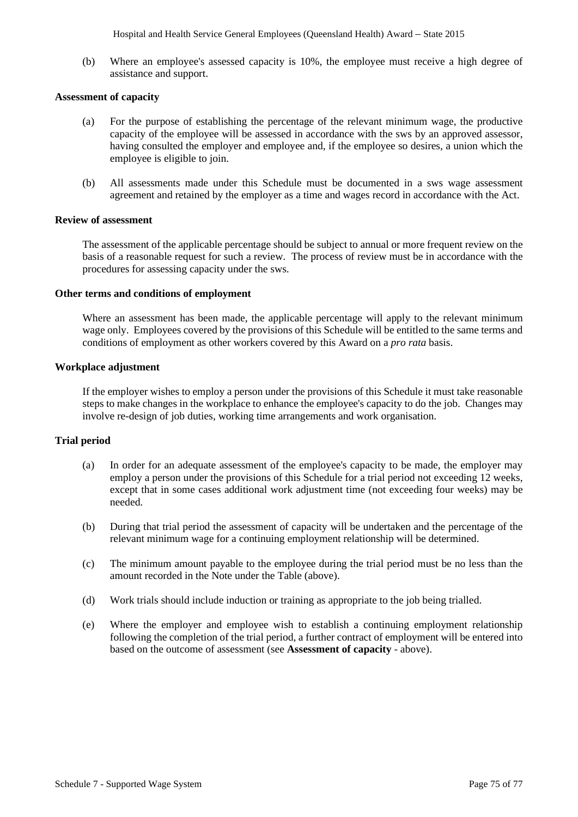Hospital and Health Service General Employees (Queensland Health) Award *–* State 2015

(b) Where an employee's assessed capacity is 10%, the employee must receive a high degree of assistance and support.

#### **Assessment of capacity**

- (a) For the purpose of establishing the percentage of the relevant minimum wage, the productive capacity of the employee will be assessed in accordance with the sws by an approved assessor, having consulted the employer and employee and, if the employee so desires, a union which the employee is eligible to join.
- (b) All assessments made under this Schedule must be documented in a sws wage assessment agreement and retained by the employer as a time and wages record in accordance with the Act.

#### **Review of assessment**

The assessment of the applicable percentage should be subject to annual or more frequent review on the basis of a reasonable request for such a review. The process of review must be in accordance with the procedures for assessing capacity under the sws.

#### **Other terms and conditions of employment**

Where an assessment has been made, the applicable percentage will apply to the relevant minimum wage only. Employees covered by the provisions of this Schedule will be entitled to the same terms and conditions of employment as other workers covered by this Award on a *pro rata* basis.

#### **Workplace adjustment**

If the employer wishes to employ a person under the provisions of this Schedule it must take reasonable steps to make changes in the workplace to enhance the employee's capacity to do the job. Changes may involve re-design of job duties, working time arrangements and work organisation.

## **Trial period**

- (a) In order for an adequate assessment of the employee's capacity to be made, the employer may employ a person under the provisions of this Schedule for a trial period not exceeding 12 weeks, except that in some cases additional work adjustment time (not exceeding four weeks) may be needed.
- (b) During that trial period the assessment of capacity will be undertaken and the percentage of the relevant minimum wage for a continuing employment relationship will be determined.
- (c) The minimum amount payable to the employee during the trial period must be no less than the amount recorded in the Note under the Table (above).
- (d) Work trials should include induction or training as appropriate to the job being trialled.
- (e) Where the employer and employee wish to establish a continuing employment relationship following the completion of the trial period, a further contract of employment will be entered into based on the outcome of assessment (see **Assessment of capacity** - above).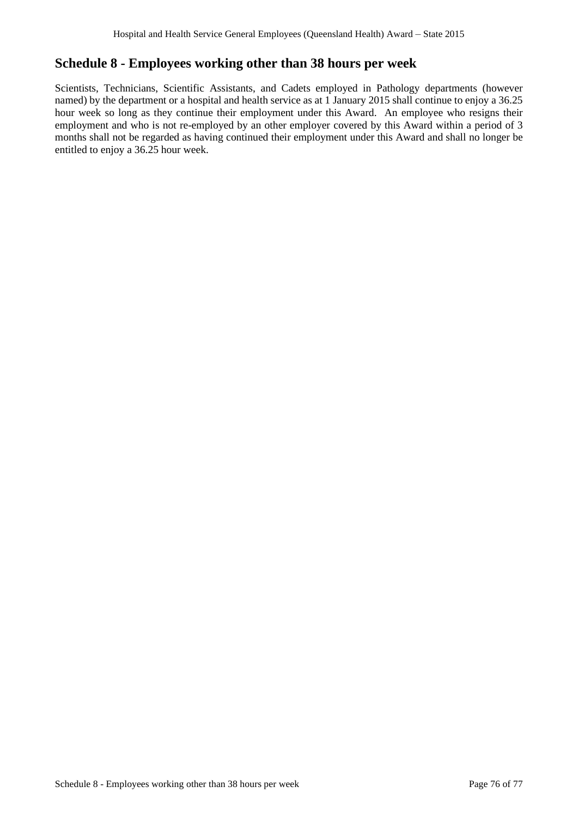# **Schedule 8 - Employees working other than 38 hours per week**

Scientists, Technicians, Scientific Assistants, and Cadets employed in Pathology departments (however named) by the department or a hospital and health service as at 1 January 2015 shall continue to enjoy a 36.25 hour week so long as they continue their employment under this Award. An employee who resigns their employment and who is not re-employed by an other employer covered by this Award within a period of 3 months shall not be regarded as having continued their employment under this Award and shall no longer be entitled to enjoy a 36.25 hour week.